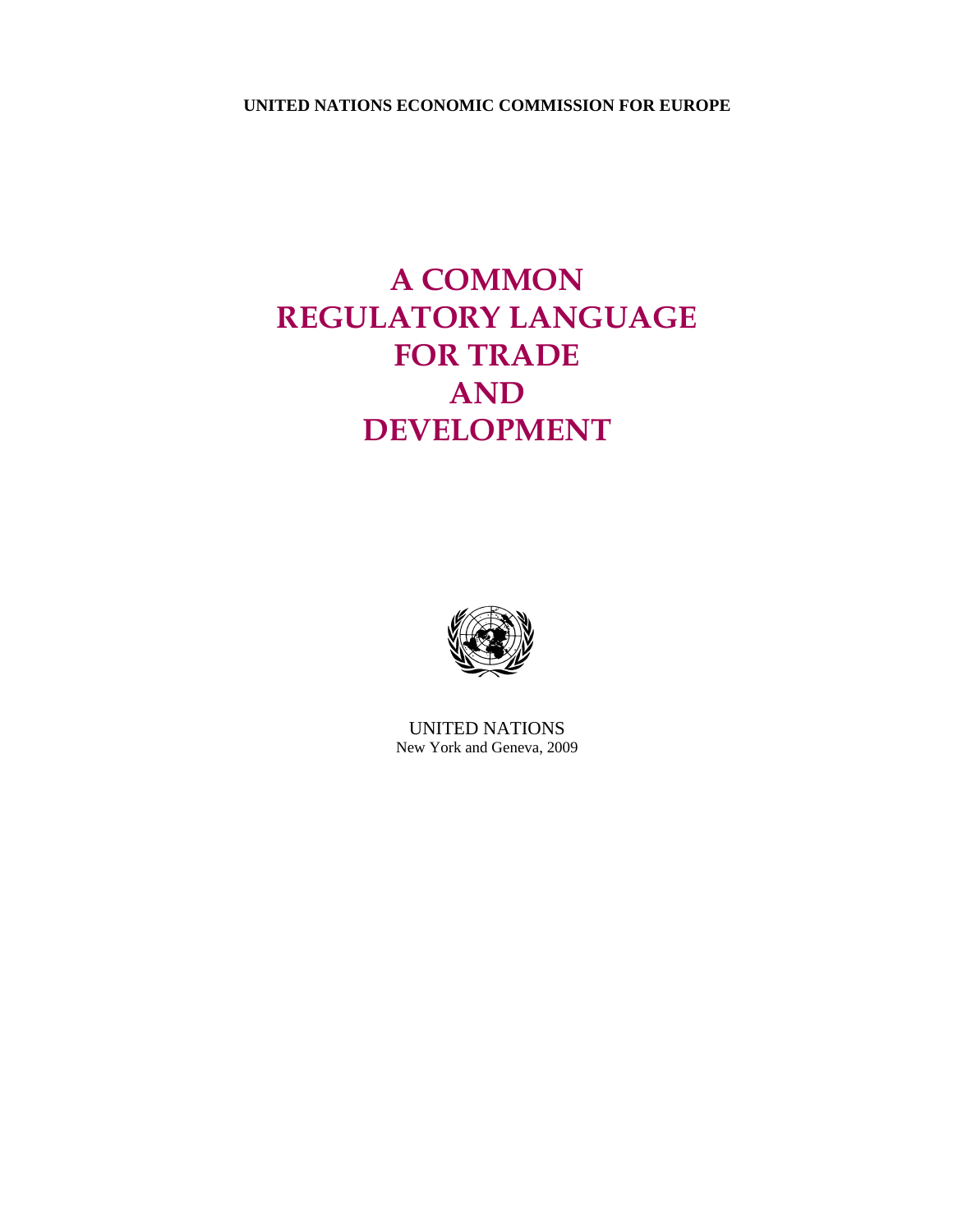# **UNITED NATIONS ECONOMIC COMMISSION FOR EUROPE**

# **A COMMON REGULATORY LANGUAGE FOR TRADE AND DEVELOPMENT**



UNITED NATIONS New York and Geneva, 2009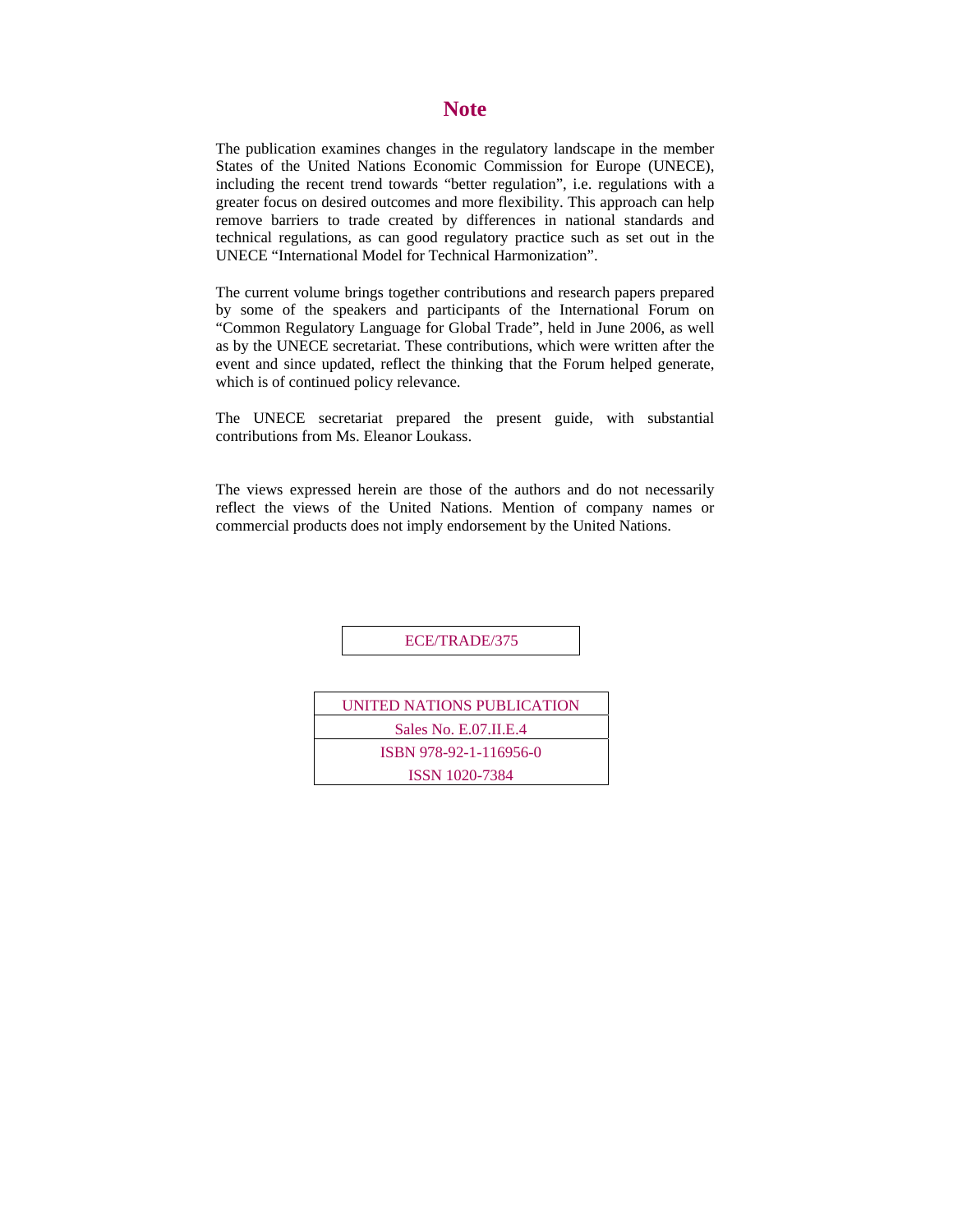# **Note**

The publication examines changes in the regulatory landscape in the member States of the United Nations Economic Commission for Europe (UNECE), including the recent trend towards "better regulation", i.e. regulations with a greater focus on desired outcomes and more flexibility. This approach can help remove barriers to trade created by differences in national standards and technical regulations, as can good regulatory practice such as set out in the UNECE "International Model for Technical Harmonization".

The current volume brings together contributions and research papers prepared by some of the speakers and participants of the International Forum on "Common Regulatory Language for Global Trade", held in June 2006, as well as by the UNECE secretariat. These contributions, which were written after the event and since updated, reflect the thinking that the Forum helped generate, which is of continued policy relevance.

The UNECE secretariat prepared the present guide, with substantial contributions from Ms. Eleanor Loukass.

The views expressed herein are those of the authors and do not necessarily reflect the views of the United Nations. Mention of company names or commercial products does not imply endorsement by the United Nations.

ECE/TRADE/375

UNITED NATIONS PUBLICATION Sales No. E.07.II.E.4 ISBN 978-92-1-116956-0 ISSN 1020-7384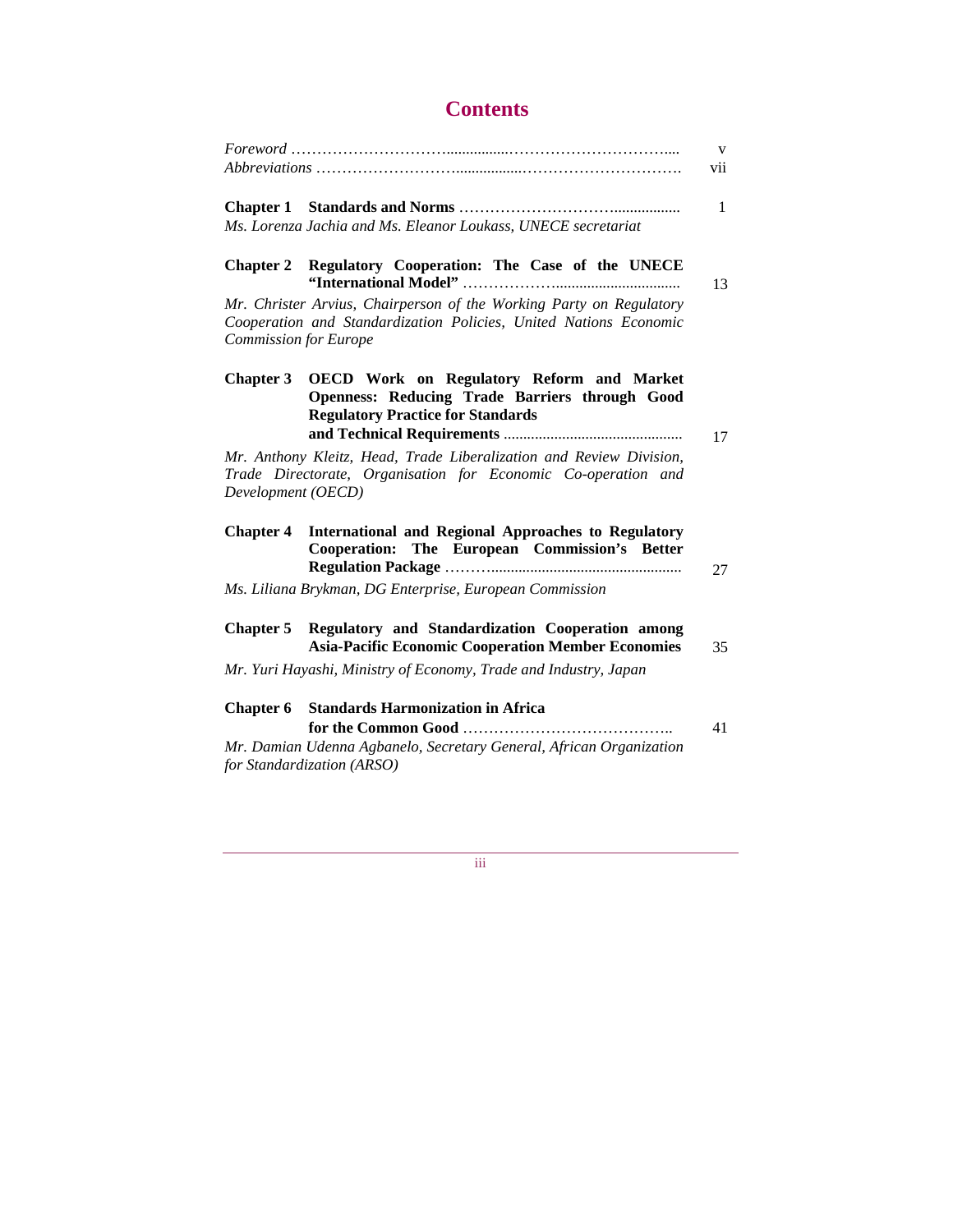# **Contents**

|                              |                                                                                                                                                   | V<br>vii     |
|------------------------------|---------------------------------------------------------------------------------------------------------------------------------------------------|--------------|
|                              |                                                                                                                                                   | $\mathbf{1}$ |
|                              | Ms. Lorenza Jachia and Ms. Eleanor Loukass, UNECE secretariat                                                                                     |              |
|                              | Chapter 2 Regulatory Cooperation: The Case of the UNECE                                                                                           | 13           |
| <b>Commission for Europe</b> | Mr. Christer Arvius, Chairperson of the Working Party on Regulatory<br>Cooperation and Standardization Policies, United Nations Economic          |              |
|                              | Chapter 3 OECD Work on Regulatory Reform and Market<br>Openness: Reducing Trade Barriers through Good<br><b>Regulatory Practice for Standards</b> | 17           |
| Development (OECD)           | Mr. Anthony Kleitz, Head, Trade Liberalization and Review Division,<br>Trade Directorate, Organisation for Economic Co-operation and              |              |
|                              | <b>Chapter 4</b> International and Regional Approaches to Regulatory<br>Cooperation: The European Commission's Better                             | 27           |
|                              | Ms. Liliana Brykman, DG Enterprise, European Commission                                                                                           |              |
| <b>Chapter 5</b>             | Regulatory and Standardization Cooperation among<br><b>Asia-Pacific Economic Cooperation Member Economies</b>                                     | 35           |
|                              | Mr. Yuri Hayashi, Ministry of Economy, Trade and Industry, Japan                                                                                  |              |
| <b>Chapter 6</b>             | <b>Standards Harmonization in Africa</b>                                                                                                          | 41           |
|                              | Mr. Damian Udenna Agbanelo, Secretary General, African Organization<br>for Standardization (ARSO)                                                 |              |

iii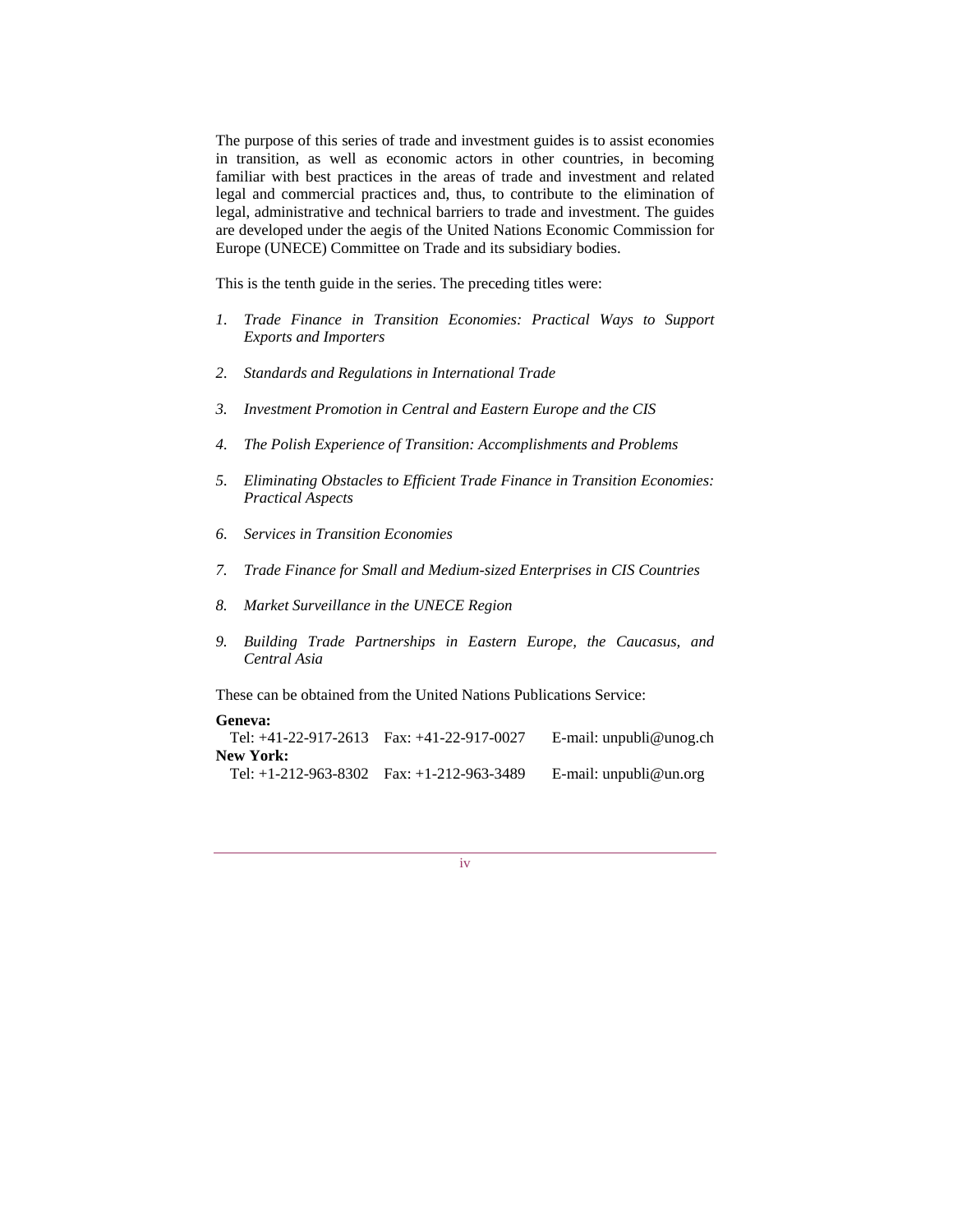The purpose of this series of trade and investment guides is to assist economies in transition, as well as economic actors in other countries, in becoming familiar with best practices in the areas of trade and investment and related legal and commercial practices and, thus, to contribute to the elimination of legal, administrative and technical barriers to trade and investment. The guides are developed under the aegis of the United Nations Economic Commission for Europe (UNECE) Committee on Trade and its subsidiary bodies.

This is the tenth guide in the series. The preceding titles were:

- *1. Trade Finance in Transition Economies: Practical Ways to Support Exports and Importers*
- *2. Standards and Regulations in International Trade*
- *3. Investment Promotion in Central and Eastern Europe and the CIS*
- *4. The Polish Experience of Transition: Accomplishments and Problems*
- *5. Eliminating Obstacles to Efficient Trade Finance in Transition Economies: Practical Aspects*
- *6. Services in Transition Economies*
- *7. Trade Finance for Small and Medium-sized Enterprises in CIS Countries*
- *8. Market Surveillance in the UNECE Region*
- *9. Building Trade Partnerships in Eastern Europe, the Caucasus, and Central Asia*

These can be obtained from the United Nations Publications Service:

#### **Geneva:**

Tel: +41-22-917-2613 Fax: +41-22-917-0027 E-mail: unpubli@unog.ch **New York:** 

Tel: +1-212-963-8302 Fax: +1-212-963-3489 E-mail: unpubli@un.org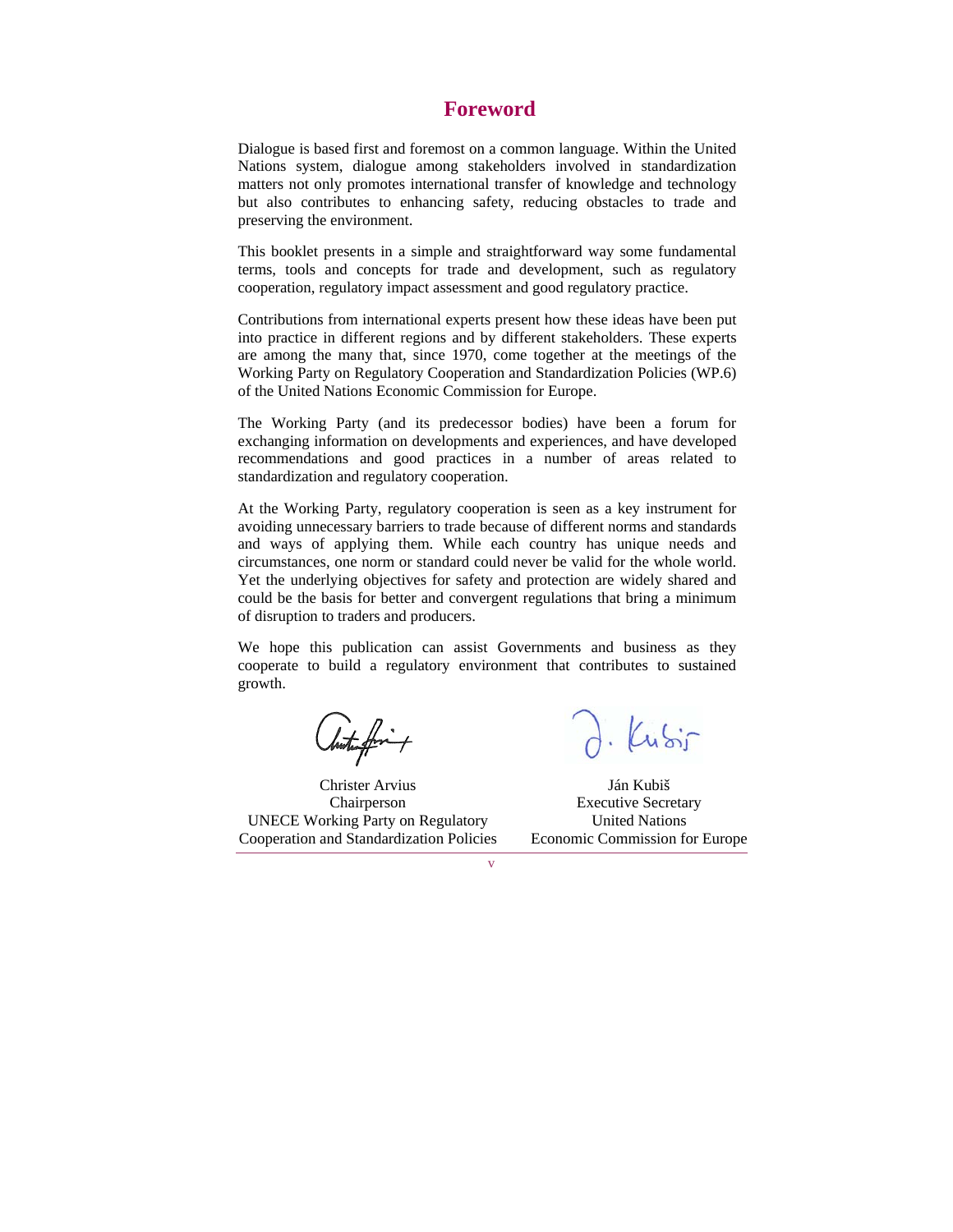# **Foreword**

Dialogue is based first and foremost on a common language. Within the United Nations system, dialogue among stakeholders involved in standardization matters not only promotes international transfer of knowledge and technology but also contributes to enhancing safety, reducing obstacles to trade and preserving the environment.

This booklet presents in a simple and straightforward way some fundamental terms, tools and concepts for trade and development, such as regulatory cooperation, regulatory impact assessment and good regulatory practice.

Contributions from international experts present how these ideas have been put into practice in different regions and by different stakeholders. These experts are among the many that, since 1970, come together at the meetings of the Working Party on Regulatory Cooperation and Standardization Policies (WP.6) of the United Nations Economic Commission for Europe.

The Working Party (and its predecessor bodies) have been a forum for exchanging information on developments and experiences, and have developed recommendations and good practices in a number of areas related to standardization and regulatory cooperation.

At the Working Party, regulatory cooperation is seen as a key instrument for avoiding unnecessary barriers to trade because of different norms and standards and ways of applying them. While each country has unique needs and circumstances, one norm or standard could never be valid for the whole world. Yet the underlying objectives for safety and protection are widely shared and could be the basis for better and convergent regulations that bring a minimum of disruption to traders and producers.

We hope this publication can assist Governments and business as they cooperate to build a regulatory environment that contributes to sustained growth.

Christer Arvius Chairperson UNECE Working Party on Regulatory Cooperation and Standardization Policies

Ján Kubiš Executive Secretary United Nations Economic Commission for Europe

v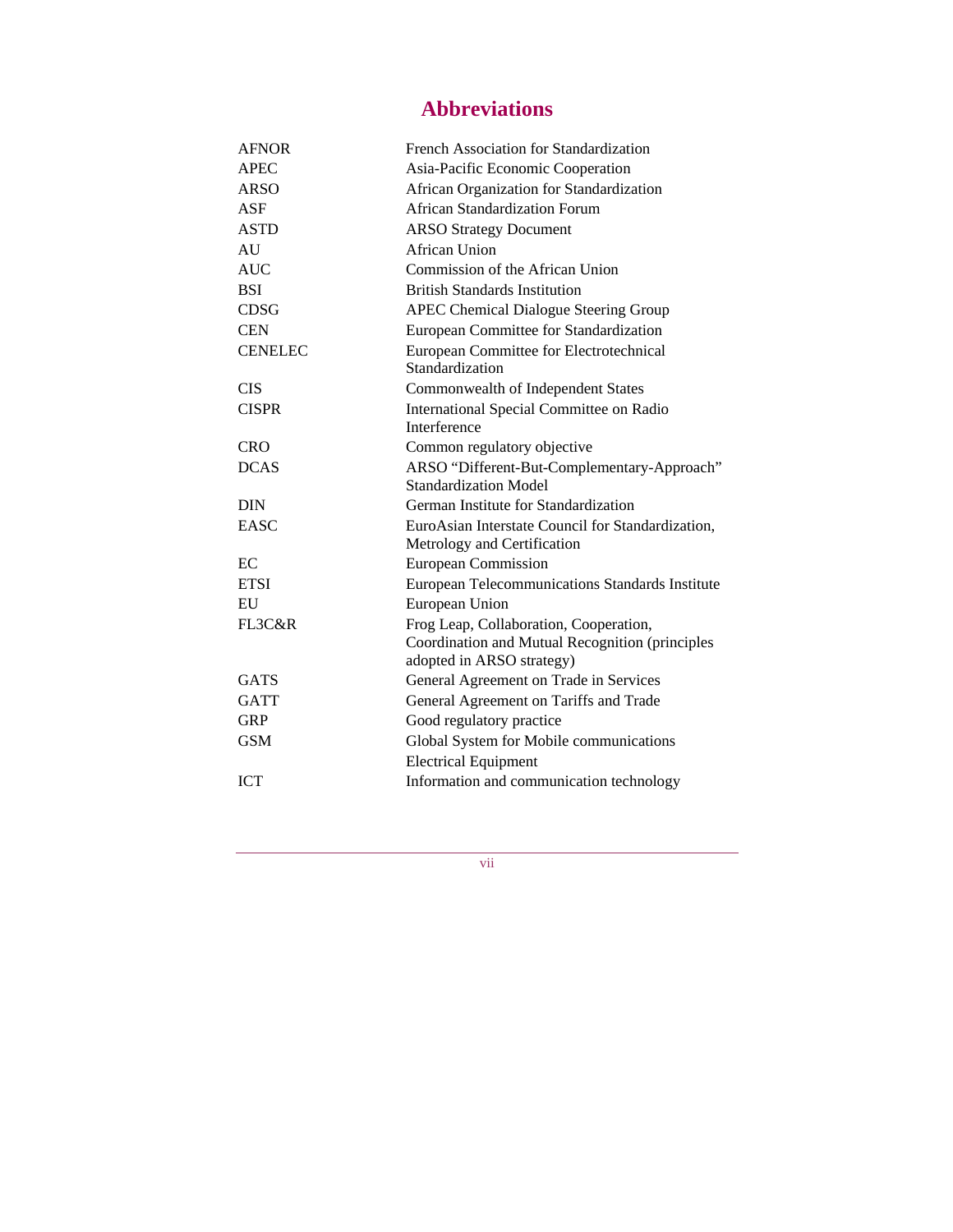# **Abbreviations**

| <b>AFNOR</b>   | French Association for Standardization            |  |
|----------------|---------------------------------------------------|--|
| APEC           | Asia-Pacific Economic Cooperation                 |  |
| <b>ARSO</b>    | African Organization for Standardization          |  |
| ASF            | African Standardization Forum                     |  |
| <b>ASTD</b>    | <b>ARSO Strategy Document</b>                     |  |
| AU             | <b>African Union</b>                              |  |
| <b>AUC</b>     | Commission of the African Union                   |  |
| <b>BSI</b>     | <b>British Standards Institution</b>              |  |
| <b>CDSG</b>    | <b>APEC Chemical Dialogue Steering Group</b>      |  |
| <b>CEN</b>     | European Committee for Standardization            |  |
| <b>CENELEC</b> | European Committee for Electrotechnical           |  |
|                | Standardization                                   |  |
| <b>CIS</b>     | Commonwealth of Independent States                |  |
| <b>CISPR</b>   | International Special Committee on Radio          |  |
|                | <b>Interference</b>                               |  |
| <b>CRO</b>     | Common regulatory objective                       |  |
| <b>DCAS</b>    | ARSO "Different-But-Complementary-Approach"       |  |
|                | <b>Standardization Model</b>                      |  |
| <b>DIN</b>     | German Institute for Standardization              |  |
| <b>EASC</b>    | EuroAsian Interstate Council for Standardization, |  |
|                | Metrology and Certification                       |  |
| EC             | <b>European Commission</b>                        |  |
| <b>ETSI</b>    | European Telecommunications Standards Institute   |  |
| EU             | European Union                                    |  |
| FL3C&R         | Frog Leap, Collaboration, Cooperation,            |  |
|                | Coordination and Mutual Recognition (principles   |  |
|                | adopted in ARSO strategy)                         |  |
| <b>GATS</b>    | General Agreement on Trade in Services            |  |
| <b>GATT</b>    | General Agreement on Tariffs and Trade            |  |
| <b>GRP</b>     | Good regulatory practice                          |  |
| <b>GSM</b>     | Global System for Mobile communications           |  |
|                | <b>Electrical Equipment</b>                       |  |
| <b>ICT</b>     | Information and communication technology          |  |

vii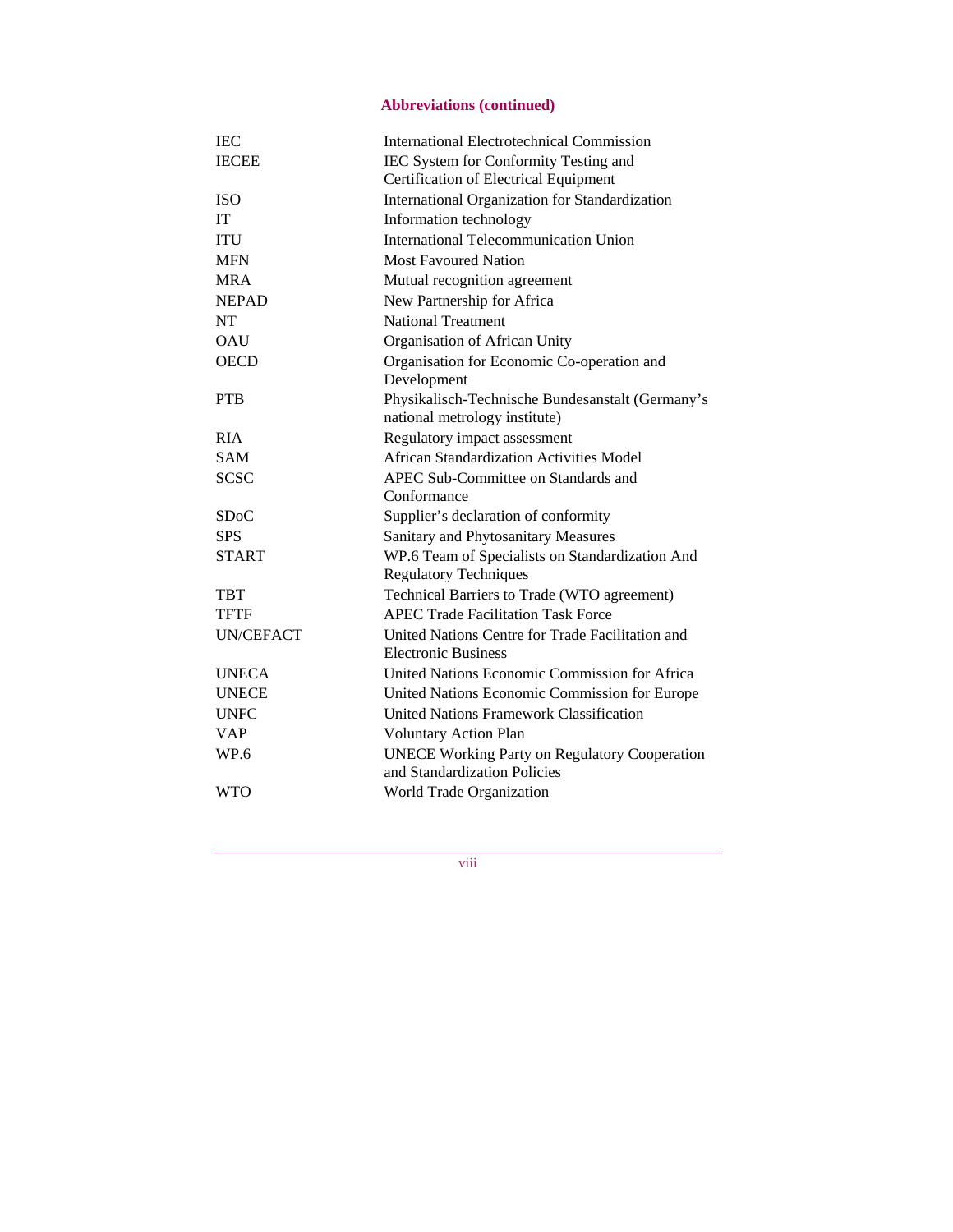# **Abbreviations (continued)**

| <b>IEC</b>       | International Electrotechnical Commission                                      |  |  |
|------------------|--------------------------------------------------------------------------------|--|--|
| <b>IECEE</b>     | IEC System for Conformity Testing and                                          |  |  |
|                  | Certification of Electrical Equipment                                          |  |  |
| <b>ISO</b>       | International Organization for Standardization                                 |  |  |
| <b>IT</b>        | Information technology                                                         |  |  |
| <b>ITU</b>       | <b>International Telecommunication Union</b>                                   |  |  |
| <b>MFN</b>       | <b>Most Favoured Nation</b>                                                    |  |  |
| <b>MRA</b>       | Mutual recognition agreement                                                   |  |  |
| <b>NEPAD</b>     | New Partnership for Africa                                                     |  |  |
| NT.              | <b>National Treatment</b>                                                      |  |  |
| OAU              | Organisation of African Unity                                                  |  |  |
| <b>OECD</b>      | Organisation for Economic Co-operation and                                     |  |  |
|                  | Development                                                                    |  |  |
| <b>PTB</b>       | Physikalisch-Technische Bundesanstalt (Germany's                               |  |  |
|                  | national metrology institute)                                                  |  |  |
| <b>RIA</b>       | Regulatory impact assessment                                                   |  |  |
| <b>SAM</b>       | <b>African Standardization Activities Model</b>                                |  |  |
| <b>SCSC</b>      | APEC Sub-Committee on Standards and                                            |  |  |
|                  | Conformance                                                                    |  |  |
| SDoC             | Supplier's declaration of conformity                                           |  |  |
| <b>SPS</b>       | Sanitary and Phytosanitary Measures                                            |  |  |
| <b>START</b>     | WP.6 Team of Specialists on Standardization And                                |  |  |
|                  | <b>Regulatory Techniques</b>                                                   |  |  |
| <b>TBT</b>       | Technical Barriers to Trade (WTO agreement)                                    |  |  |
| <b>TFTF</b>      | <b>APEC Trade Facilitation Task Force</b>                                      |  |  |
| <b>UN/CEFACT</b> | United Nations Centre for Trade Facilitation and<br><b>Electronic Business</b> |  |  |
| <b>UNECA</b>     | United Nations Economic Commission for Africa                                  |  |  |
| <b>UNECE</b>     | United Nations Economic Commission for Europe                                  |  |  |
| <b>UNFC</b>      | United Nations Framework Classification                                        |  |  |
| <b>VAP</b>       | <b>Voluntary Action Plan</b>                                                   |  |  |
| WP.6             | <b>UNECE Working Party on Regulatory Cooperation</b>                           |  |  |
|                  | and Standardization Policies                                                   |  |  |
| <b>WTO</b>       | World Trade Organization                                                       |  |  |

viii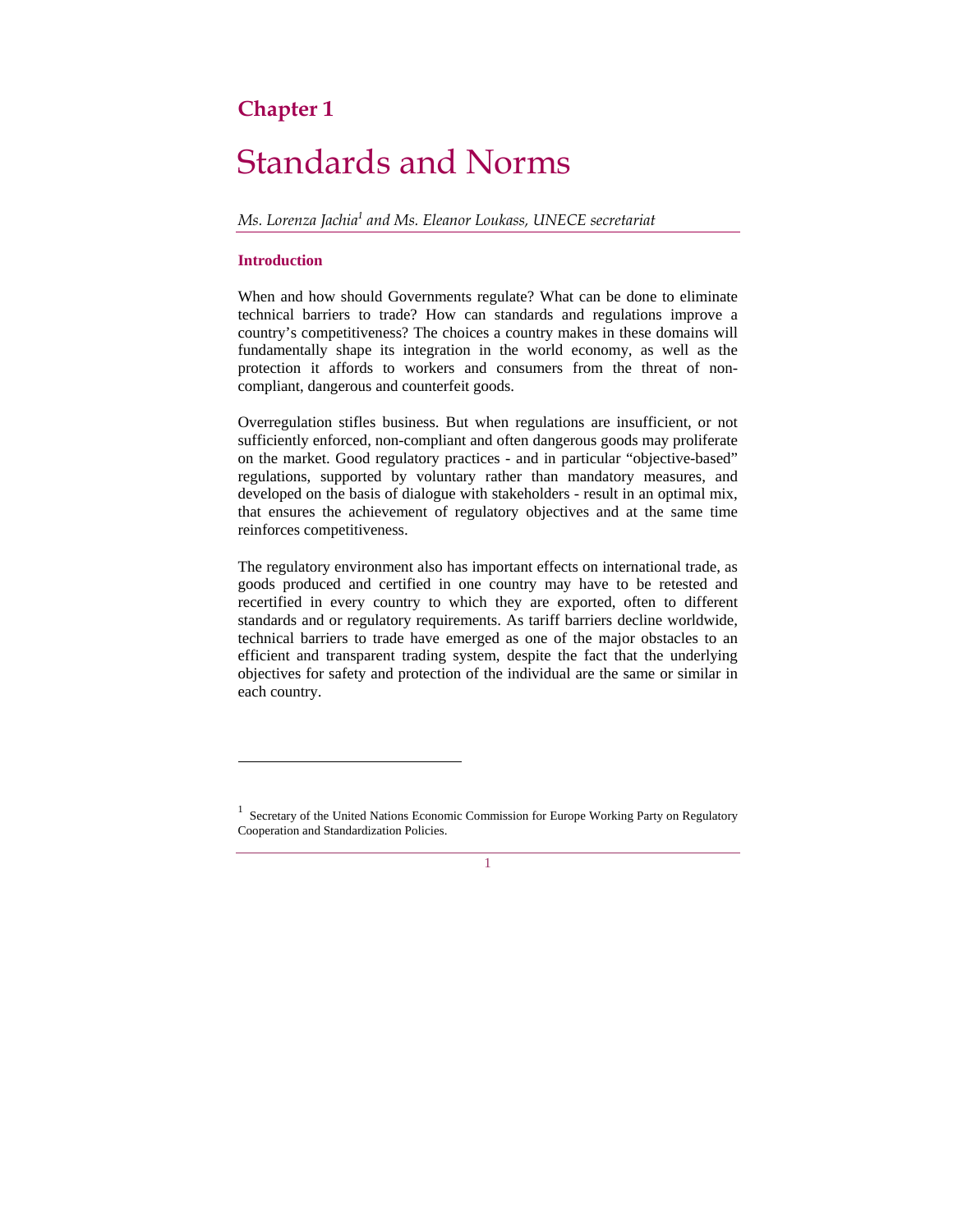# **Chapter 1**

# Standards and Norms

*Ms. Lorenza Jachia<sup>1</sup> and Ms. Eleanor Loukass, UNECE secretariat* 

#### **Introduction**

l

When and how should Governments regulate? What can be done to eliminate technical barriers to trade? How can standards and regulations improve a country's competitiveness? The choices a country makes in these domains will fundamentally shape its integration in the world economy, as well as the protection it affords to workers and consumers from the threat of noncompliant, dangerous and counterfeit goods.

Overregulation stifles business. But when regulations are insufficient, or not sufficiently enforced, non-compliant and often dangerous goods may proliferate on the market. Good regulatory practices - and in particular "objective-based" regulations, supported by voluntary rather than mandatory measures, and developed on the basis of dialogue with stakeholders - result in an optimal mix, that ensures the achievement of regulatory objectives and at the same time reinforces competitiveness.

The regulatory environment also has important effects on international trade, as goods produced and certified in one country may have to be retested and recertified in every country to which they are exported, often to different standards and or regulatory requirements. As tariff barriers decline worldwide, technical barriers to trade have emerged as one of the major obstacles to an efficient and transparent trading system, despite the fact that the underlying objectives for safety and protection of the individual are the same or similar in each country.

<sup>&</sup>lt;sup>1</sup> Secretary of the United Nations Economic Commission for Europe Working Party on Regulatory Cooperation and Standardization Policies.

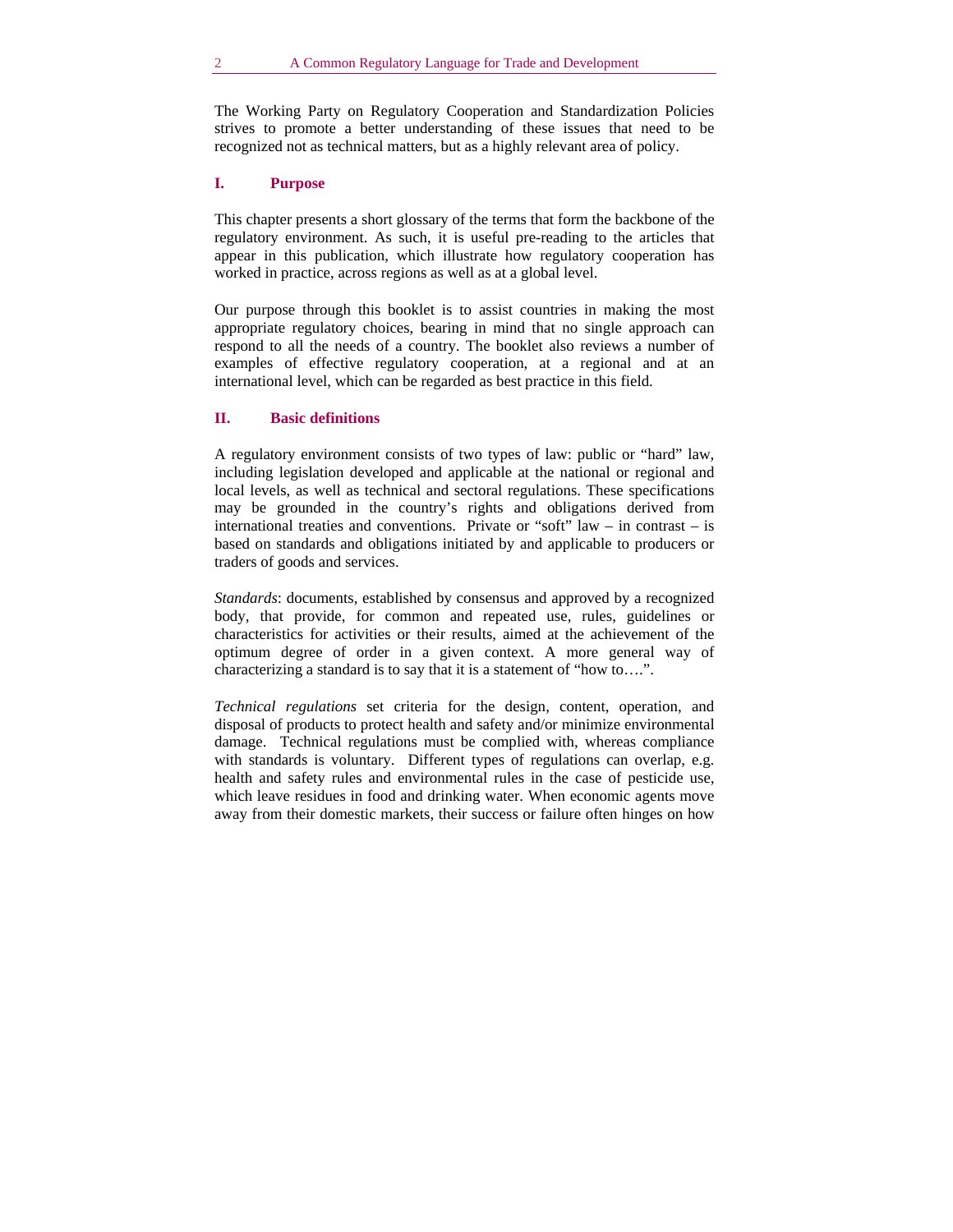The Working Party on Regulatory Cooperation and Standardization Policies strives to promote a better understanding of these issues that need to be recognized not as technical matters, but as a highly relevant area of policy.

#### **I. Purpose**

This chapter presents a short glossary of the terms that form the backbone of the regulatory environment. As such, it is useful pre-reading to the articles that appear in this publication, which illustrate how regulatory cooperation has worked in practice, across regions as well as at a global level.

Our purpose through this booklet is to assist countries in making the most appropriate regulatory choices, bearing in mind that no single approach can respond to all the needs of a country. The booklet also reviews a number of examples of effective regulatory cooperation, at a regional and at an international level, which can be regarded as best practice in this field.

# **II. Basic definitions**

A regulatory environment consists of two types of law: public or "hard" law, including legislation developed and applicable at the national or regional and local levels, as well as technical and sectoral regulations. These specifications may be grounded in the country's rights and obligations derived from international treaties and conventions. Private or "soft"  $law - in contrast - is$ based on standards and obligations initiated by and applicable to producers or traders of goods and services.

*Standards*: documents, established by consensus and approved by a recognized body, that provide, for common and repeated use, rules, guidelines or characteristics for activities or their results, aimed at the achievement of the optimum degree of order in a given context. A more general way of characterizing a standard is to say that it is a statement of "how to….".

*Technical regulations* set criteria for the design, content, operation, and disposal of products to protect health and safety and/or minimize environmental damage. Technical regulations must be complied with, whereas compliance with standards is voluntary. Different types of regulations can overlap, e.g. health and safety rules and environmental rules in the case of pesticide use, which leave residues in food and drinking water. When economic agents move away from their domestic markets, their success or failure often hinges on how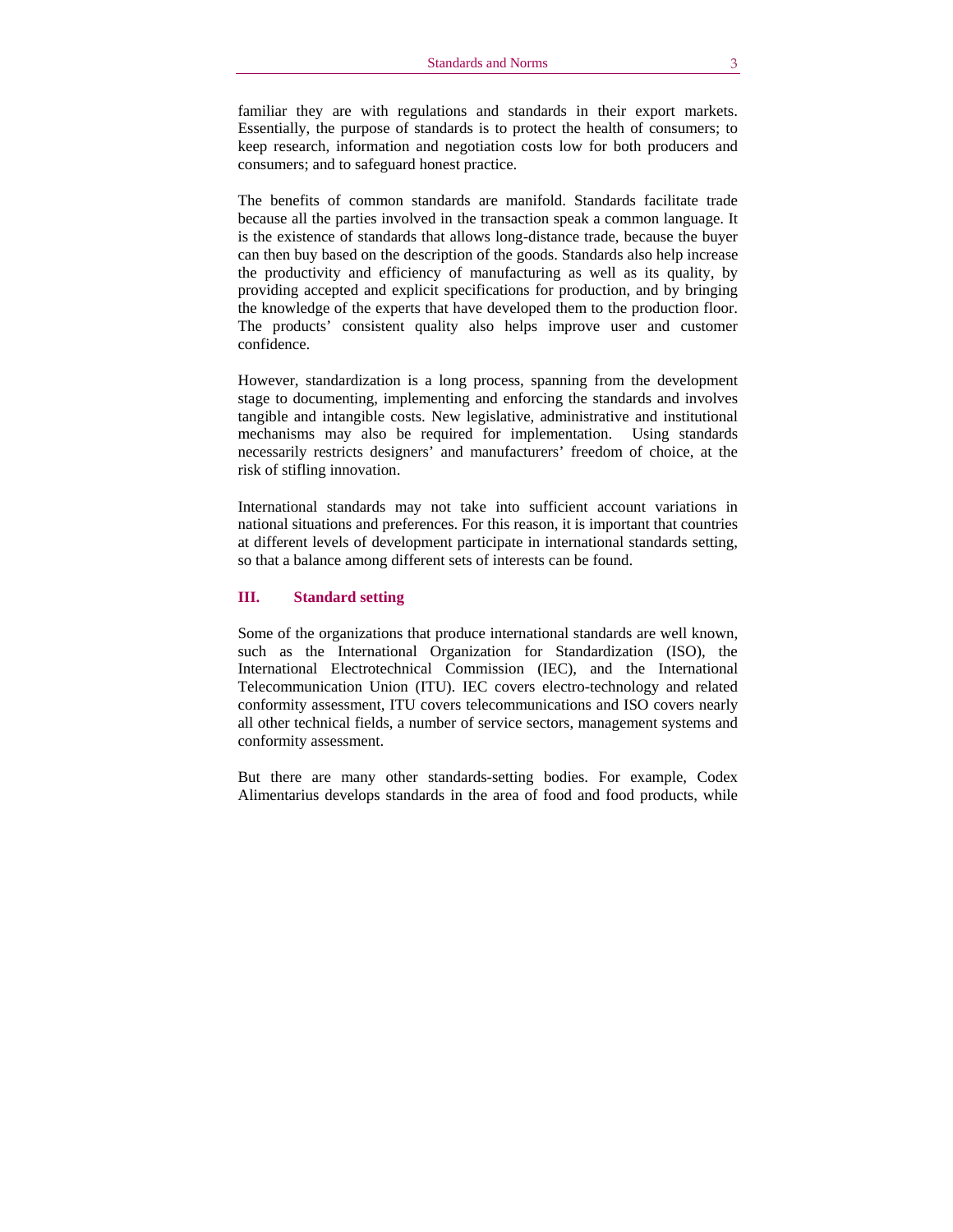familiar they are with regulations and standards in their export markets. Essentially, the purpose of standards is to protect the health of consumers; to keep research, information and negotiation costs low for both producers and consumers; and to safeguard honest practice.

The benefits of common standards are manifold. Standards facilitate trade because all the parties involved in the transaction speak a common language. It is the existence of standards that allows long-distance trade, because the buyer can then buy based on the description of the goods. Standards also help increase the productivity and efficiency of manufacturing as well as its quality, by providing accepted and explicit specifications for production, and by bringing the knowledge of the experts that have developed them to the production floor. The products' consistent quality also helps improve user and customer confidence.

However, standardization is a long process, spanning from the development stage to documenting, implementing and enforcing the standards and involves tangible and intangible costs. New legislative, administrative and institutional mechanisms may also be required for implementation. Using standards necessarily restricts designers' and manufacturers' freedom of choice, at the risk of stifling innovation.

International standards may not take into sufficient account variations in national situations and preferences. For this reason, it is important that countries at different levels of development participate in international standards setting, so that a balance among different sets of interests can be found.

#### **III. Standard setting**

Some of the organizations that produce international standards are well known, such as the International Organization for Standardization (ISO), the International Electrotechnical Commission (IEC), and the International Telecommunication Union (ITU). IEC covers electro-technology and related conformity assessment, ITU covers telecommunications and ISO covers nearly all other technical fields, a number of service sectors, management systems and conformity assessment.

But there are many other standards-setting bodies. For example, Codex Alimentarius develops standards in the area of food and food products, while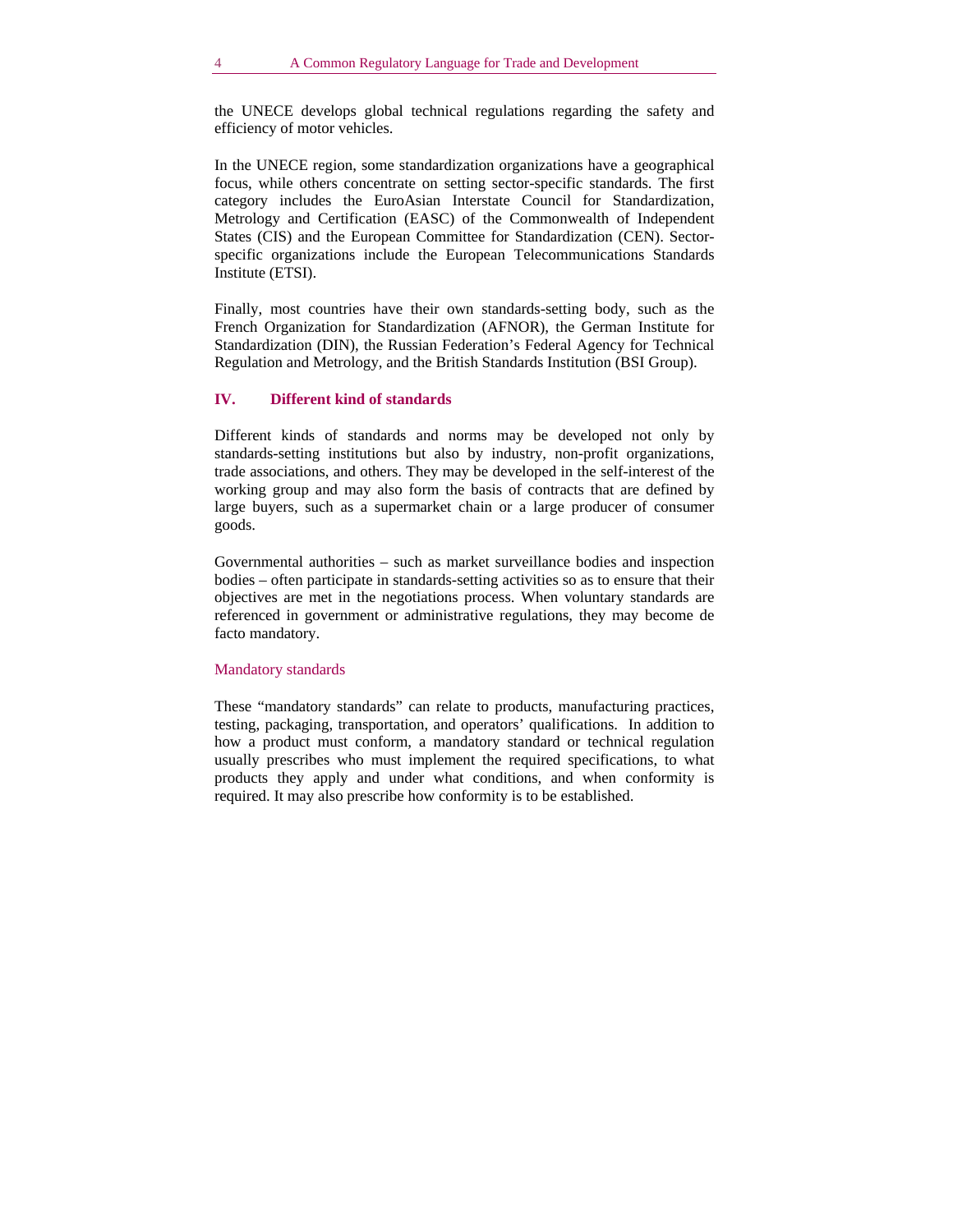the UNECE develops global technical regulations regarding the safety and efficiency of motor vehicles.

In the UNECE region, some standardization organizations have a geographical focus, while others concentrate on setting sector-specific standards. The first category includes the EuroAsian Interstate Council for Standardization, Metrology and Certification (EASC) of the Commonwealth of Independent States (CIS) and the European Committee for Standardization (CEN). Sectorspecific organizations include the European Telecommunications Standards Institute (ETSI).

Finally, most countries have their own standards-setting body, such as the French Organization for Standardization (AFNOR), the German Institute for Standardization (DIN), the Russian Federation's Federal Agency for Technical Regulation and Metrology, and the British Standards Institution (BSI Group).

#### **IV. Different kind of standards**

Different kinds of standards and norms may be developed not only by standards-setting institutions but also by industry, non-profit organizations, trade associations, and others. They may be developed in the self-interest of the working group and may also form the basis of contracts that are defined by large buyers, such as a supermarket chain or a large producer of consumer goods.

Governmental authorities – such as market surveillance bodies and inspection bodies – often participate in standards-setting activities so as to ensure that their objectives are met in the negotiations process. When voluntary standards are referenced in government or administrative regulations, they may become de facto mandatory.

#### Mandatory standards

These "mandatory standards" can relate to products, manufacturing practices, testing, packaging, transportation, and operators' qualifications. In addition to how a product must conform, a mandatory standard or technical regulation usually prescribes who must implement the required specifications, to what products they apply and under what conditions, and when conformity is required. It may also prescribe how conformity is to be established.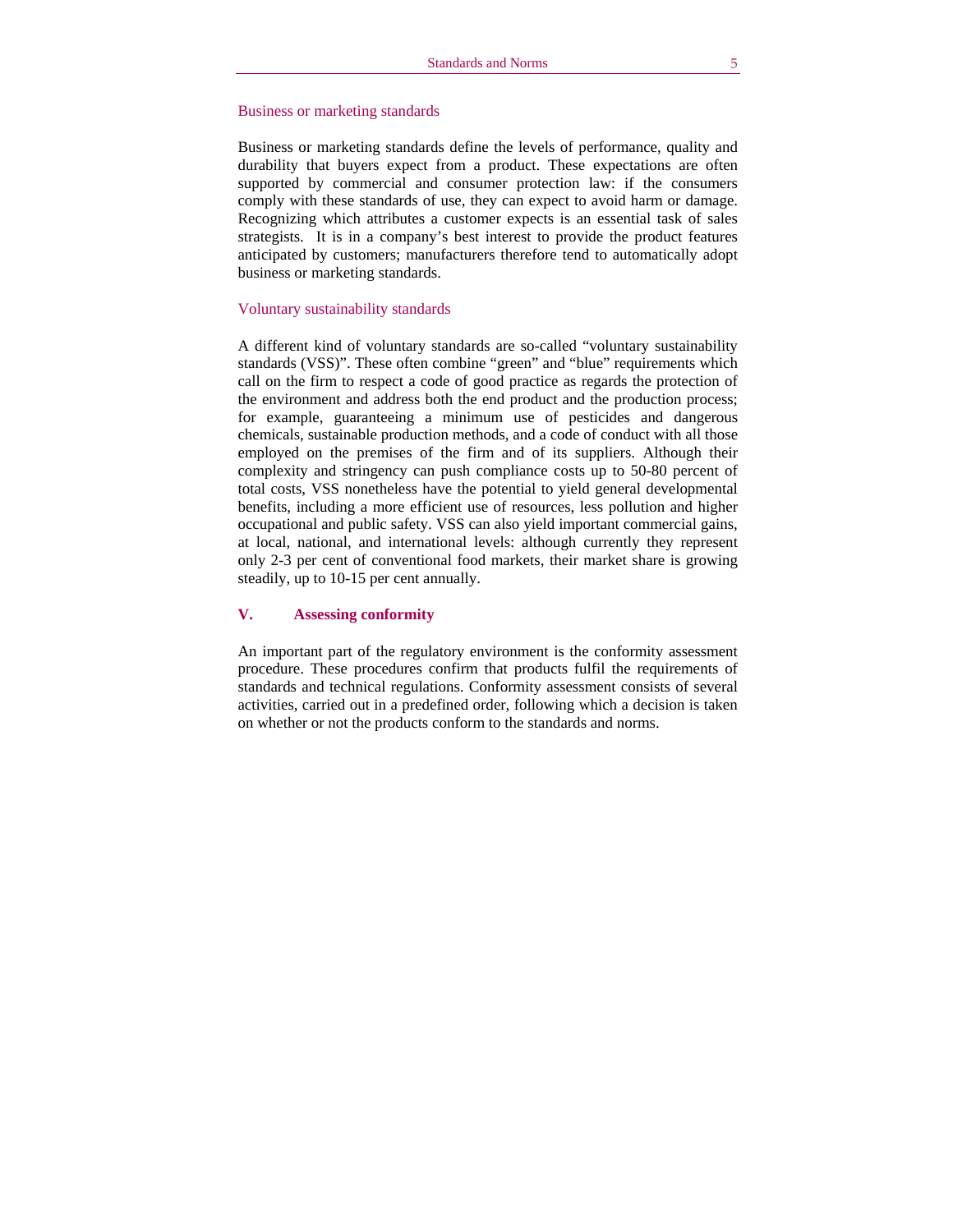#### Business or marketing standards

Business or marketing standards define the levels of performance, quality and durability that buyers expect from a product. These expectations are often supported by commercial and consumer protection law: if the consumers comply with these standards of use, they can expect to avoid harm or damage. Recognizing which attributes a customer expects is an essential task of sales strategists. It is in a company's best interest to provide the product features anticipated by customers; manufacturers therefore tend to automatically adopt business or marketing standards.

#### Voluntary sustainability standards

A different kind of voluntary standards are so-called "voluntary sustainability standards (VSS)". These often combine "green" and "blue" requirements which call on the firm to respect a code of good practice as regards the protection of the environment and address both the end product and the production process; for example, guaranteeing a minimum use of pesticides and dangerous chemicals, sustainable production methods, and a code of conduct with all those employed on the premises of the firm and of its suppliers. Although their complexity and stringency can push compliance costs up to 50-80 percent of total costs, VSS nonetheless have the potential to yield general developmental benefits, including a more efficient use of resources, less pollution and higher occupational and public safety. VSS can also yield important commercial gains, at local, national, and international levels: although currently they represent only 2-3 per cent of conventional food markets, their market share is growing steadily, up to 10-15 per cent annually.

## **V. Assessing conformity**

An important part of the regulatory environment is the conformity assessment procedure. These procedures confirm that products fulfil the requirements of standards and technical regulations. Conformity assessment consists of several activities, carried out in a predefined order, following which a decision is taken on whether or not the products conform to the standards and norms.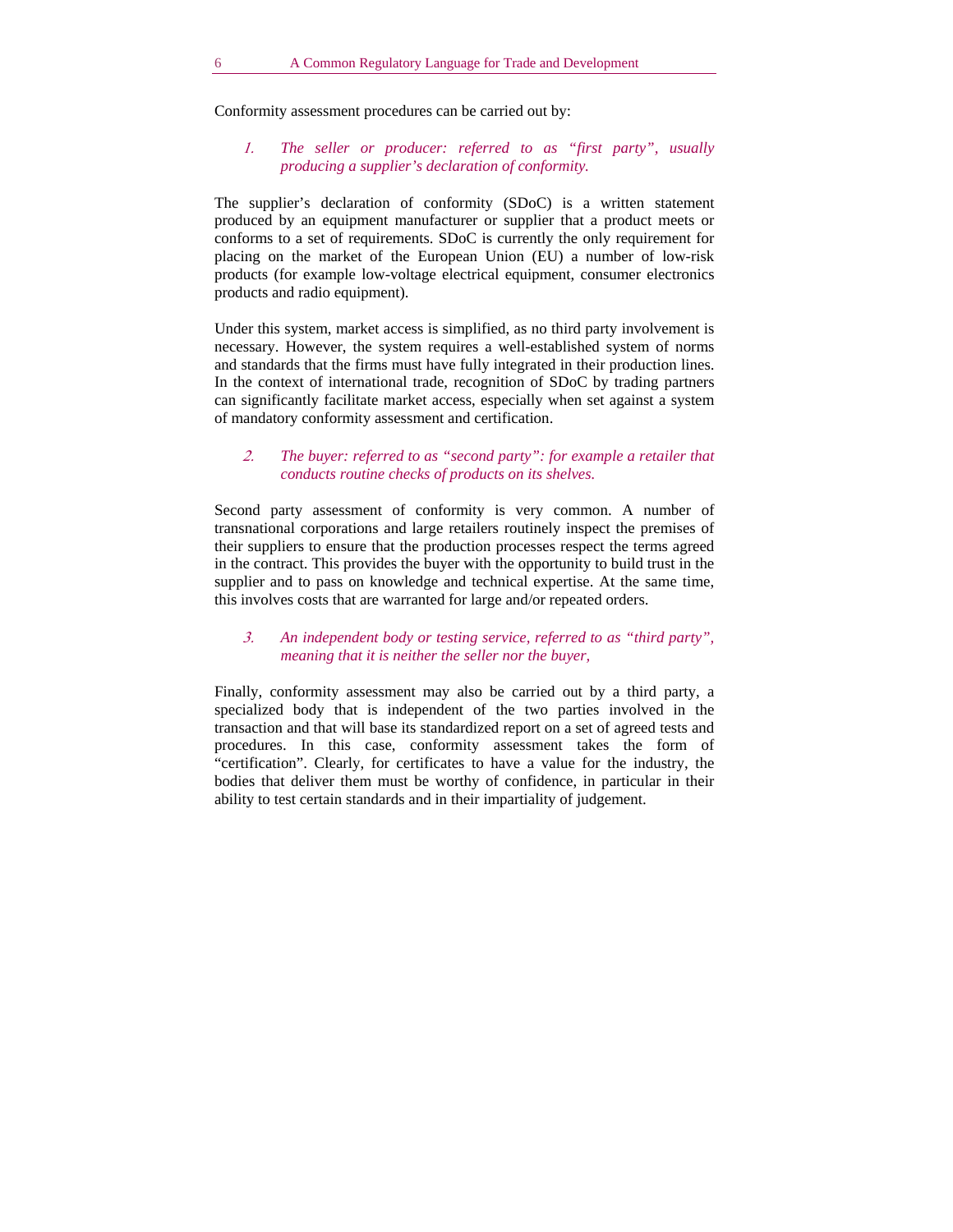Conformity assessment procedures can be carried out by:

# 1. *The seller or producer: referred to as "first party", usually producing a supplier's declaration of conformity.*

The supplier's declaration of conformity (SDoC) is a written statement produced by an equipment manufacturer or supplier that a product meets or conforms to a set of requirements. SDoC is currently the only requirement for placing on the market of the European Union (EU) a number of low-risk products (for example low-voltage electrical equipment, consumer electronics products and radio equipment).

Under this system, market access is simplified, as no third party involvement is necessary. However, the system requires a well-established system of norms and standards that the firms must have fully integrated in their production lines. In the context of international trade, recognition of SDoC by trading partners can significantly facilitate market access, especially when set against a system of mandatory conformity assessment and certification.

# 2. *The buyer: referred to as "second party": for example a retailer that conducts routine checks of products on its shelves.*

Second party assessment of conformity is very common. A number of transnational corporations and large retailers routinely inspect the premises of their suppliers to ensure that the production processes respect the terms agreed in the contract. This provides the buyer with the opportunity to build trust in the supplier and to pass on knowledge and technical expertise. At the same time, this involves costs that are warranted for large and/or repeated orders.

## 3. *An independent body or testing service, referred to as "third party", meaning that it is neither the seller nor the buyer,*

Finally, conformity assessment may also be carried out by a third party, a specialized body that is independent of the two parties involved in the transaction and that will base its standardized report on a set of agreed tests and procedures. In this case, conformity assessment takes the form of "certification". Clearly, for certificates to have a value for the industry, the bodies that deliver them must be worthy of confidence, in particular in their ability to test certain standards and in their impartiality of judgement.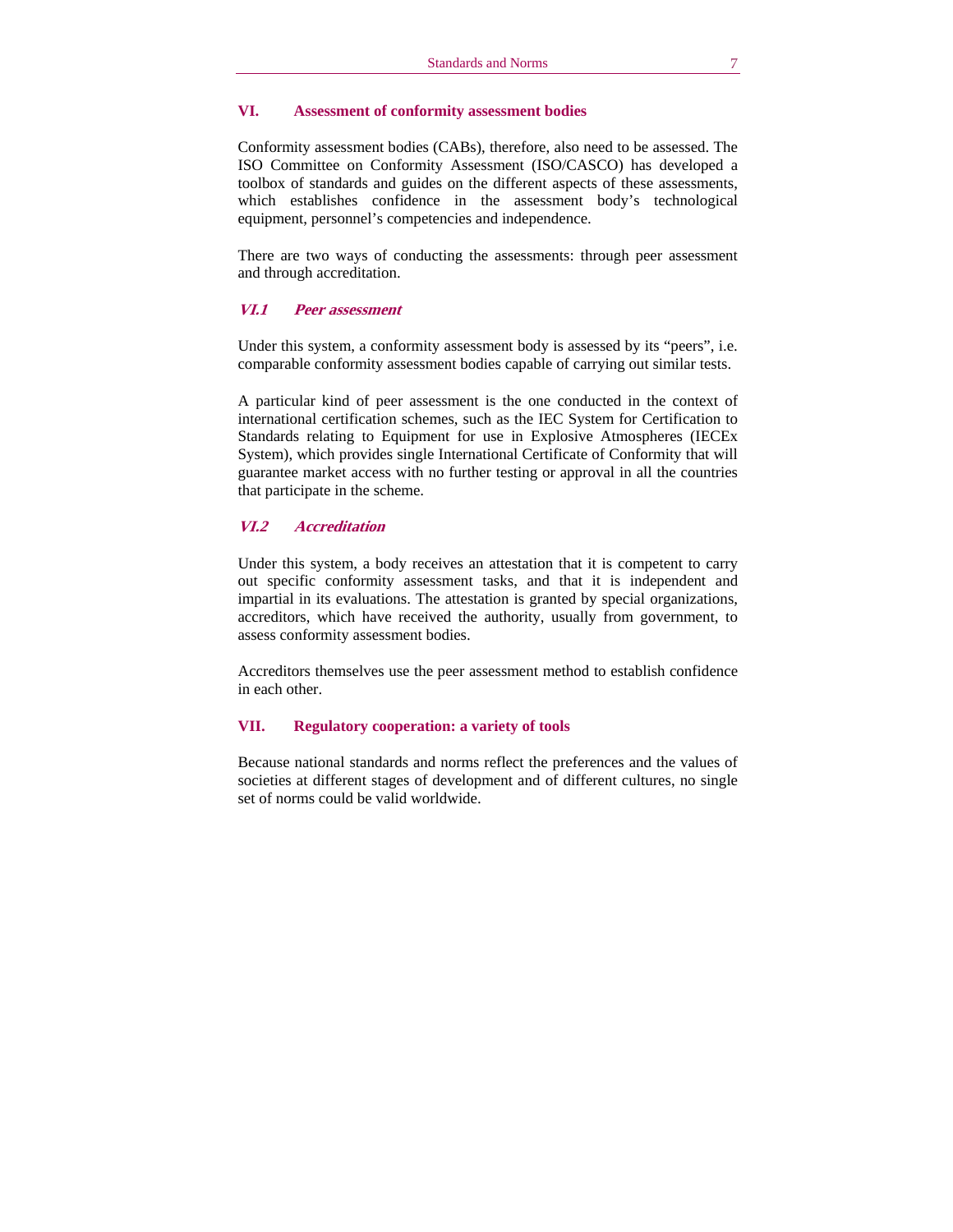### **VI. Assessment of conformity assessment bodies**

Conformity assessment bodies (CABs), therefore, also need to be assessed. The ISO Committee on Conformity Assessment (ISO/CASCO) has developed a toolbox of standards and guides on the different aspects of these assessments, which establishes confidence in the assessment body's technological equipment, personnel's competencies and independence.

There are two ways of conducting the assessments: through peer assessment and through accreditation.

## **VI.1 Peer assessment**

Under this system, a conformity assessment body is assessed by its "peers", i.e. comparable conformity assessment bodies capable of carrying out similar tests.

A particular kind of peer assessment is the one conducted in the context of international certification schemes, such as the IEC System for Certification to Standards relating to Equipment for use in Explosive Atmospheres (IECEx System), which provides single International Certificate of Conformity that will guarantee market access with no further testing or approval in all the countries that participate in the scheme.

#### **VI.2 Accreditation**

Under this system, a body receives an attestation that it is competent to carry out specific conformity assessment tasks, and that it is independent and impartial in its evaluations. The attestation is granted by special organizations, accreditors, which have received the authority, usually from government, to assess conformity assessment bodies.

Accreditors themselves use the peer assessment method to establish confidence in each other.

#### **VII. Regulatory cooperation: a variety of tools**

Because national standards and norms reflect the preferences and the values of societies at different stages of development and of different cultures, no single set of norms could be valid worldwide.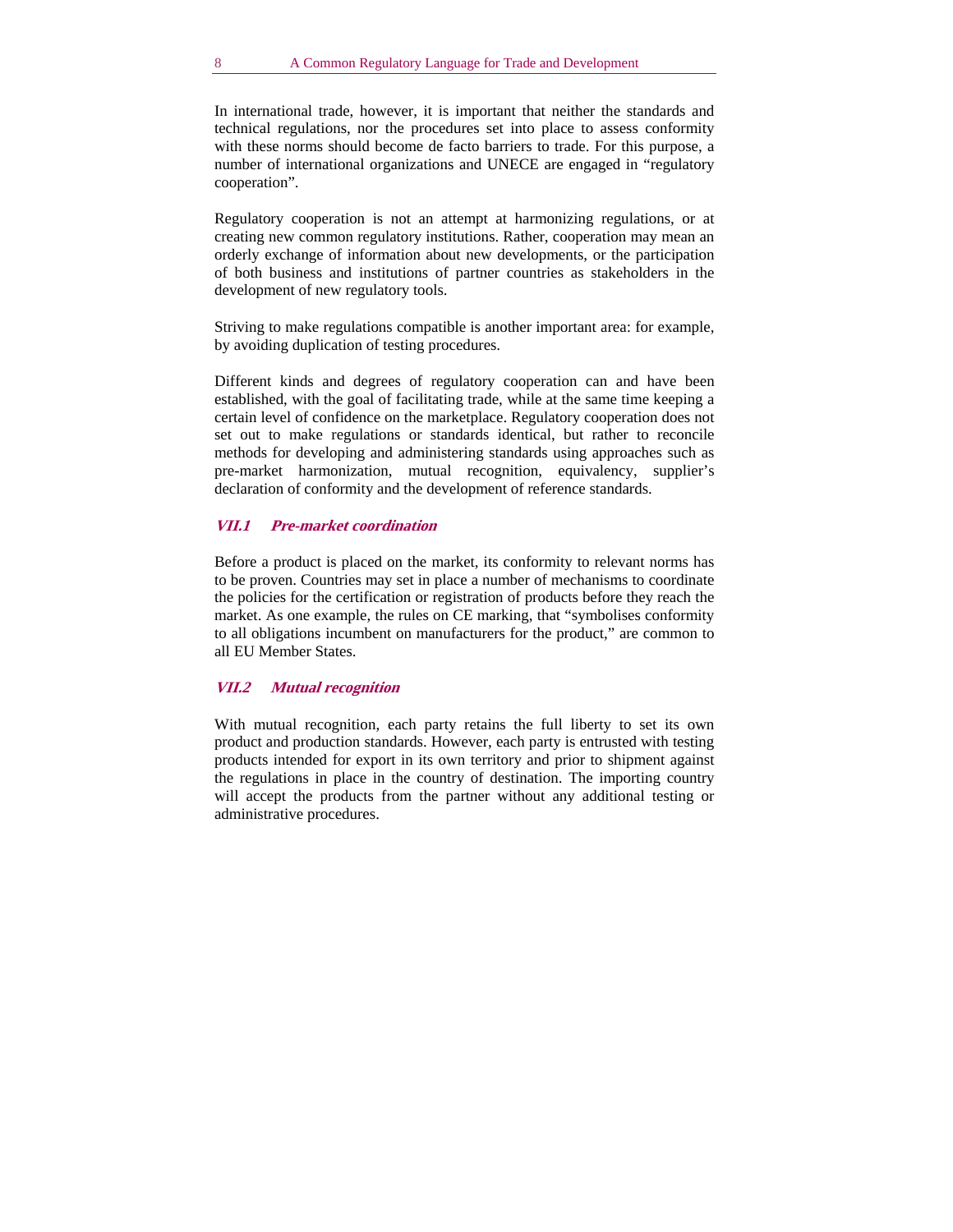In international trade, however, it is important that neither the standards and technical regulations, nor the procedures set into place to assess conformity with these norms should become de facto barriers to trade. For this purpose, a number of international organizations and UNECE are engaged in "regulatory cooperation".

Regulatory cooperation is not an attempt at harmonizing regulations, or at creating new common regulatory institutions. Rather, cooperation may mean an orderly exchange of information about new developments, or the participation of both business and institutions of partner countries as stakeholders in the development of new regulatory tools.

Striving to make regulations compatible is another important area: for example, by avoiding duplication of testing procedures.

Different kinds and degrees of regulatory cooperation can and have been established, with the goal of facilitating trade, while at the same time keeping a certain level of confidence on the marketplace. Regulatory cooperation does not set out to make regulations or standards identical, but rather to reconcile methods for developing and administering standards using approaches such as pre-market harmonization, mutual recognition, equivalency, supplier's declaration of conformity and the development of reference standards.

#### **VII.1 Pre-market coordination**

Before a product is placed on the market, its conformity to relevant norms has to be proven. Countries may set in place a number of mechanisms to coordinate the policies for the certification or registration of products before they reach the market. As one example, the rules on CE marking, that "symbolises conformity to all obligations incumbent on manufacturers for the product," are common to all EU Member States.

#### **VII.2 Mutual recognition**

With mutual recognition, each party retains the full liberty to set its own product and production standards. However, each party is entrusted with testing products intended for export in its own territory and prior to shipment against the regulations in place in the country of destination. The importing country will accept the products from the partner without any additional testing or administrative procedures.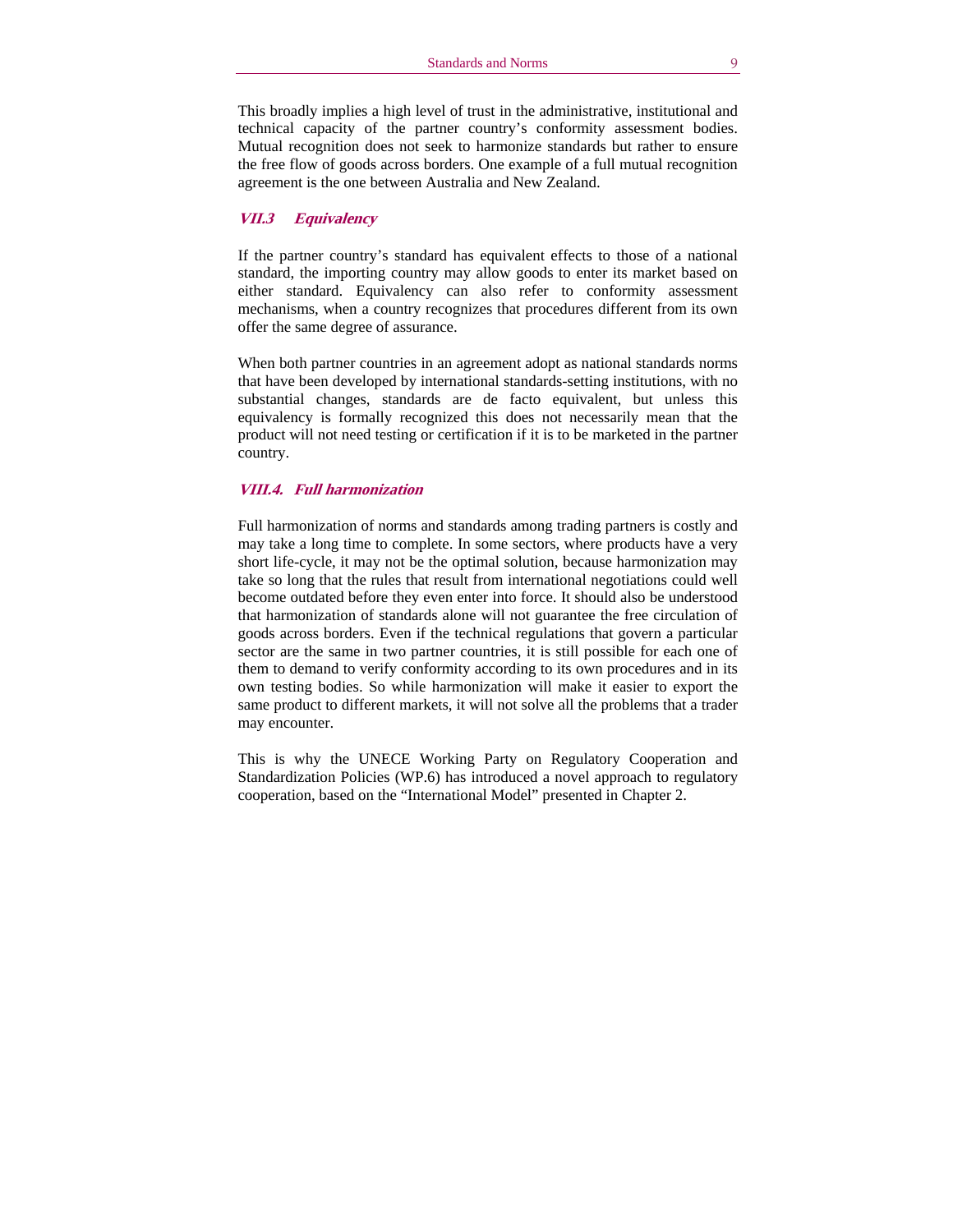This broadly implies a high level of trust in the administrative, institutional and technical capacity of the partner country's conformity assessment bodies. Mutual recognition does not seek to harmonize standards but rather to ensure the free flow of goods across borders. One example of a full mutual recognition agreement is the one between Australia and New Zealand.

#### **VII.3 Equivalency**

If the partner country's standard has equivalent effects to those of a national standard, the importing country may allow goods to enter its market based on either standard. Equivalency can also refer to conformity assessment mechanisms, when a country recognizes that procedures different from its own offer the same degree of assurance.

When both partner countries in an agreement adopt as national standards norms that have been developed by international standards-setting institutions, with no substantial changes, standards are de facto equivalent, but unless this equivalency is formally recognized this does not necessarily mean that the product will not need testing or certification if it is to be marketed in the partner country.

# **VIII.4. Full harmonization**

Full harmonization of norms and standards among trading partners is costly and may take a long time to complete. In some sectors, where products have a very short life-cycle, it may not be the optimal solution, because harmonization may take so long that the rules that result from international negotiations could well become outdated before they even enter into force. It should also be understood that harmonization of standards alone will not guarantee the free circulation of goods across borders. Even if the technical regulations that govern a particular sector are the same in two partner countries, it is still possible for each one of them to demand to verify conformity according to its own procedures and in its own testing bodies. So while harmonization will make it easier to export the same product to different markets, it will not solve all the problems that a trader may encounter.

This is why the UNECE Working Party on Regulatory Cooperation and Standardization Policies (WP.6) has introduced a novel approach to regulatory cooperation, based on the "International Model" presented in Chapter 2.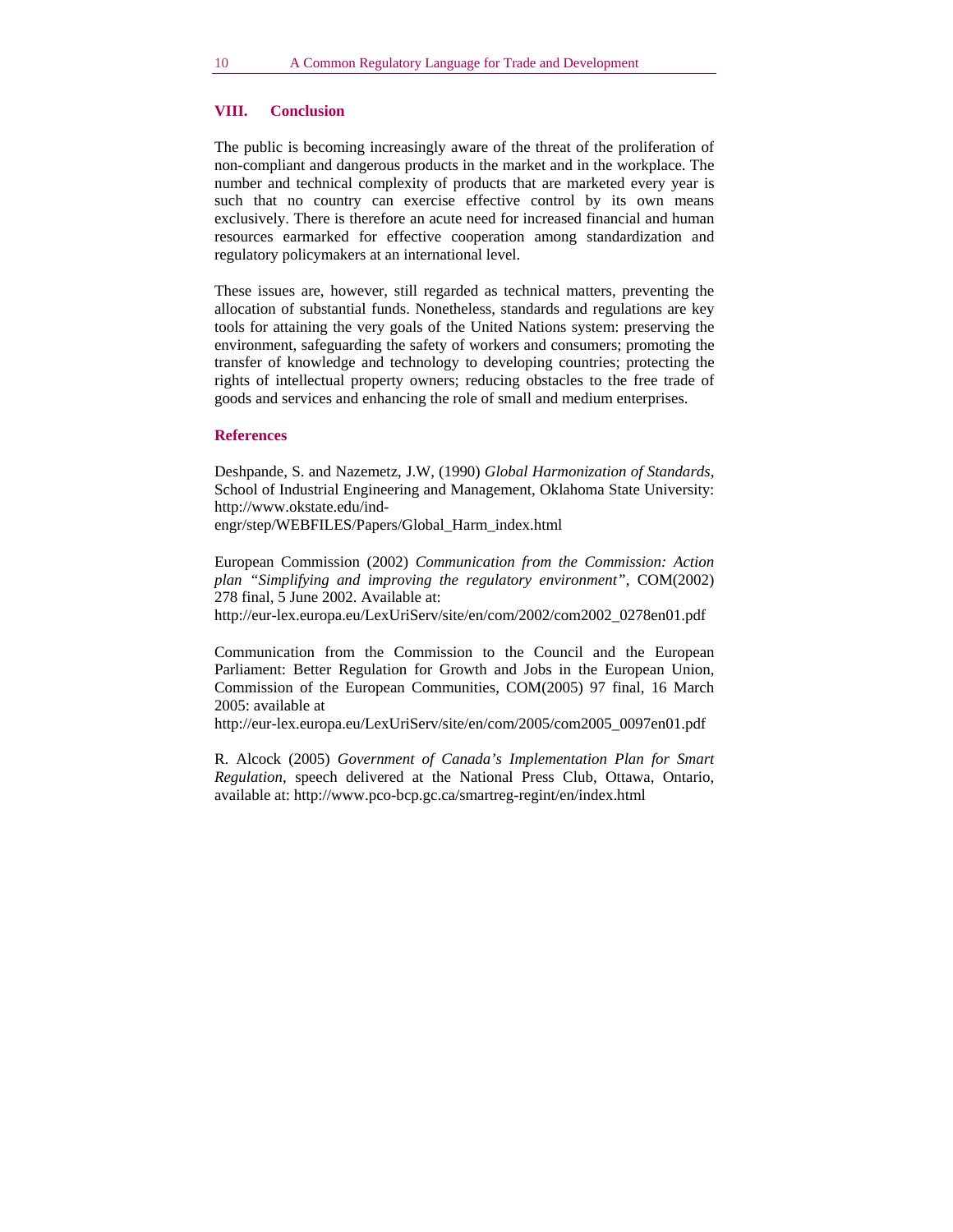#### **VIII. Conclusion**

The public is becoming increasingly aware of the threat of the proliferation of non-compliant and dangerous products in the market and in the workplace. The number and technical complexity of products that are marketed every year is such that no country can exercise effective control by its own means exclusively. There is therefore an acute need for increased financial and human resources earmarked for effective cooperation among standardization and regulatory policymakers at an international level.

These issues are, however, still regarded as technical matters, preventing the allocation of substantial funds. Nonetheless, standards and regulations are key tools for attaining the very goals of the United Nations system: preserving the environment, safeguarding the safety of workers and consumers; promoting the transfer of knowledge and technology to developing countries; protecting the rights of intellectual property owners; reducing obstacles to the free trade of goods and services and enhancing the role of small and medium enterprises.

#### **References**

Deshpande, S. and Nazemetz, J.W, (1990) *Global Harmonization of Standards*, School of Industrial Engineering and Management, Oklahoma State University: http://www.okstate.edu/ind-

engr/step/WEBFILES/Papers/Global\_Harm\_index.html

European Commission (2002) *Communication from the Commission: Action plan "Simplifying and improving the regulatory environment"*, COM(2002) 278 final, 5 June 2002. Available at:

http://eur-lex.europa.eu/LexUriServ/site/en/com/2002/com2002\_0278en01.pdf

Communication from the Commission to the Council and the European Parliament: Better Regulation for Growth and Jobs in the European Union, Commission of the European Communities, COM(2005) 97 final, 16 March 2005: available at

http://eur-lex.europa.eu/LexUriServ/site/en/com/2005/com2005\_0097en01.pdf

R. Alcock (2005) *Government of Canada's Implementation Plan for Smart Regulation*, speech delivered at the National Press Club, Ottawa, Ontario, available at: http://www.pco-bcp.gc.ca/smartreg-regint/en/index.html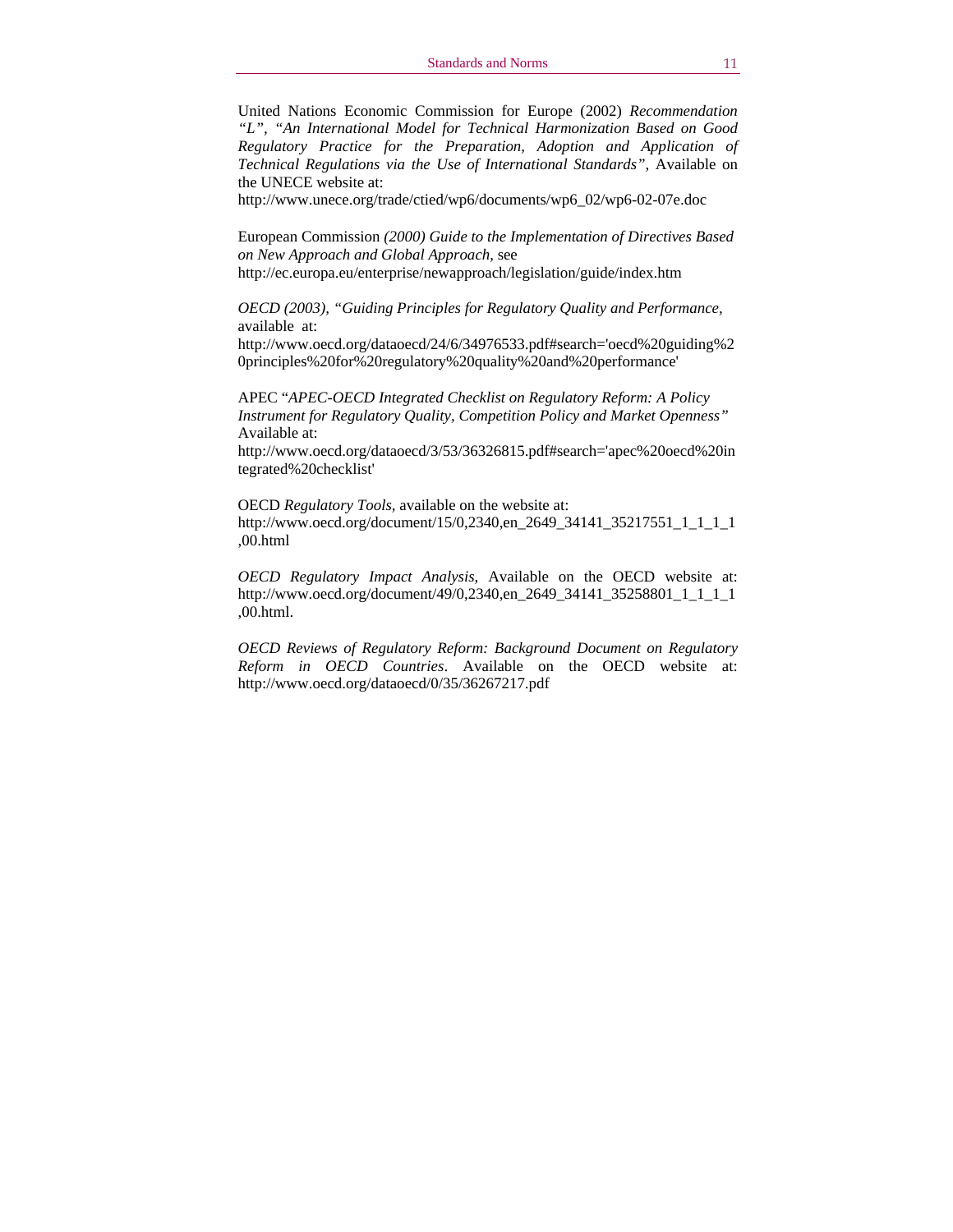United Nations Economic Commission for Europe (2002) *Recommendation "L", "An International Model for Technical Harmonization Based on Good Regulatory Practice for the Preparation, Adoption and Application of Technical Regulations via the Use of International Standards",* Available on the UNECE website at:

http://www.unece.org/trade/ctied/wp6/documents/wp6\_02/wp6-02-07e.doc

European Commission *(2000) Guide to the Implementation of Directives Based on New Approach and Global Approach*, see http://ec.europa.eu/enterprise/newapproach/legislation/guide/index.htm

*OECD (2003), "Guiding Principles for Regulatory Quality and Performance,*  available at:

http://www.oecd.org/dataoecd/24/6/34976533.pdf#search='oecd%20guiding%2 0principles%20for%20regulatory%20quality%20and%20performance'

APEC "*APEC-OECD Integrated Checklist on Regulatory Reform: A Policy Instrument for Regulatory Quality, Competition Policy and Market Openness"*  Available at:

http://www.oecd.org/dataoecd/3/53/36326815.pdf#search='apec%20oecd%20in tegrated%20checklist'

OECD *Regulatory Tools,* available on the website at: http://www.oecd.org/document/15/0,2340,en\_2649\_34141\_35217551\_1\_1\_1\_1 ,00.html

*OECD Regulatory Impact Analysis*, Available on the OECD website at: http://www.oecd.org/document/49/0,2340,en\_2649\_34141\_35258801\_1\_1\_1\_1 ,00.html.

*OECD Reviews of Regulatory Reform: Background Document on Regulatory Reform in OECD Countries*. Available on the OECD website at: http://www.oecd.org/dataoecd/0/35/36267217.pdf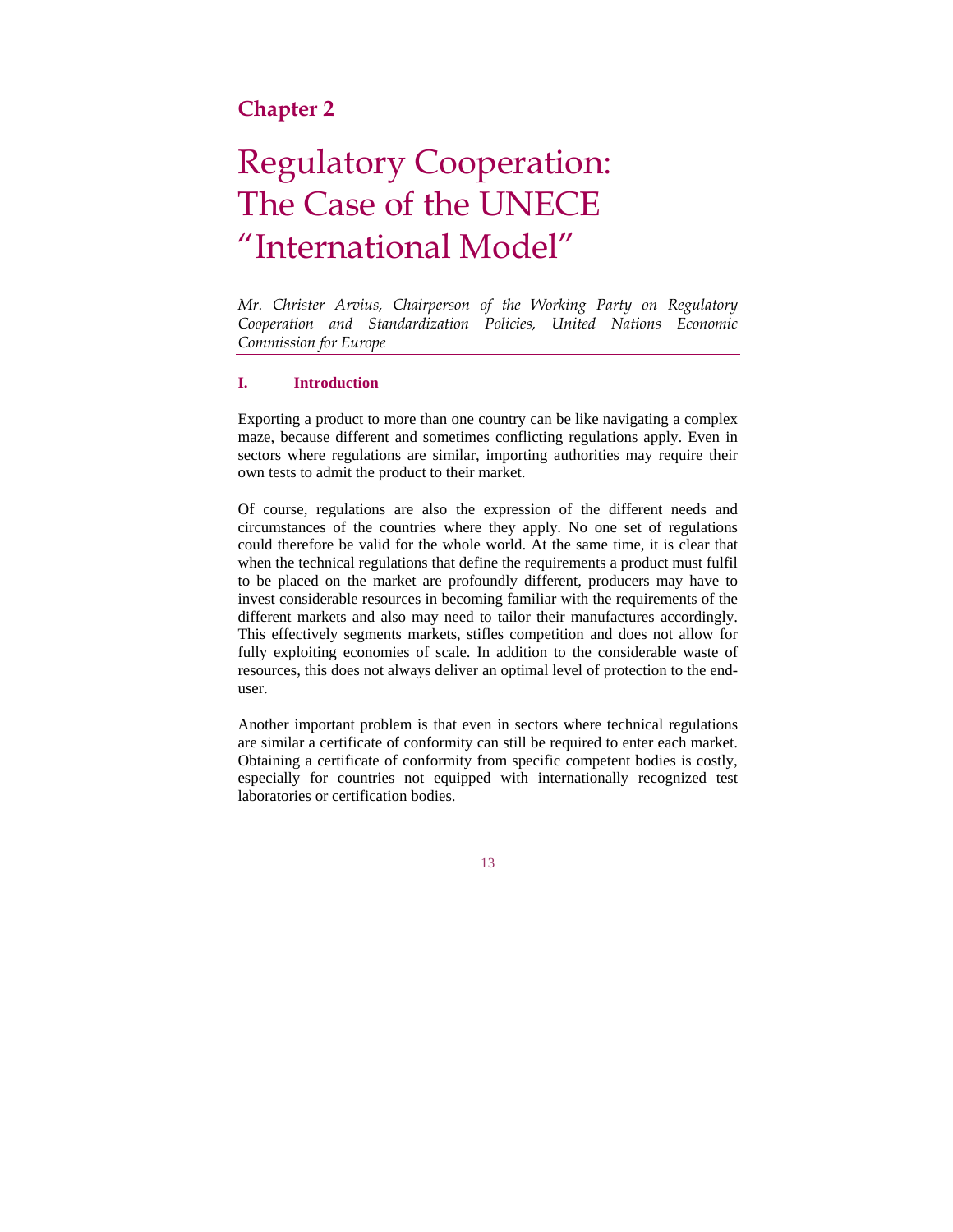# **Chapter 2**

# Regulatory Cooperation: The Case of the UNECE "International Model"

*Mr. Christer Arvius, Chairperson of the Working Party on Regulatory Cooperation and Standardization Policies, United Nations Economic Commission for Europe* 

# **I. Introduction**

Exporting a product to more than one country can be like navigating a complex maze, because different and sometimes conflicting regulations apply. Even in sectors where regulations are similar, importing authorities may require their own tests to admit the product to their market.

Of course, regulations are also the expression of the different needs and circumstances of the countries where they apply. No one set of regulations could therefore be valid for the whole world. At the same time, it is clear that when the technical regulations that define the requirements a product must fulfil to be placed on the market are profoundly different, producers may have to invest considerable resources in becoming familiar with the requirements of the different markets and also may need to tailor their manufactures accordingly. This effectively segments markets, stifles competition and does not allow for fully exploiting economies of scale. In addition to the considerable waste of resources, this does not always deliver an optimal level of protection to the enduser.

Another important problem is that even in sectors where technical regulations are similar a certificate of conformity can still be required to enter each market. Obtaining a certificate of conformity from specific competent bodies is costly, especially for countries not equipped with internationally recognized test laboratories or certification bodies.

13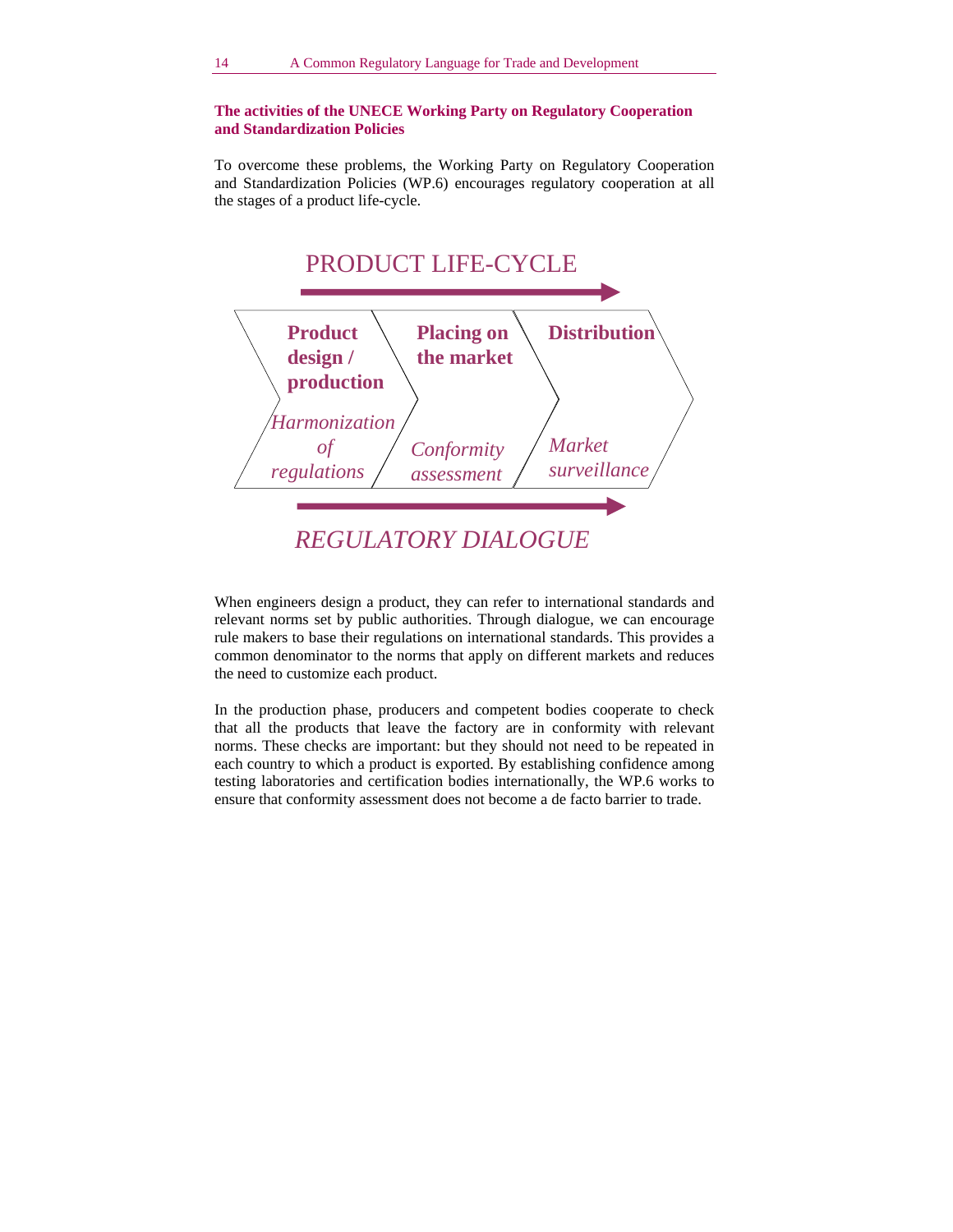## **The activities of the UNECE Working Party on Regulatory Cooperation and Standardization Policies**

To overcome these problems, the Working Party on Regulatory Cooperation and Standardization Policies (WP.6) encourages regulatory cooperation at all the stages of a product life-cycle.



When engineers design a product, they can refer to international standards and relevant norms set by public authorities. Through dialogue, we can encourage rule makers to base their regulations on international standards. This provides a common denominator to the norms that apply on different markets and reduces the need to customize each product.

In the production phase, producers and competent bodies cooperate to check that all the products that leave the factory are in conformity with relevant norms. These checks are important: but they should not need to be repeated in each country to which a product is exported. By establishing confidence among testing laboratories and certification bodies internationally, the WP.6 works to ensure that conformity assessment does not become a de facto barrier to trade.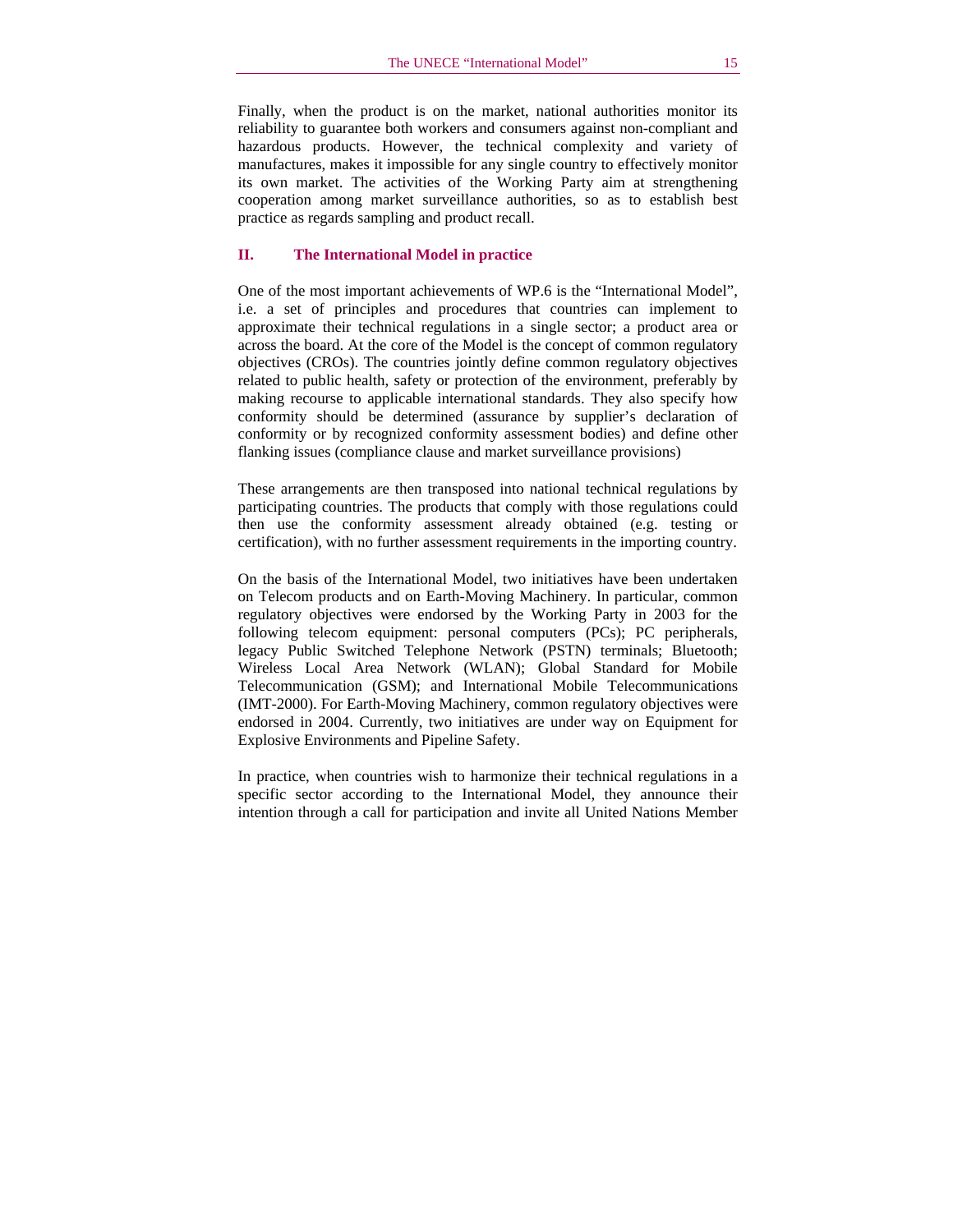Finally, when the product is on the market, national authorities monitor its reliability to guarantee both workers and consumers against non-compliant and hazardous products. However, the technical complexity and variety of manufactures, makes it impossible for any single country to effectively monitor its own market. The activities of the Working Party aim at strengthening cooperation among market surveillance authorities, so as to establish best practice as regards sampling and product recall.

## **II. The International Model in practice**

One of the most important achievements of WP.6 is the "International Model", i.e. a set of principles and procedures that countries can implement to approximate their technical regulations in a single sector; a product area or across the board. At the core of the Model is the concept of common regulatory objectives (CROs). The countries jointly define common regulatory objectives related to public health, safety or protection of the environment, preferably by making recourse to applicable international standards. They also specify how conformity should be determined (assurance by supplier's declaration of conformity or by recognized conformity assessment bodies) and define other flanking issues (compliance clause and market surveillance provisions)

These arrangements are then transposed into national technical regulations by participating countries. The products that comply with those regulations could then use the conformity assessment already obtained (e.g. testing or certification), with no further assessment requirements in the importing country.

On the basis of the International Model, two initiatives have been undertaken on Telecom products and on Earth-Moving Machinery. In particular, common regulatory objectives were endorsed by the Working Party in 2003 for the following telecom equipment: personal computers (PCs); PC peripherals, legacy Public Switched Telephone Network (PSTN) terminals; Bluetooth; Wireless Local Area Network (WLAN); Global Standard for Mobile Telecommunication (GSM); and International Mobile Telecommunications (IMT-2000). For Earth-Moving Machinery, common regulatory objectives were endorsed in 2004. Currently, two initiatives are under way on Equipment for Explosive Environments and Pipeline Safety.

In practice, when countries wish to harmonize their technical regulations in a specific sector according to the International Model, they announce their intention through a call for participation and invite all United Nations Member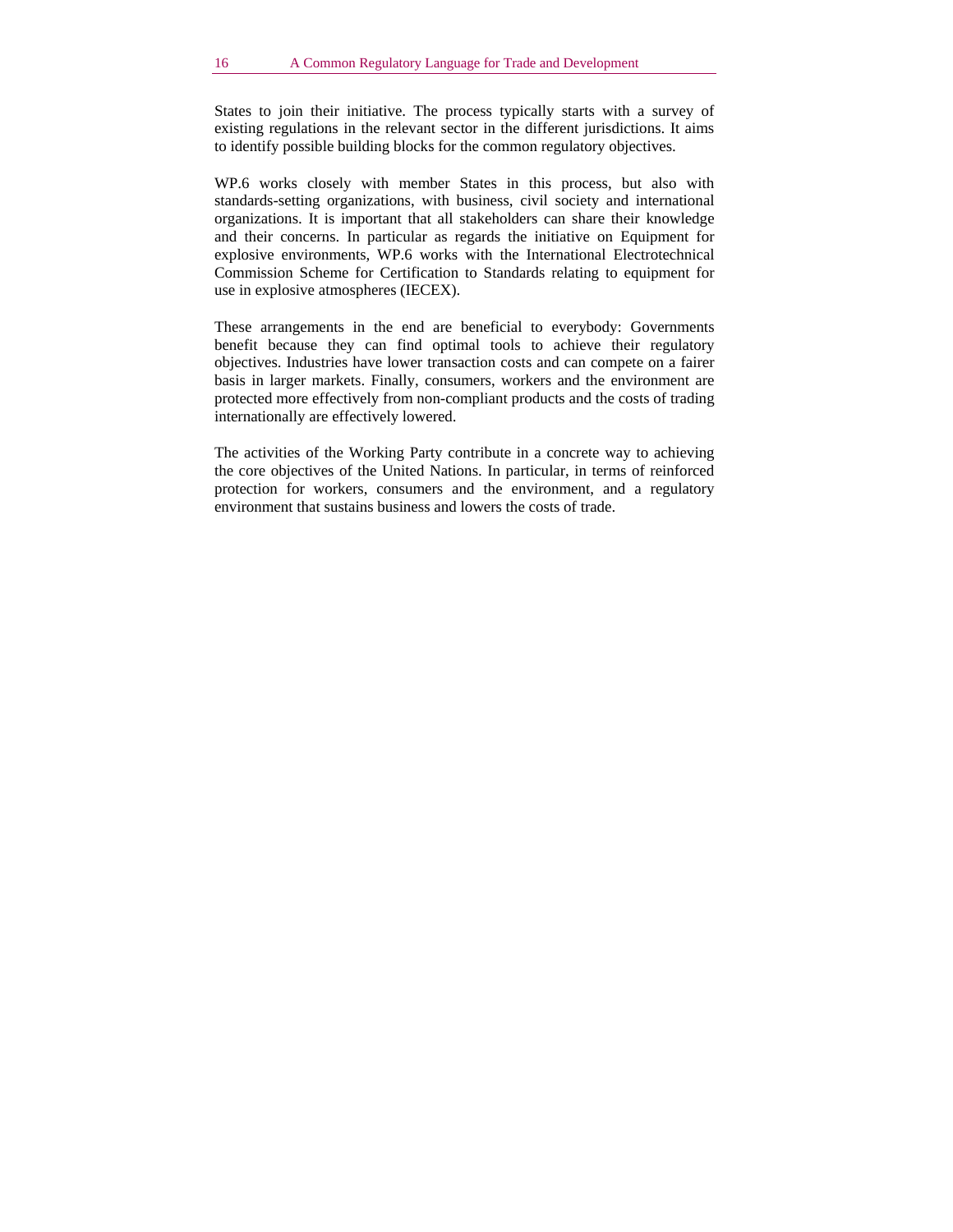States to join their initiative. The process typically starts with a survey of existing regulations in the relevant sector in the different jurisdictions. It aims to identify possible building blocks for the common regulatory objectives.

WP.6 works closely with member States in this process, but also with standards-setting organizations, with business, civil society and international organizations. It is important that all stakeholders can share their knowledge and their concerns. In particular as regards the initiative on Equipment for explosive environments, WP.6 works with the International Electrotechnical Commission Scheme for Certification to Standards relating to equipment for use in explosive atmospheres (IECEX).

These arrangements in the end are beneficial to everybody: Governments benefit because they can find optimal tools to achieve their regulatory objectives. Industries have lower transaction costs and can compete on a fairer basis in larger markets. Finally, consumers, workers and the environment are protected more effectively from non-compliant products and the costs of trading internationally are effectively lowered.

The activities of the Working Party contribute in a concrete way to achieving the core objectives of the United Nations. In particular, in terms of reinforced protection for workers, consumers and the environment, and a regulatory environment that sustains business and lowers the costs of trade.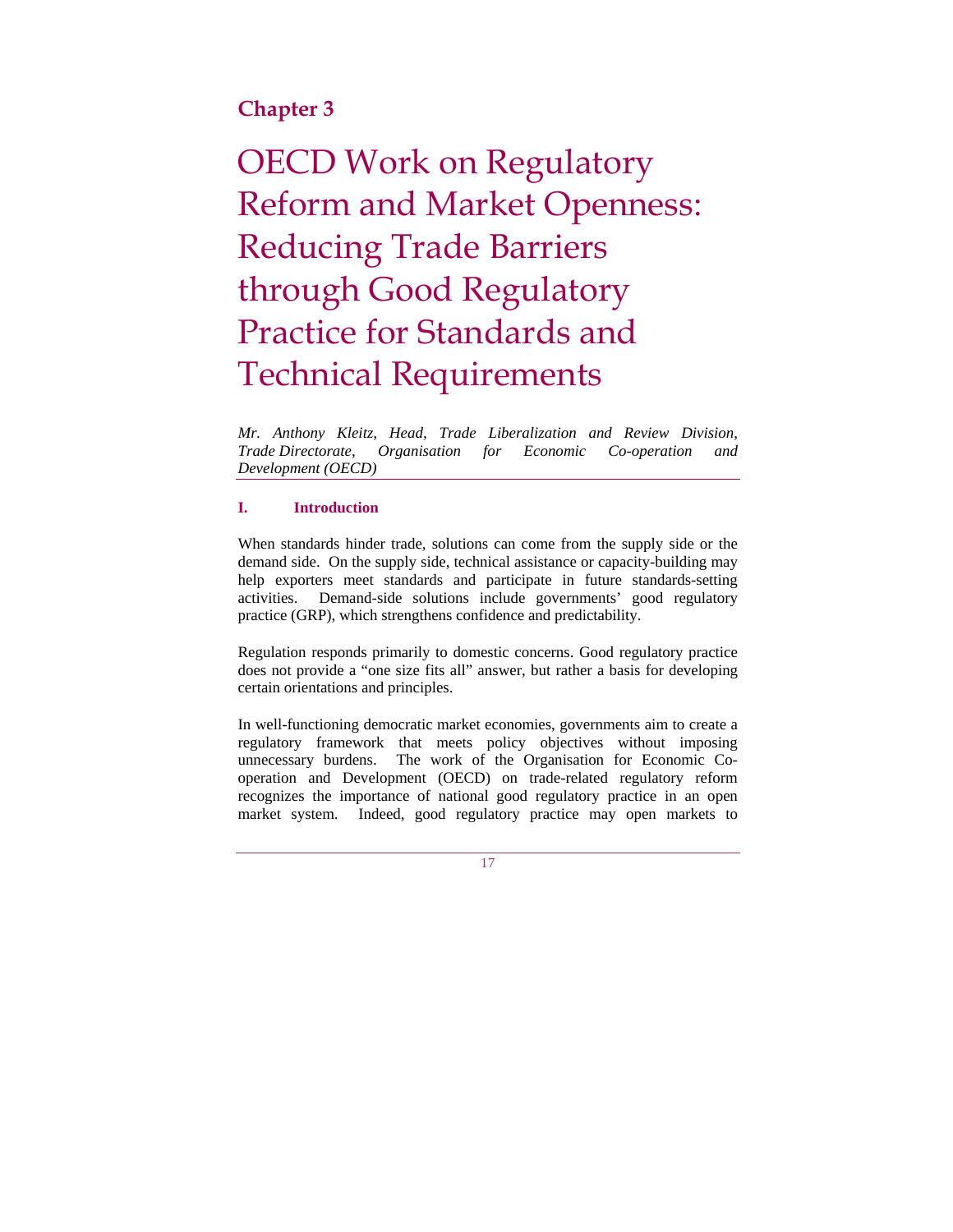# **Chapter 3**

# OECD Work on Regulatory Reform and Market Openness: Reducing Trade Barriers through Good Regulatory Practice for Standards and Technical Requirements

*Mr. Anthony Kleitz, Head, Trade Liberalization and Review Division, Trade Directorate, Organisation for Economic Co-operation and Development (OECD)* 

# **I. Introduction**

When standards hinder trade, solutions can come from the supply side or the demand side. On the supply side, technical assistance or capacity-building may help exporters meet standards and participate in future standards-setting activities. Demand-side solutions include governments' good regulatory practice (GRP), which strengthens confidence and predictability.

Regulation responds primarily to domestic concerns. Good regulatory practice does not provide a "one size fits all" answer, but rather a basis for developing certain orientations and principles.

In well-functioning democratic market economies, governments aim to create a regulatory framework that meets policy objectives without imposing unnecessary burdens. The work of the Organisation for Economic Cooperation and Development (OECD) on trade-related regulatory reform recognizes the importance of national good regulatory practice in an open market system. Indeed, good regulatory practice may open markets to

17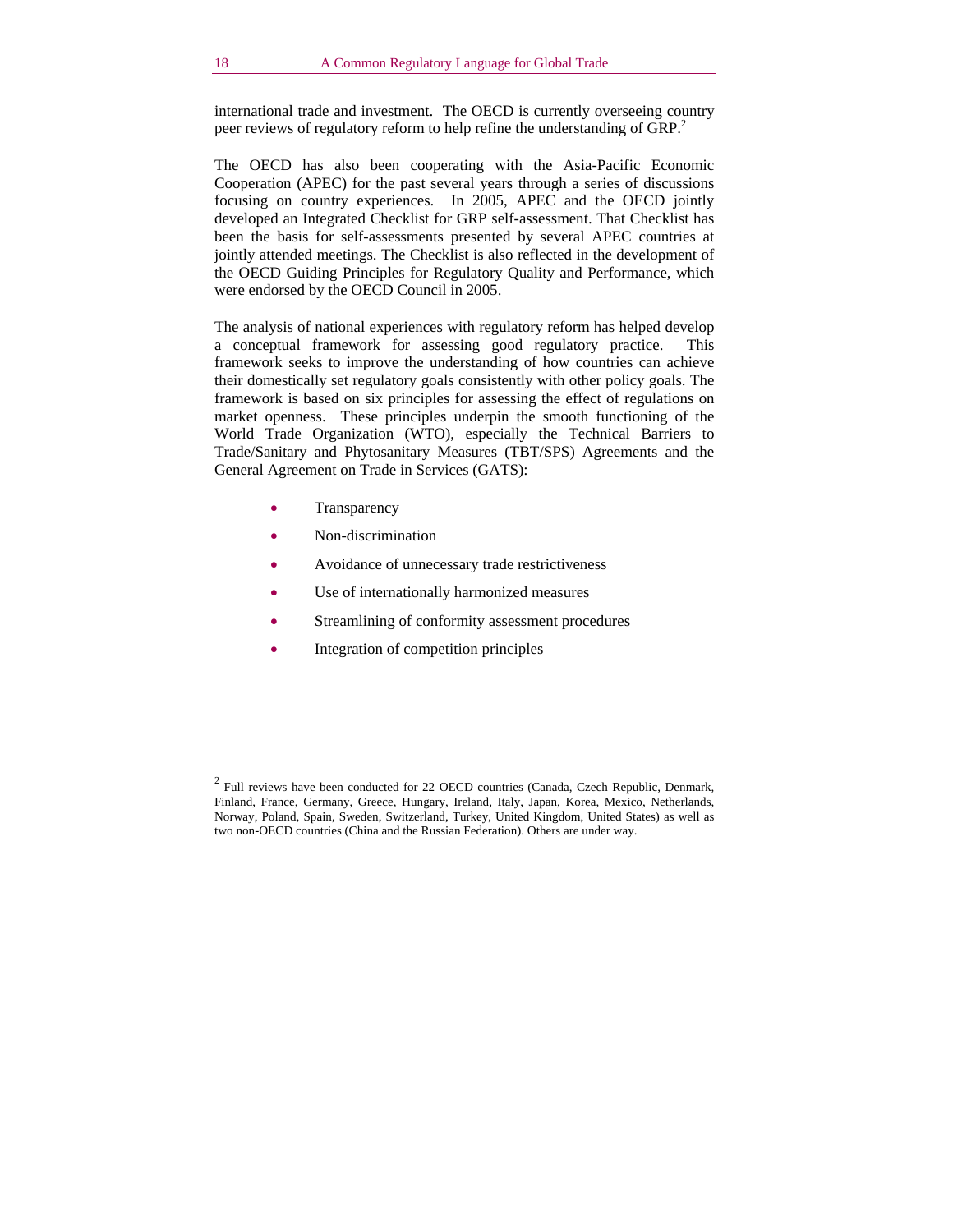international trade and investment. The OECD is currently overseeing country peer reviews of regulatory reform to help refine the understanding of GRP.<sup>2</sup>

The OECD has also been cooperating with the Asia-Pacific Economic Cooperation (APEC) for the past several years through a series of discussions focusing on country experiences. In 2005, APEC and the OECD jointly developed an Integrated Checklist for GRP self-assessment. That Checklist has been the basis for self-assessments presented by several APEC countries at jointly attended meetings. The Checklist is also reflected in the development of the OECD Guiding Principles for Regulatory Quality and Performance, which were endorsed by the OECD Council in 2005.

The analysis of national experiences with regulatory reform has helped develop a conceptual framework for assessing good regulatory practice. This framework seeks to improve the understanding of how countries can achieve their domestically set regulatory goals consistently with other policy goals. The framework is based on six principles for assessing the effect of regulations on market openness. These principles underpin the smooth functioning of the World Trade Organization (WTO), especially the Technical Barriers to Trade/Sanitary and Phytosanitary Measures (TBT/SPS) Agreements and the General Agreement on Trade in Services (GATS):

- **Transparency**
- Non-discrimination
- Avoidance of unnecessary trade restrictiveness
- Use of internationally harmonized measures
- Streamlining of conformity assessment procedures
- Integration of competition principles

-

 $2$  Full reviews have been conducted for 22 OECD countries (Canada, Czech Republic, Denmark, Finland, France, Germany, Greece, Hungary, Ireland, Italy, Japan, Korea, Mexico, Netherlands, Norway, Poland, Spain, Sweden, Switzerland, Turkey, United Kingdom, United States) as well as two non-OECD countries (China and the Russian Federation). Others are under way.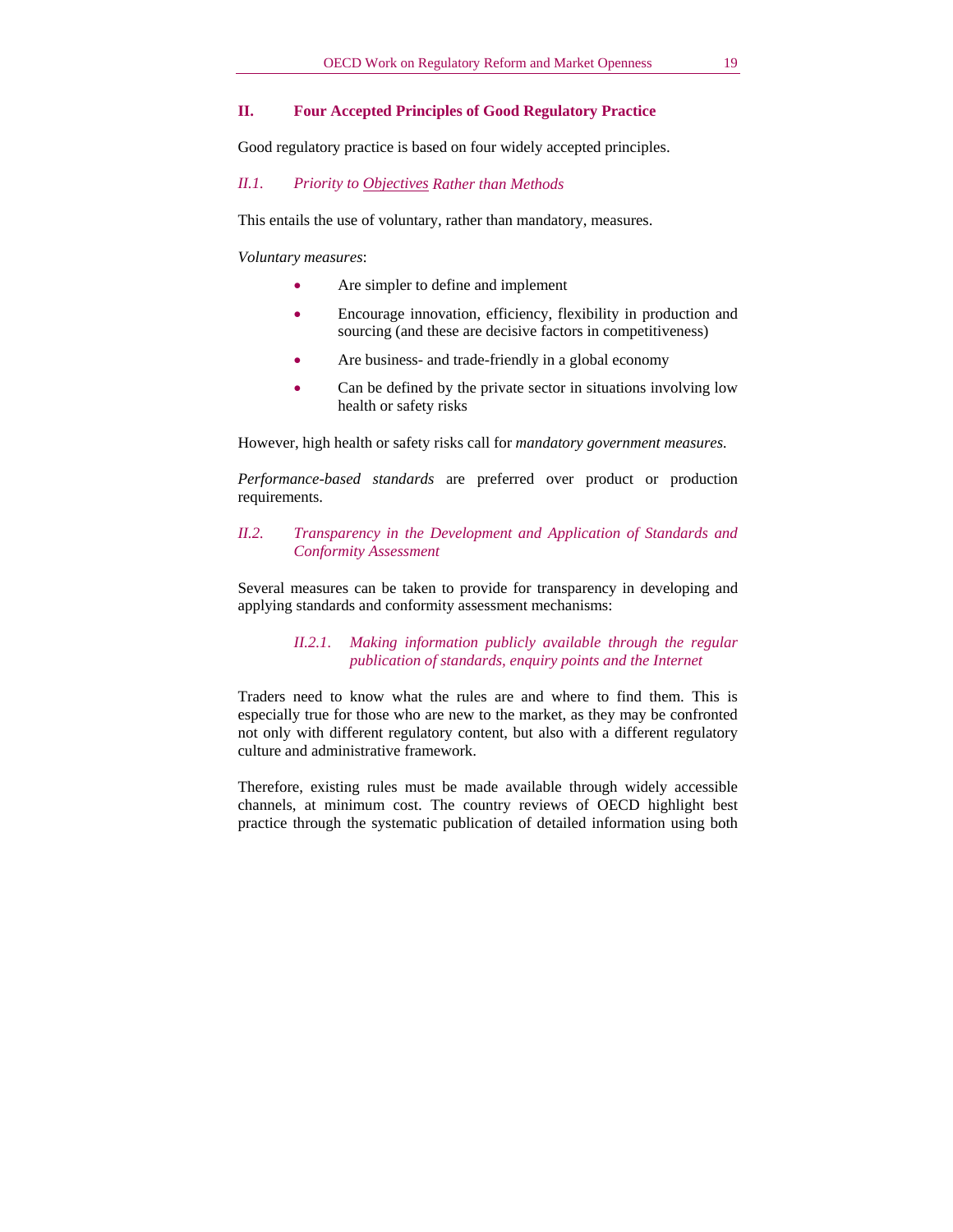# **II. Four Accepted Principles of Good Regulatory Practice**

Good regulatory practice is based on four widely accepted principles.

#### *II.1. Priority to Objectives Rather than Methods*

This entails the use of voluntary, rather than mandatory, measures.

*Voluntary measures*:

- Are simpler to define and implement
- Encourage innovation, efficiency, flexibility in production and sourcing (and these are decisive factors in competitiveness)
- Are business- and trade-friendly in a global economy
- Can be defined by the private sector in situations involving low health or safety risks

However, high health or safety risks call for *mandatory government measures.* 

*Performance-based standards* are preferred over product or production requirements.

#### *II.2. Transparency in the Development and Application of Standards and Conformity Assessment*

Several measures can be taken to provide for transparency in developing and applying standards and conformity assessment mechanisms:

# *II.2.1. Making information publicly available through the regular publication of standards, enquiry points and the Internet*

Traders need to know what the rules are and where to find them. This is especially true for those who are new to the market, as they may be confronted not only with different regulatory content, but also with a different regulatory culture and administrative framework.

Therefore, existing rules must be made available through widely accessible channels, at minimum cost. The country reviews of OECD highlight best practice through the systematic publication of detailed information using both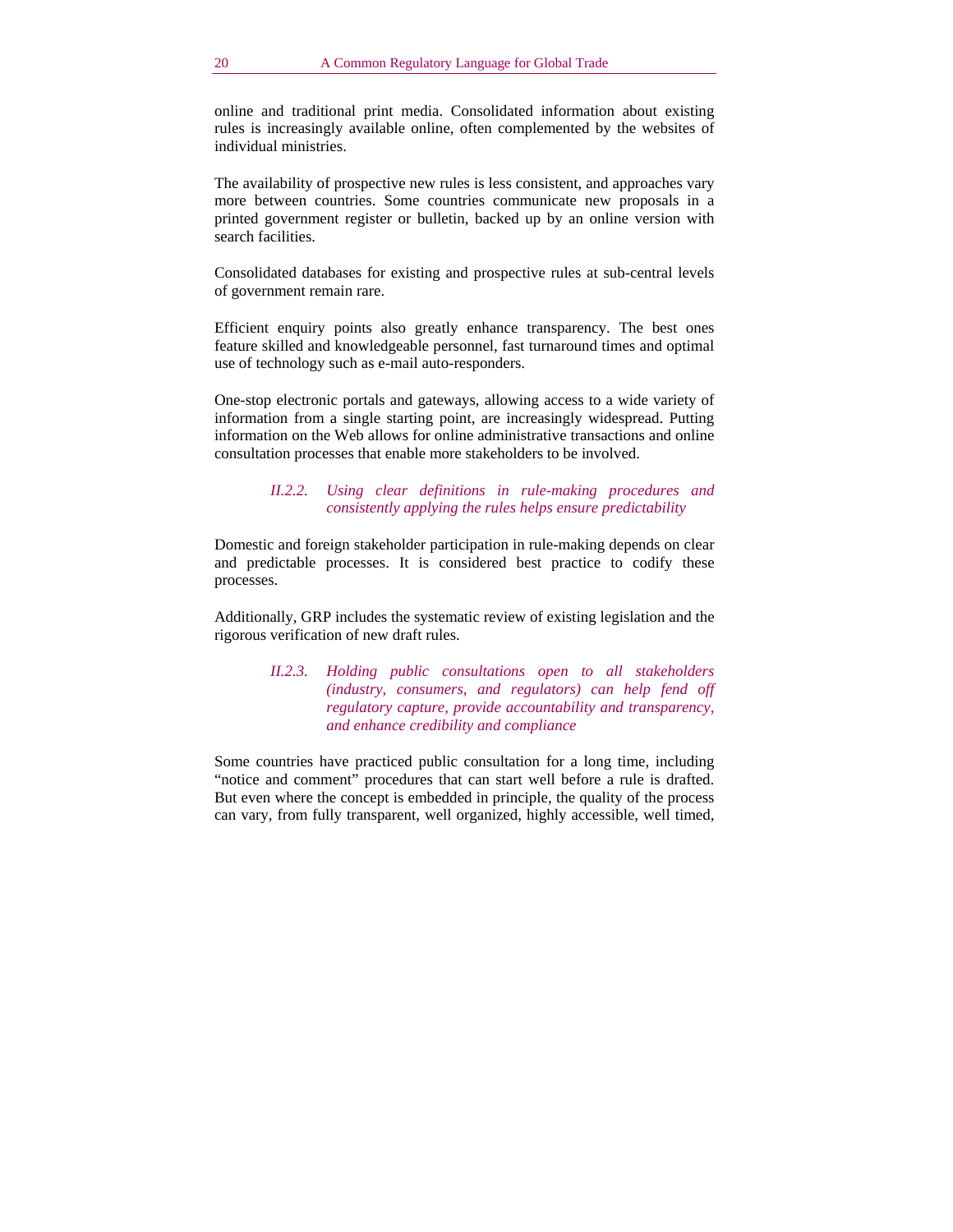online and traditional print media. Consolidated information about existing rules is increasingly available online, often complemented by the websites of individual ministries.

The availability of prospective new rules is less consistent, and approaches vary more between countries. Some countries communicate new proposals in a printed government register or bulletin, backed up by an online version with search facilities.

Consolidated databases for existing and prospective rules at sub-central levels of government remain rare.

Efficient enquiry points also greatly enhance transparency. The best ones feature skilled and knowledgeable personnel, fast turnaround times and optimal use of technology such as e-mail auto-responders.

One-stop electronic portals and gateways, allowing access to a wide variety of information from a single starting point, are increasingly widespread. Putting information on the Web allows for online administrative transactions and online consultation processes that enable more stakeholders to be involved.

> *II.2.2. Using clear definitions in rule-making procedures and consistently applying the rules helps ensure predictability*

Domestic and foreign stakeholder participation in rule-making depends on clear and predictable processes. It is considered best practice to codify these processes.

Additionally, GRP includes the systematic review of existing legislation and the rigorous verification of new draft rules.

> *II.2.3. Holding public consultations open to all stakeholders (industry, consumers, and regulators) can help fend off regulatory capture, provide accountability and transparency, and enhance credibility and compliance*

Some countries have practiced public consultation for a long time, including "notice and comment" procedures that can start well before a rule is drafted. But even where the concept is embedded in principle, the quality of the process can vary, from fully transparent, well organized, highly accessible, well timed,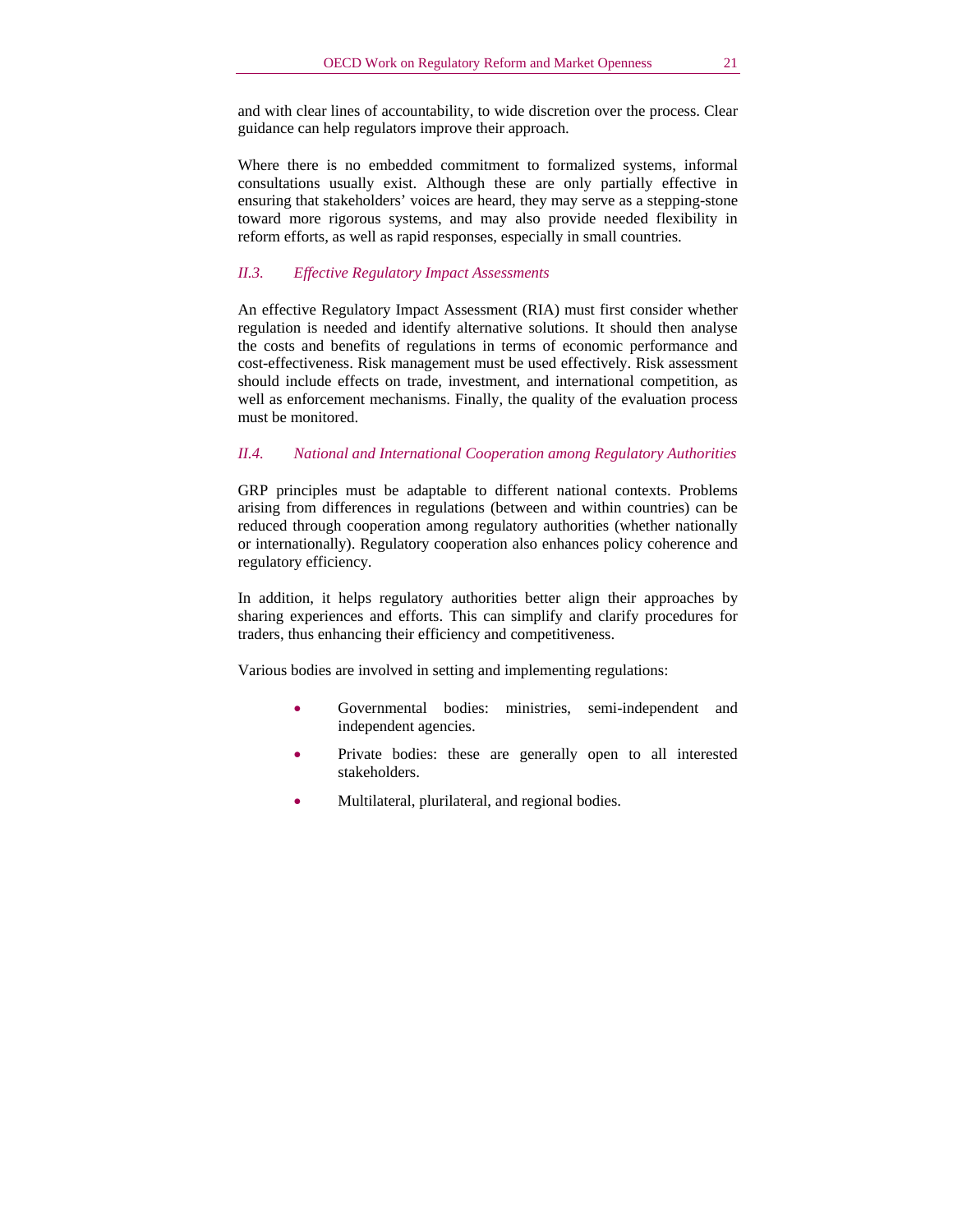and with clear lines of accountability, to wide discretion over the process. Clear guidance can help regulators improve their approach.

Where there is no embedded commitment to formalized systems, informal consultations usually exist. Although these are only partially effective in ensuring that stakeholders' voices are heard, they may serve as a stepping-stone toward more rigorous systems, and may also provide needed flexibility in reform efforts, as well as rapid responses, especially in small countries.

# *II.3. Effective Regulatory Impact Assessments*

An effective Regulatory Impact Assessment (RIA) must first consider whether regulation is needed and identify alternative solutions. It should then analyse the costs and benefits of regulations in terms of economic performance and cost-effectiveness. Risk management must be used effectively. Risk assessment should include effects on trade, investment, and international competition, as well as enforcement mechanisms. Finally, the quality of the evaluation process must be monitored.

# *II.4. National and International Cooperation among Regulatory Authorities*

GRP principles must be adaptable to different national contexts. Problems arising from differences in regulations (between and within countries) can be reduced through cooperation among regulatory authorities (whether nationally or internationally). Regulatory cooperation also enhances policy coherence and regulatory efficiency.

In addition, it helps regulatory authorities better align their approaches by sharing experiences and efforts. This can simplify and clarify procedures for traders, thus enhancing their efficiency and competitiveness.

Various bodies are involved in setting and implementing regulations:

- Governmental bodies: ministries, semi-independent and independent agencies.
- Private bodies: these are generally open to all interested stakeholders.
- Multilateral, plurilateral, and regional bodies.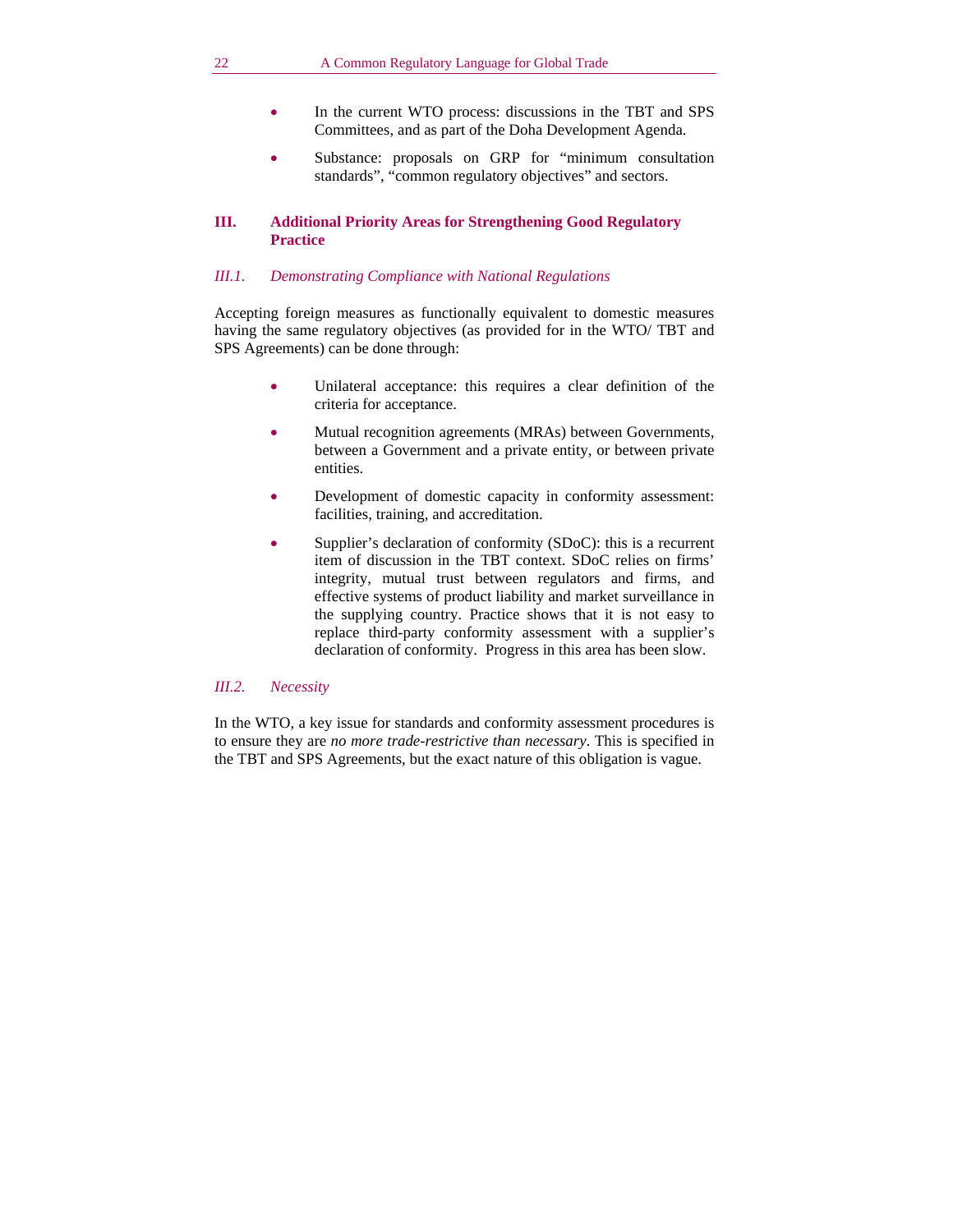- In the current WTO process: discussions in the TBT and SPS Committees, and as part of the Doha Development Agenda.
- Substance: proposals on GRP for "minimum consultation standards", "common regulatory objectives" and sectors.

### **III. Additional Priority Areas for Strengthening Good Regulatory Practice**

## *III.1. Demonstrating Compliance with National Regulations*

Accepting foreign measures as functionally equivalent to domestic measures having the same regulatory objectives (as provided for in the WTO/ TBT and SPS Agreements) can be done through:

- Unilateral acceptance: this requires a clear definition of the criteria for acceptance.
- Mutual recognition agreements (MRAs) between Governments, between a Government and a private entity, or between private entities.
- Development of domestic capacity in conformity assessment: facilities, training, and accreditation.
- Supplier's declaration of conformity (SDoC): this is a recurrent item of discussion in the TBT context. SDoC relies on firms' integrity, mutual trust between regulators and firms, and effective systems of product liability and market surveillance in the supplying country. Practice shows that it is not easy to replace third-party conformity assessment with a supplier's declaration of conformity. Progress in this area has been slow.

# *III.2. Necessity*

In the WTO, a key issue for standards and conformity assessment procedures is to ensure they are *no more trade-restrictive than necessary*. This is specified in the TBT and SPS Agreements, but the exact nature of this obligation is vague.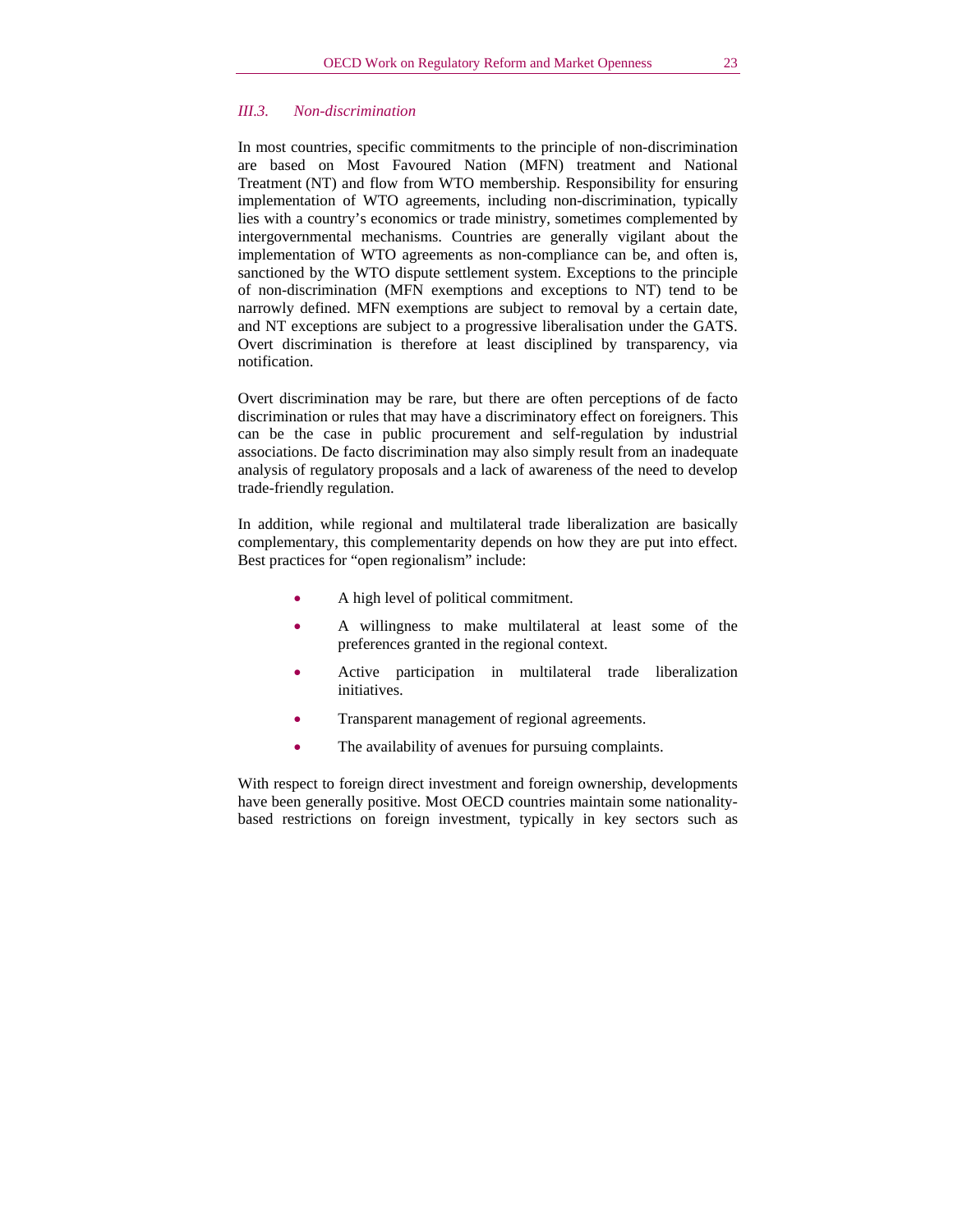#### *III.3. Non-discrimination*

In most countries, specific commitments to the principle of non-discrimination are based on Most Favoured Nation (MFN) treatment and National Treatment (NT) and flow from WTO membership. Responsibility for ensuring implementation of WTO agreements, including non-discrimination, typically lies with a country's economics or trade ministry, sometimes complemented by intergovernmental mechanisms. Countries are generally vigilant about the implementation of WTO agreements as non-compliance can be, and often is, sanctioned by the WTO dispute settlement system. Exceptions to the principle of non-discrimination (MFN exemptions and exceptions to NT) tend to be narrowly defined. MFN exemptions are subject to removal by a certain date, and NT exceptions are subject to a progressive liberalisation under the GATS. Overt discrimination is therefore at least disciplined by transparency, via notification.

Overt discrimination may be rare, but there are often perceptions of de facto discrimination or rules that may have a discriminatory effect on foreigners. This can be the case in public procurement and self-regulation by industrial associations. De facto discrimination may also simply result from an inadequate analysis of regulatory proposals and a lack of awareness of the need to develop trade-friendly regulation.

In addition, while regional and multilateral trade liberalization are basically complementary, this complementarity depends on how they are put into effect. Best practices for "open regionalism" include:

- A high level of political commitment.
- A willingness to make multilateral at least some of the preferences granted in the regional context.
- Active participation in multilateral trade liberalization initiatives.
- Transparent management of regional agreements.
- The availability of avenues for pursuing complaints.

With respect to foreign direct investment and foreign ownership, developments have been generally positive. Most OECD countries maintain some nationalitybased restrictions on foreign investment, typically in key sectors such as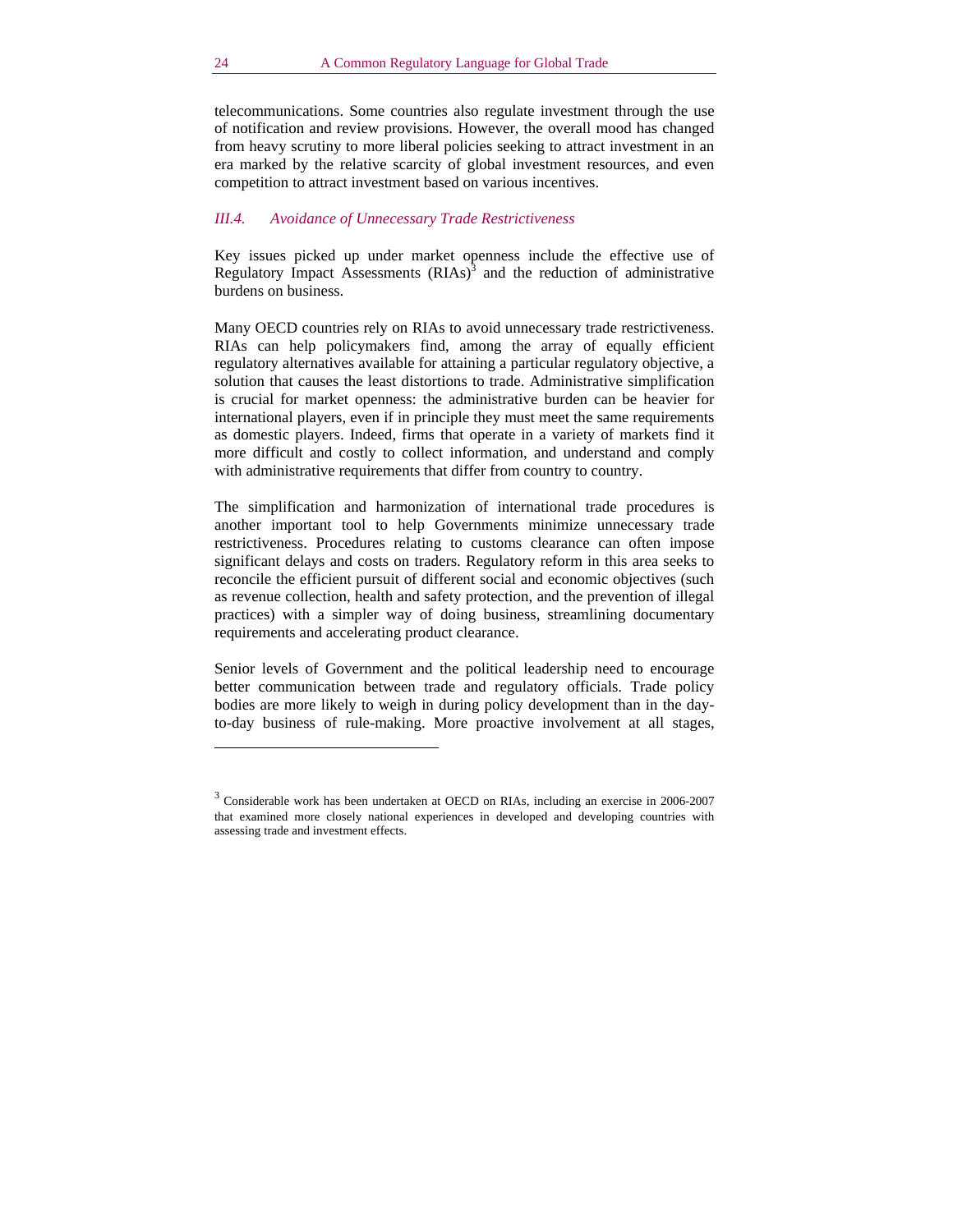telecommunications. Some countries also regulate investment through the use of notification and review provisions. However, the overall mood has changed from heavy scrutiny to more liberal policies seeking to attract investment in an era marked by the relative scarcity of global investment resources, and even competition to attract investment based on various incentives.

#### *III.4. Avoidance of Unnecessary Trade Restrictiveness*

Key issues picked up under market openness include the effective use of Regulatory Impact Assessments  $(RIAs)^3$  and the reduction of administrative burdens on business.

Many OECD countries rely on RIAs to avoid unnecessary trade restrictiveness. RIAs can help policymakers find, among the array of equally efficient regulatory alternatives available for attaining a particular regulatory objective, a solution that causes the least distortions to trade. Administrative simplification is crucial for market openness: the administrative burden can be heavier for international players, even if in principle they must meet the same requirements as domestic players. Indeed, firms that operate in a variety of markets find it more difficult and costly to collect information, and understand and comply with administrative requirements that differ from country to country.

The simplification and harmonization of international trade procedures is another important tool to help Governments minimize unnecessary trade restrictiveness. Procedures relating to customs clearance can often impose significant delays and costs on traders. Regulatory reform in this area seeks to reconcile the efficient pursuit of different social and economic objectives (such as revenue collection, health and safety protection, and the prevention of illegal practices) with a simpler way of doing business, streamlining documentary requirements and accelerating product clearance.

Senior levels of Government and the political leadership need to encourage better communication between trade and regulatory officials. Trade policy bodies are more likely to weigh in during policy development than in the dayto-day business of rule-making. More proactive involvement at all stages,

-

<sup>&</sup>lt;sup>3</sup> Considerable work has been undertaken at OECD on RIAs, including an exercise in 2006-2007 that examined more closely national experiences in developed and developing countries with assessing trade and investment effects.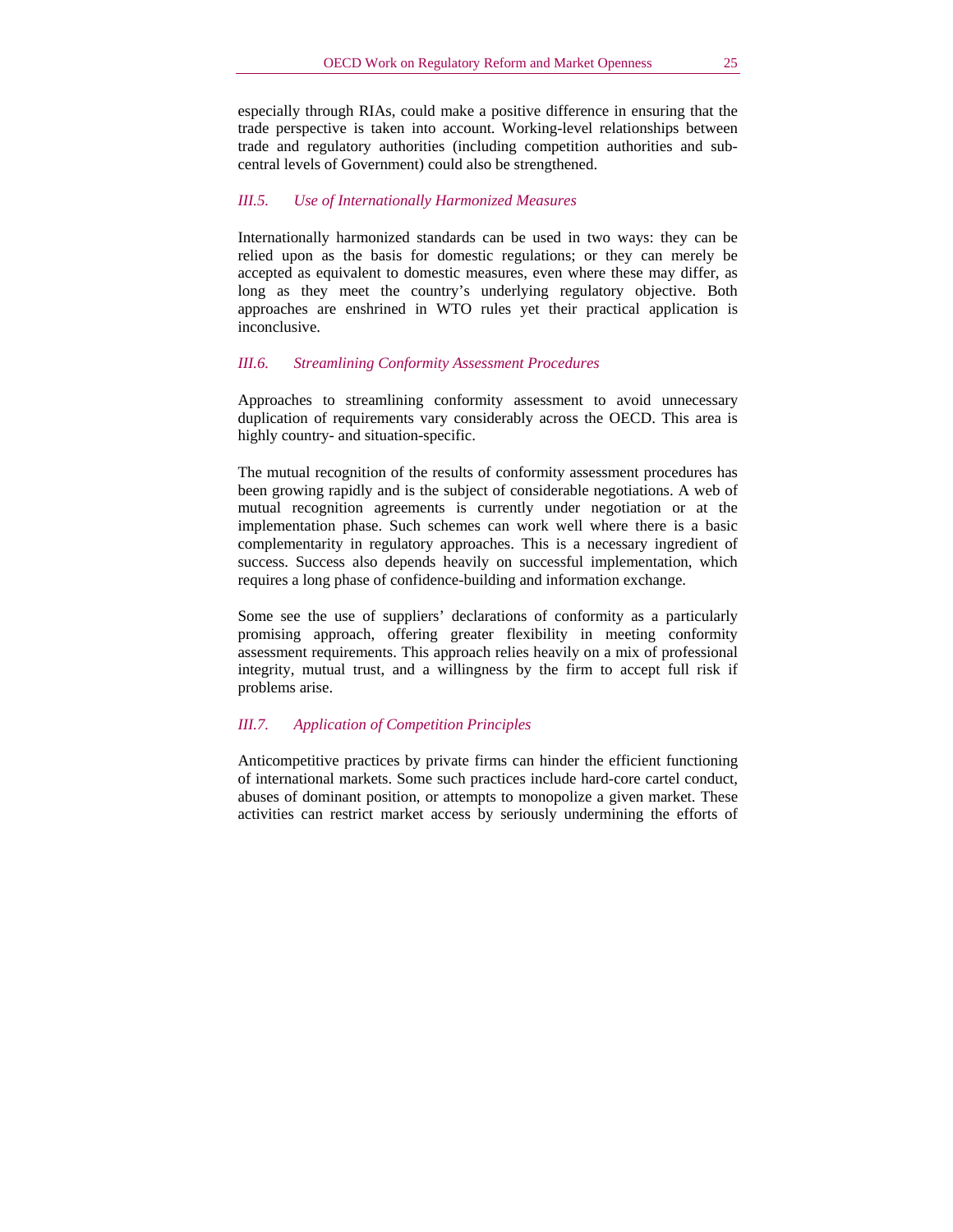especially through RIAs, could make a positive difference in ensuring that the trade perspective is taken into account. Working-level relationships between trade and regulatory authorities (including competition authorities and subcentral levels of Government) could also be strengthened.

#### *III.5. Use of Internationally Harmonized Measures*

Internationally harmonized standards can be used in two ways: they can be relied upon as the basis for domestic regulations; or they can merely be accepted as equivalent to domestic measures, even where these may differ, as long as they meet the country's underlying regulatory objective. Both approaches are enshrined in WTO rules yet their practical application is inconclusive.

#### *III.6. Streamlining Conformity Assessment Procedures*

Approaches to streamlining conformity assessment to avoid unnecessary duplication of requirements vary considerably across the OECD. This area is highly country- and situation-specific.

The mutual recognition of the results of conformity assessment procedures has been growing rapidly and is the subject of considerable negotiations. A web of mutual recognition agreements is currently under negotiation or at the implementation phase. Such schemes can work well where there is a basic complementarity in regulatory approaches. This is a necessary ingredient of success. Success also depends heavily on successful implementation, which requires a long phase of confidence-building and information exchange.

Some see the use of suppliers' declarations of conformity as a particularly promising approach, offering greater flexibility in meeting conformity assessment requirements. This approach relies heavily on a mix of professional integrity, mutual trust, and a willingness by the firm to accept full risk if problems arise.

### *III.7. Application of Competition Principles*

Anticompetitive practices by private firms can hinder the efficient functioning of international markets. Some such practices include hard-core cartel conduct, abuses of dominant position, or attempts to monopolize a given market. These activities can restrict market access by seriously undermining the efforts of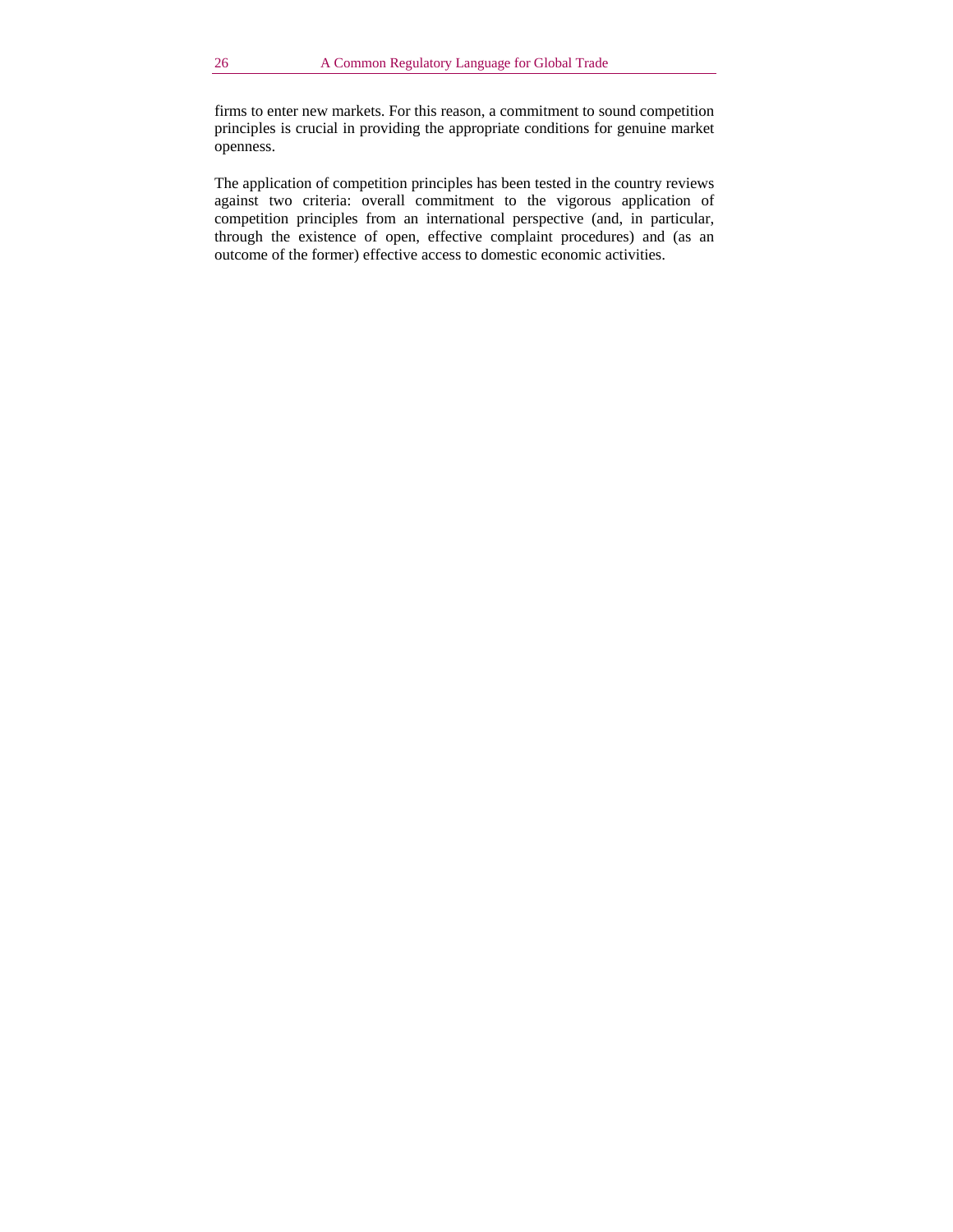firms to enter new markets. For this reason, a commitment to sound competition principles is crucial in providing the appropriate conditions for genuine market openness.

The application of competition principles has been tested in the country reviews against two criteria: overall commitment to the vigorous application of competition principles from an international perspective (and, in particular, through the existence of open, effective complaint procedures) and (as an outcome of the former) effective access to domestic economic activities.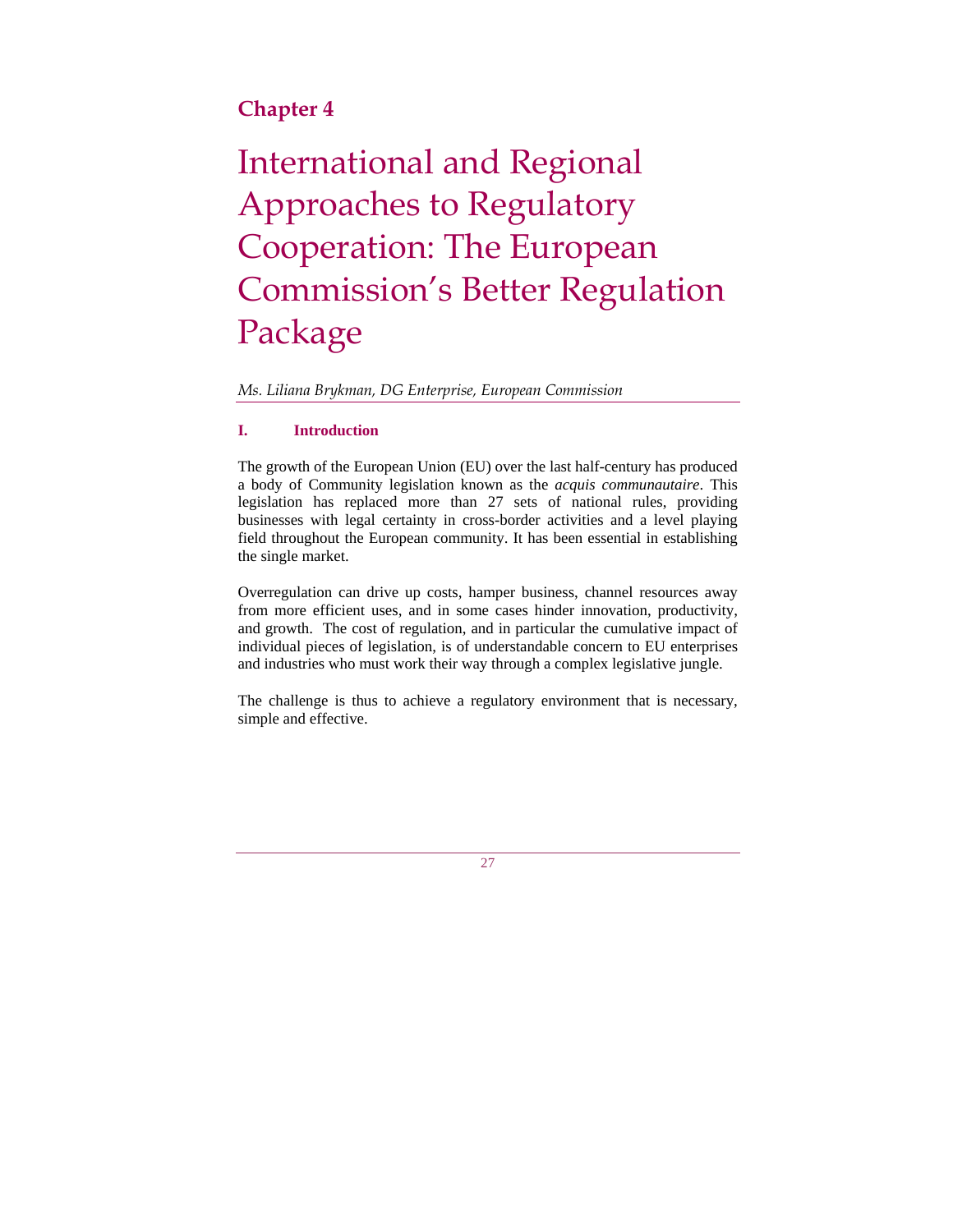# **Chapter 4**

# International and Regional Approaches to Regulatory Cooperation: The European Commission's Better Regulation Package

# *Ms. Liliana Brykman, DG Enterprise, European Commission*

# **I. Introduction**

The growth of the European Union (EU) over the last half-century has produced a body of Community legislation known as the *acquis communautaire*. This legislation has replaced more than 27 sets of national rules, providing businesses with legal certainty in cross-border activities and a level playing field throughout the European community. It has been essential in establishing the single market.

Overregulation can drive up costs, hamper business, channel resources away from more efficient uses, and in some cases hinder innovation, productivity, and growth. The cost of regulation, and in particular the cumulative impact of individual pieces of legislation, is of understandable concern to EU enterprises and industries who must work their way through a complex legislative jungle.

The challenge is thus to achieve a regulatory environment that is necessary, simple and effective.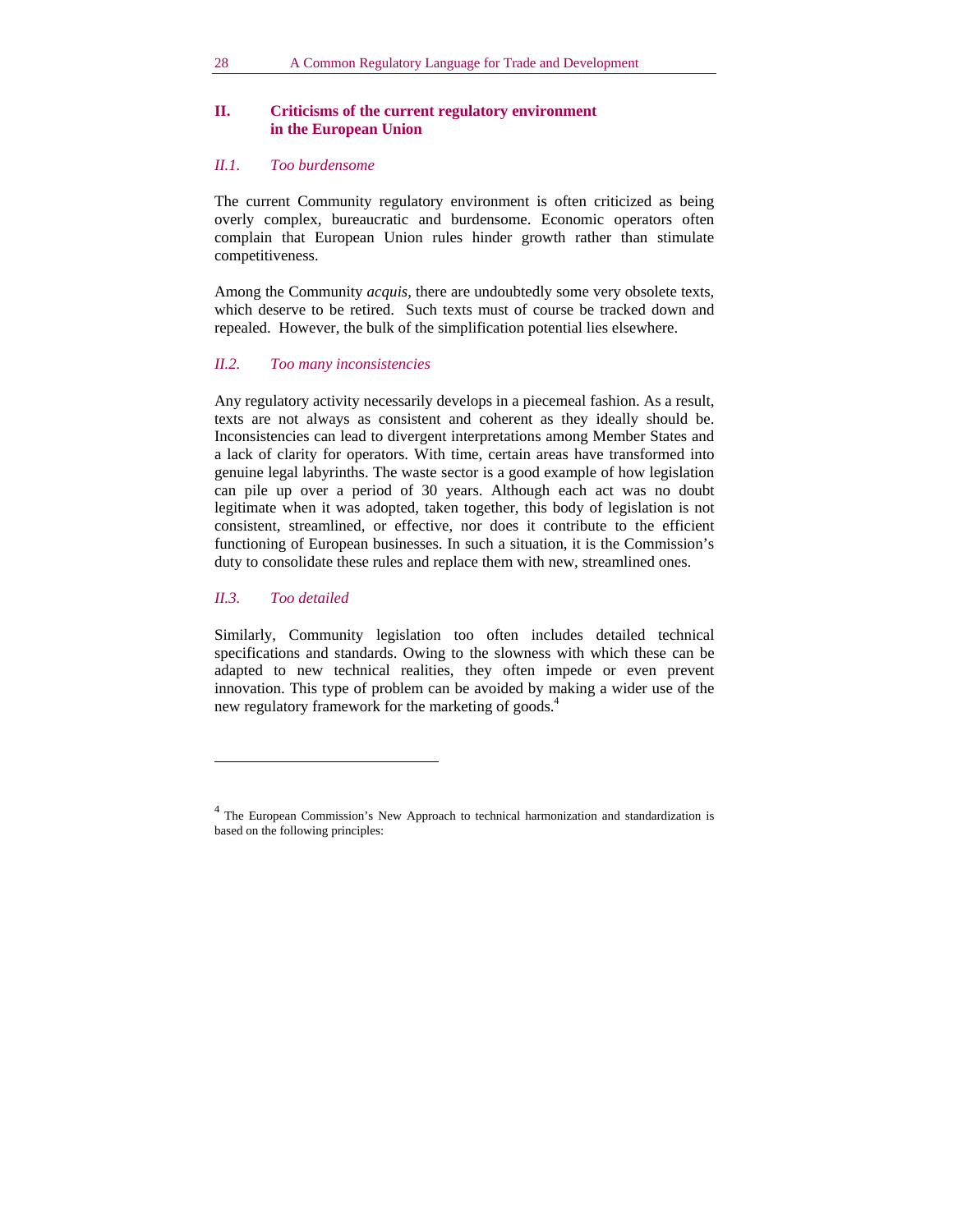# **II. Criticisms of the current regulatory environment in the European Union**

## *II.1. Too burdensome*

The current Community regulatory environment is often criticized as being overly complex, bureaucratic and burdensome. Economic operators often complain that European Union rules hinder growth rather than stimulate competitiveness.

Among the Community *acquis*, there are undoubtedly some very obsolete texts, which deserve to be retired. Such texts must of course be tracked down and repealed. However, the bulk of the simplification potential lies elsewhere.

#### *II.2. Too many inconsistencies*

Any regulatory activity necessarily develops in a piecemeal fashion. As a result, texts are not always as consistent and coherent as they ideally should be. Inconsistencies can lead to divergent interpretations among Member States and a lack of clarity for operators. With time, certain areas have transformed into genuine legal labyrinths. The waste sector is a good example of how legislation can pile up over a period of 30 years. Although each act was no doubt legitimate when it was adopted, taken together, this body of legislation is not consistent, streamlined, or effective, nor does it contribute to the efficient functioning of European businesses. In such a situation, it is the Commission's duty to consolidate these rules and replace them with new, streamlined ones.

### *II.3. Too detailed*

-

Similarly, Community legislation too often includes detailed technical specifications and standards. Owing to the slowness with which these can be adapted to new technical realities, they often impede or even prevent innovation. This type of problem can be avoided by making a wider use of the new regulatory framework for the marketing of goods.<sup>4</sup>

<sup>&</sup>lt;sup>4</sup> The European Commission's New Approach to technical harmonization and standardization is based on the following principles: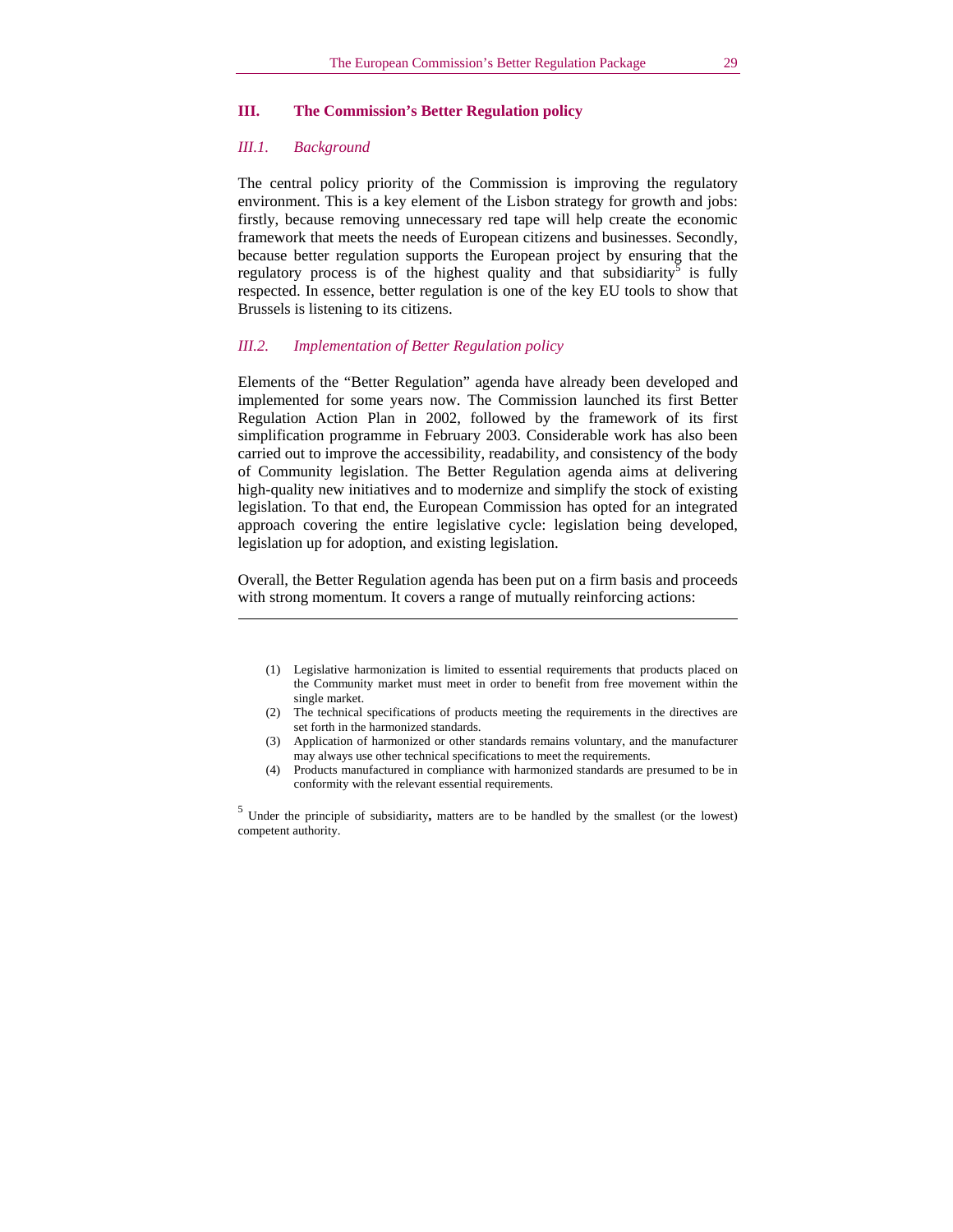#### **III. The Commission's Better Regulation policy**

#### *III.1. Background*

-

The central policy priority of the Commission is improving the regulatory environment. This is a key element of the Lisbon strategy for growth and jobs: firstly, because removing unnecessary red tape will help create the economic framework that meets the needs of European citizens and businesses. Secondly, because better regulation supports the European project by ensuring that the regulatory process is of the highest quality and that subsidiarity is fully respected. In essence, better regulation is one of the key EU tools to show that Brussels is listening to its citizens.

#### *III.2. Implementation of Better Regulation policy*

Elements of the "Better Regulation" agenda have already been developed and implemented for some years now. The Commission launched its first Better Regulation Action Plan in 2002, followed by the framework of its first simplification programme in February 2003. Considerable work has also been carried out to improve the accessibility, readability, and consistency of the body of Community legislation. The Better Regulation agenda aims at delivering high-quality new initiatives and to modernize and simplify the stock of existing legislation. To that end, the European Commission has opted for an integrated approach covering the entire legislative cycle: legislation being developed, legislation up for adoption, and existing legislation.

Overall, the Better Regulation agenda has been put on a firm basis and proceeds with strong momentum. It covers a range of mutually reinforcing actions:

- (1) Legislative harmonization is limited to essential requirements that products placed on the Community market must meet in order to benefit from free movement within the single market.
- (2) The technical specifications of products meeting the requirements in the directives are set forth in the harmonized standards.
- (3) Application of harmonized or other standards remains voluntary, and the manufacturer may always use other technical specifications to meet the requirements.
- (4) Products manufactured in compliance with harmonized standards are presumed to be in conformity with the relevant essential requirements.

5 Under the principle of subsidiarity**,** matters are to be handled by the smallest (or the lowest) competent authority.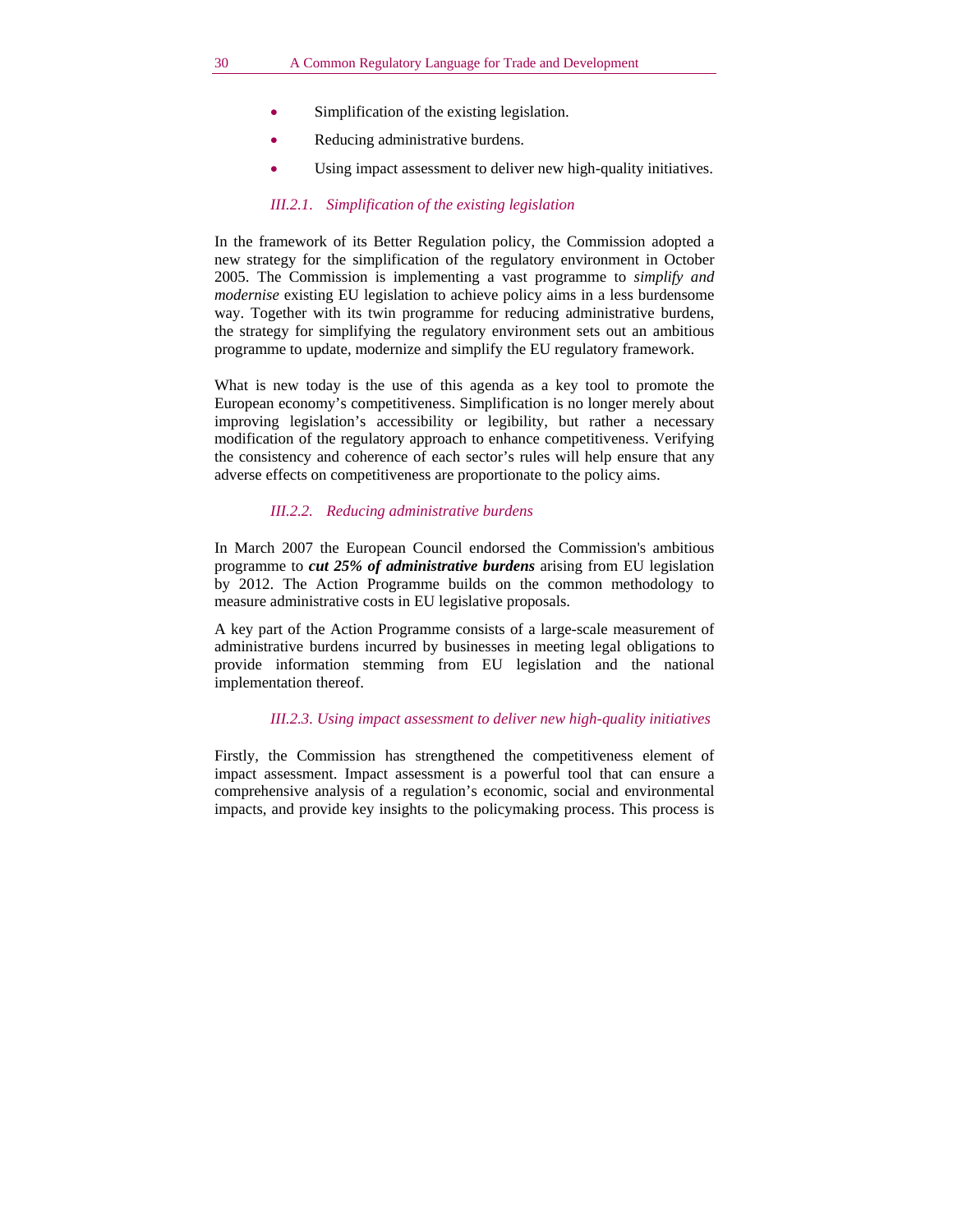- Simplification of the existing legislation.
- Reducing administrative burdens.
- Using impact assessment to deliver new high-quality initiatives.

#### *III.2.1. Simplification of the existing legislation*

In the framework of its Better Regulation policy, the Commission adopted a new strategy for the simplification of the regulatory environment in October 2005. The Commission is implementing a vast programme to *simplify and modernise* existing EU legislation to achieve policy aims in a less burdensome way. Together with its twin programme for reducing administrative burdens, the strategy for simplifying the regulatory environment sets out an ambitious programme to update, modernize and simplify the EU regulatory framework.

What is new today is the use of this agenda as a key tool to promote the European economy's competitiveness. Simplification is no longer merely about improving legislation's accessibility or legibility, but rather a necessary modification of the regulatory approach to enhance competitiveness. Verifying the consistency and coherence of each sector's rules will help ensure that any adverse effects on competitiveness are proportionate to the policy aims.

#### *III.2.2. Reducing administrative burdens*

In March 2007 the European Council endorsed the Commission's ambitious programme to *cut 25% of administrative burdens* arising from EU legislation by 2012. The Action Programme builds on the common methodology to measure administrative costs in EU legislative proposals.

A key part of the Action Programme consists of a large-scale measurement of administrative burdens incurred by businesses in meeting legal obligations to provide information stemming from EU legislation and the national implementation thereof.

#### *III.2.3. Using impact assessment to deliver new high-quality initiatives*

Firstly, the Commission has strengthened the competitiveness element of impact assessment. Impact assessment is a powerful tool that can ensure a comprehensive analysis of a regulation's economic, social and environmental impacts, and provide key insights to the policymaking process. This process is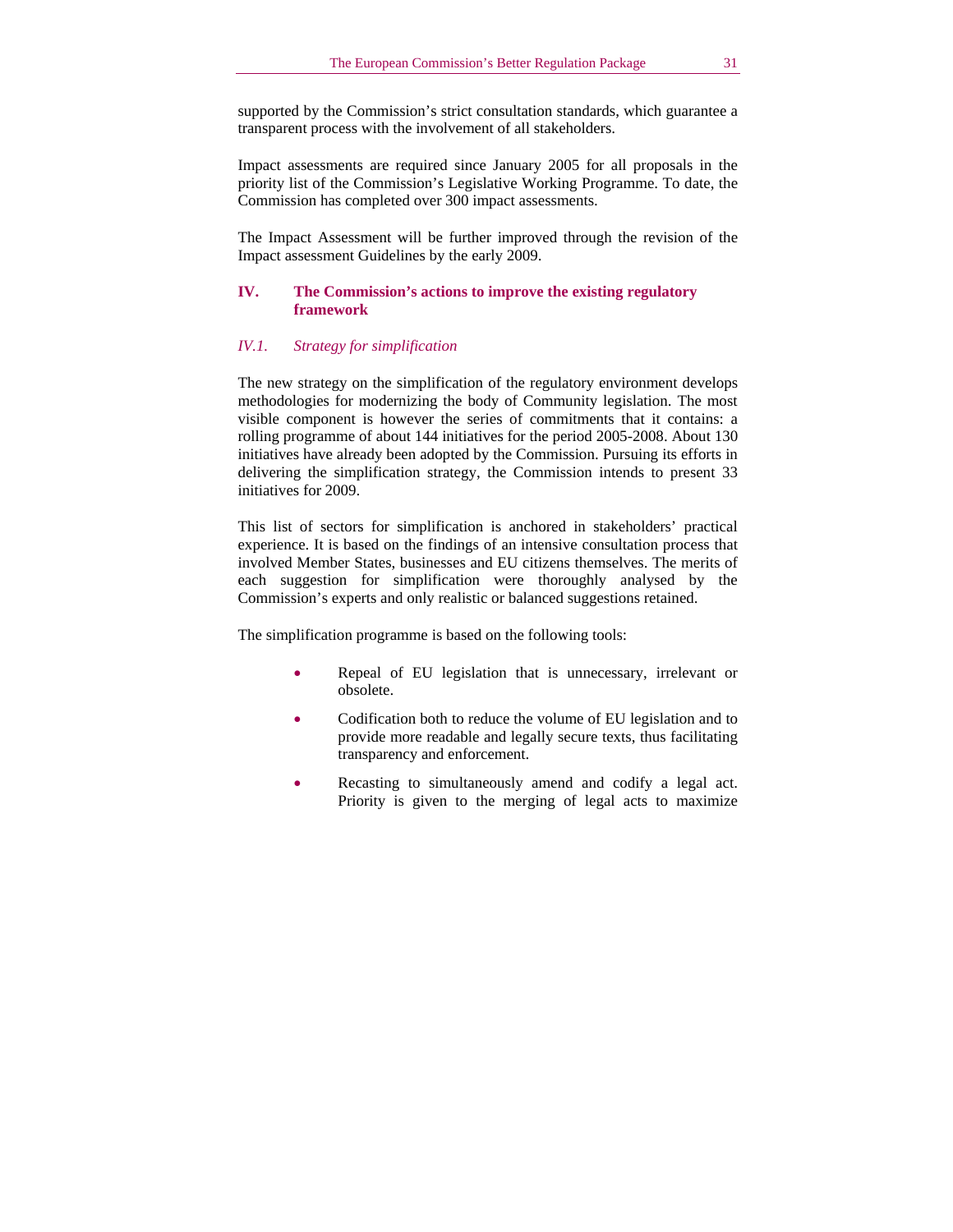supported by the Commission's strict consultation standards, which guarantee a transparent process with the involvement of all stakeholders.

Impact assessments are required since January 2005 for all proposals in the priority list of the Commission's Legislative Working Programme. To date, the Commission has completed over 300 impact assessments.

The Impact Assessment will be further improved through the revision of the Impact assessment Guidelines by the early 2009.

#### **IV. The Commission's actions to improve the existing regulatory framework**

#### *IV.1. Strategy for simplification*

The new strategy on the simplification of the regulatory environment develops methodologies for modernizing the body of Community legislation. The most visible component is however the series of commitments that it contains: a rolling programme of about 144 initiatives for the period 2005-2008. About 130 initiatives have already been adopted by the Commission. Pursuing its efforts in delivering the simplification strategy, the Commission intends to present 33 initiatives for 2009.

This list of sectors for simplification is anchored in stakeholders' practical experience. It is based on the findings of an intensive consultation process that involved Member States, businesses and EU citizens themselves. The merits of each suggestion for simplification were thoroughly analysed by the Commission's experts and only realistic or balanced suggestions retained.

The simplification programme is based on the following tools:

- Repeal of EU legislation that is unnecessary, irrelevant or obsolete.
- Codification both to reduce the volume of EU legislation and to provide more readable and legally secure texts, thus facilitating transparency and enforcement.
- Recasting to simultaneously amend and codify a legal act. Priority is given to the merging of legal acts to maximize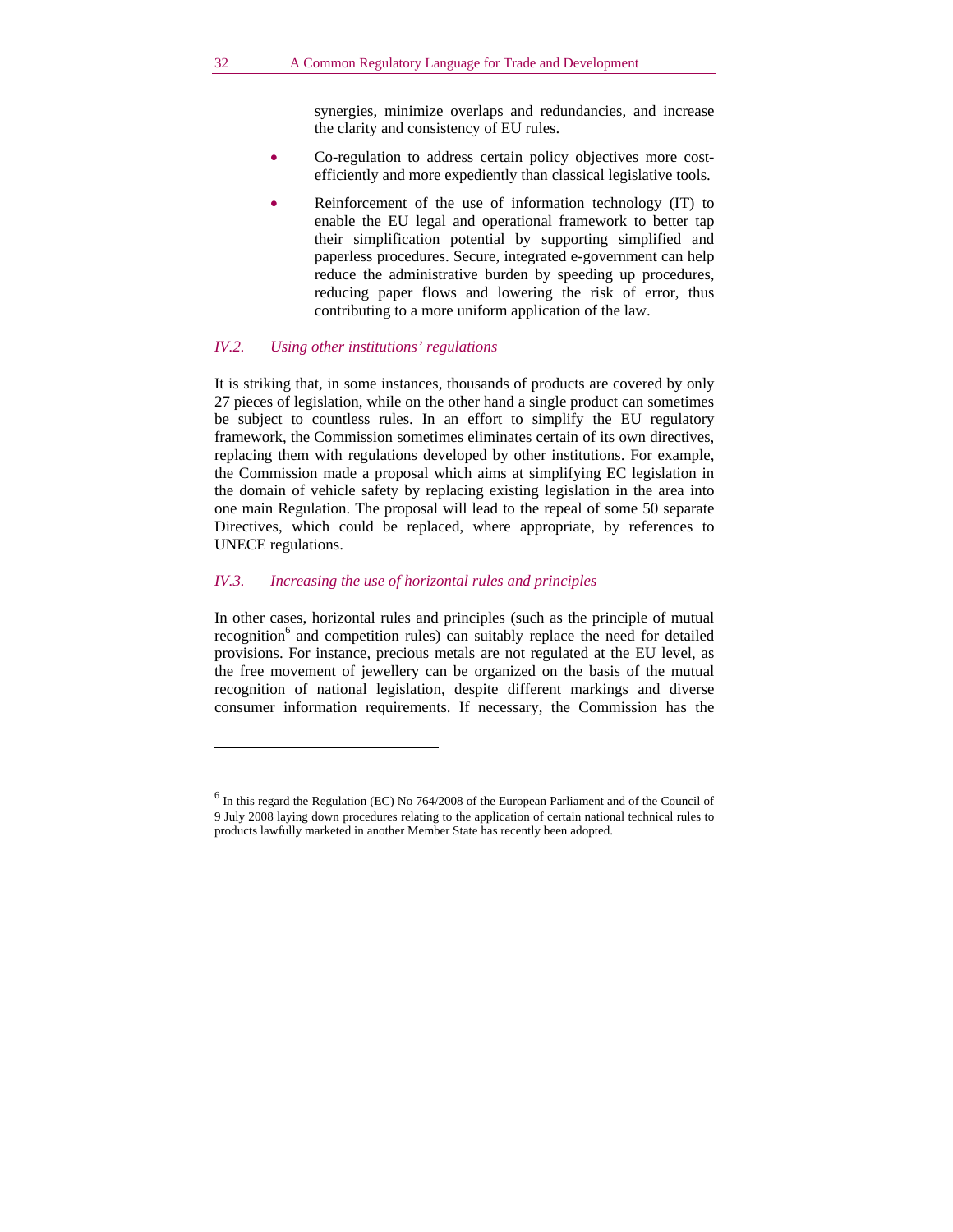synergies, minimize overlaps and redundancies, and increase the clarity and consistency of EU rules.

- Co-regulation to address certain policy objectives more costefficiently and more expediently than classical legislative tools.
- Reinforcement of the use of information technology (IT) to enable the EU legal and operational framework to better tap their simplification potential by supporting simplified and paperless procedures. Secure, integrated e-government can help reduce the administrative burden by speeding up procedures, reducing paper flows and lowering the risk of error, thus contributing to a more uniform application of the law.

#### *IV.2. Using other institutions' regulations*

It is striking that, in some instances, thousands of products are covered by only 27 pieces of legislation, while on the other hand a single product can sometimes be subject to countless rules. In an effort to simplify the EU regulatory framework, the Commission sometimes eliminates certain of its own directives, replacing them with regulations developed by other institutions. For example, the Commission made a proposal which aims at simplifying EC legislation in the domain of vehicle safety by replacing existing legislation in the area into one main Regulation. The proposal will lead to the repeal of some 50 separate Directives, which could be replaced, where appropriate, by references to UNECE regulations.

#### *IV.3. Increasing the use of horizontal rules and principles*

In other cases, horizontal rules and principles (such as the principle of mutual recognition<sup>6</sup> and competition rules) can suitably replace the need for detailed provisions. For instance, precious metals are not regulated at the EU level, as the free movement of jewellery can be organized on the basis of the mutual recognition of national legislation, despite different markings and diverse consumer information requirements. If necessary, the Commission has the

-

<sup>&</sup>lt;sup>6</sup> In this regard the Regulation (EC) No 764/2008 of the European Parliament and of the Council of 9 July 2008 laying down procedures relating to the application of certain national technical rules to products lawfully marketed in another Member State has recently been adopted.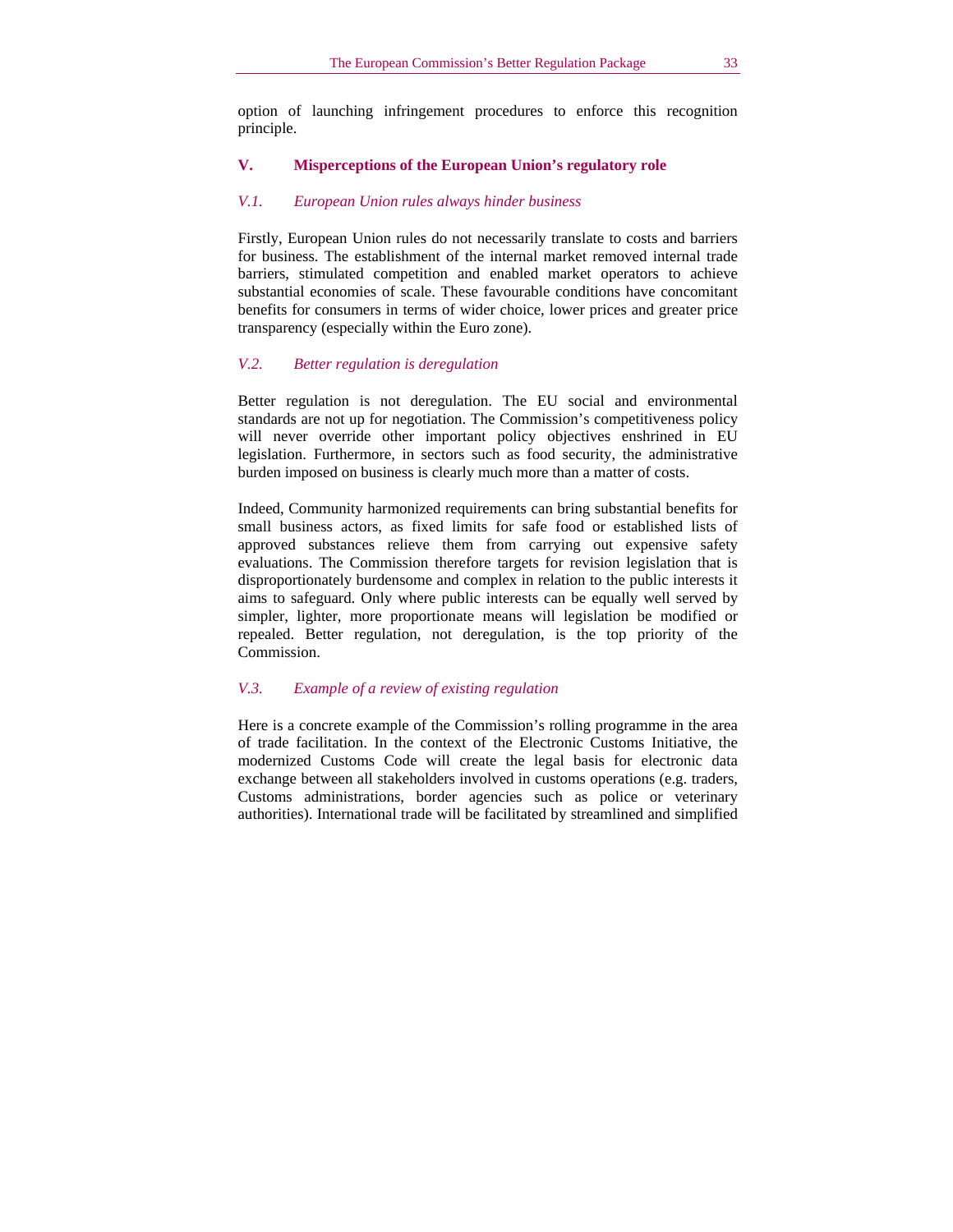option of launching infringement procedures to enforce this recognition principle.

## **V. Misperceptions of the European Union's regulatory role**

#### *V.1. European Union rules always hinder business*

Firstly, European Union rules do not necessarily translate to costs and barriers for business. The establishment of the internal market removed internal trade barriers, stimulated competition and enabled market operators to achieve substantial economies of scale. These favourable conditions have concomitant benefits for consumers in terms of wider choice, lower prices and greater price transparency (especially within the Euro zone).

#### *V.2. Better regulation is deregulation*

Better regulation is not deregulation. The EU social and environmental standards are not up for negotiation. The Commission's competitiveness policy will never override other important policy objectives enshrined in EU legislation. Furthermore, in sectors such as food security, the administrative burden imposed on business is clearly much more than a matter of costs.

Indeed, Community harmonized requirements can bring substantial benefits for small business actors, as fixed limits for safe food or established lists of approved substances relieve them from carrying out expensive safety evaluations. The Commission therefore targets for revision legislation that is disproportionately burdensome and complex in relation to the public interests it aims to safeguard. Only where public interests can be equally well served by simpler, lighter, more proportionate means will legislation be modified or repealed. Better regulation, not deregulation, is the top priority of the Commission.

#### *V.3. Example of a review of existing regulation*

Here is a concrete example of the Commission's rolling programme in the area of trade facilitation. In the context of the Electronic Customs Initiative, the modernized Customs Code will create the legal basis for electronic data exchange between all stakeholders involved in customs operations (e.g. traders, Customs administrations, border agencies such as police or veterinary authorities). International trade will be facilitated by streamlined and simplified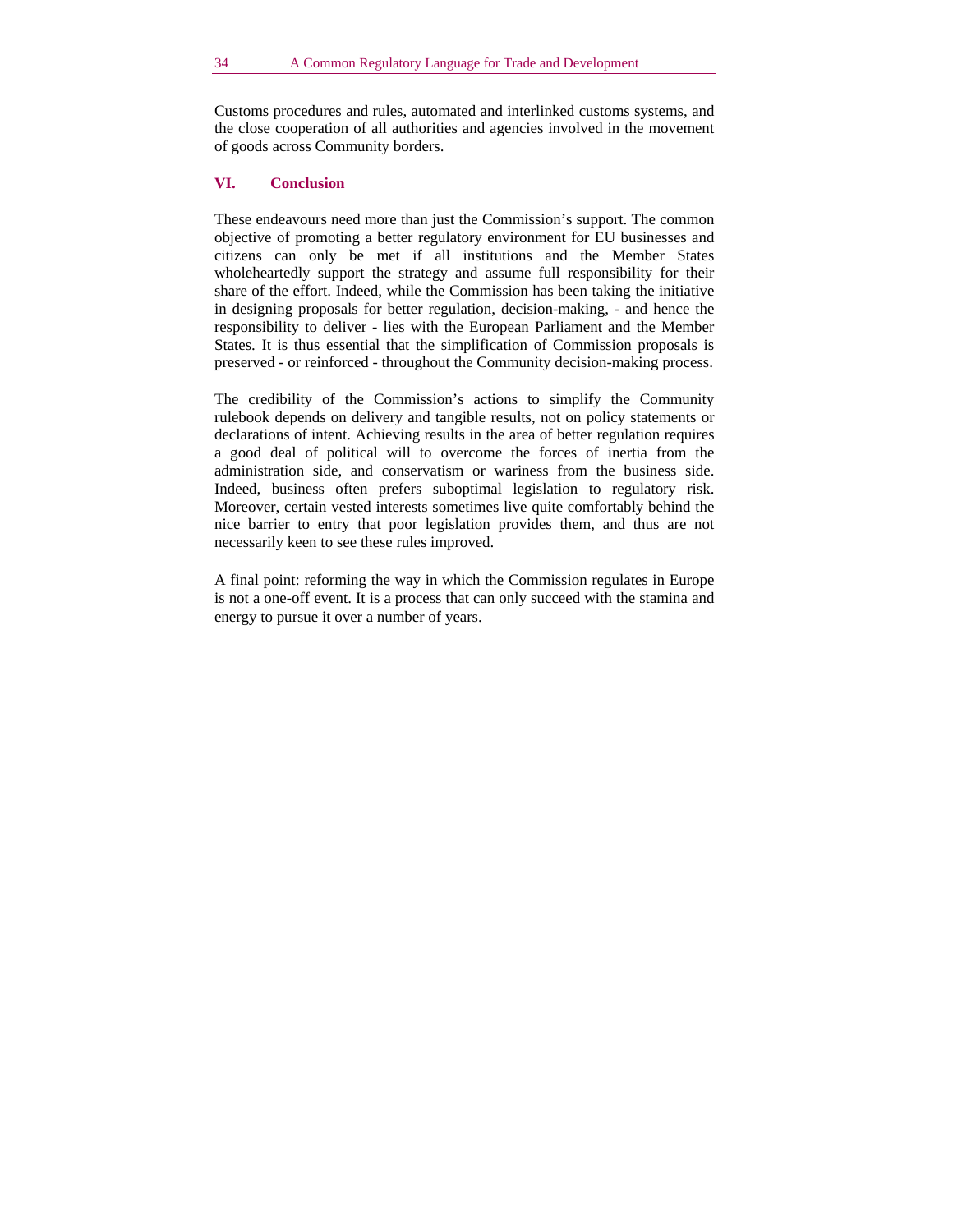Customs procedures and rules, automated and interlinked customs systems, and the close cooperation of all authorities and agencies involved in the movement of goods across Community borders.

#### **VI. Conclusion**

These endeavours need more than just the Commission's support. The common objective of promoting a better regulatory environment for EU businesses and citizens can only be met if all institutions and the Member States wholeheartedly support the strategy and assume full responsibility for their share of the effort. Indeed, while the Commission has been taking the initiative in designing proposals for better regulation, decision-making, - and hence the responsibility to deliver - lies with the European Parliament and the Member States. It is thus essential that the simplification of Commission proposals is preserved - or reinforced - throughout the Community decision-making process.

The credibility of the Commission's actions to simplify the Community rulebook depends on delivery and tangible results, not on policy statements or declarations of intent. Achieving results in the area of better regulation requires a good deal of political will to overcome the forces of inertia from the administration side, and conservatism or wariness from the business side. Indeed, business often prefers suboptimal legislation to regulatory risk. Moreover, certain vested interests sometimes live quite comfortably behind the nice barrier to entry that poor legislation provides them, and thus are not necessarily keen to see these rules improved.

A final point: reforming the way in which the Commission regulates in Europe is not a one-off event. It is a process that can only succeed with the stamina and energy to pursue it over a number of years.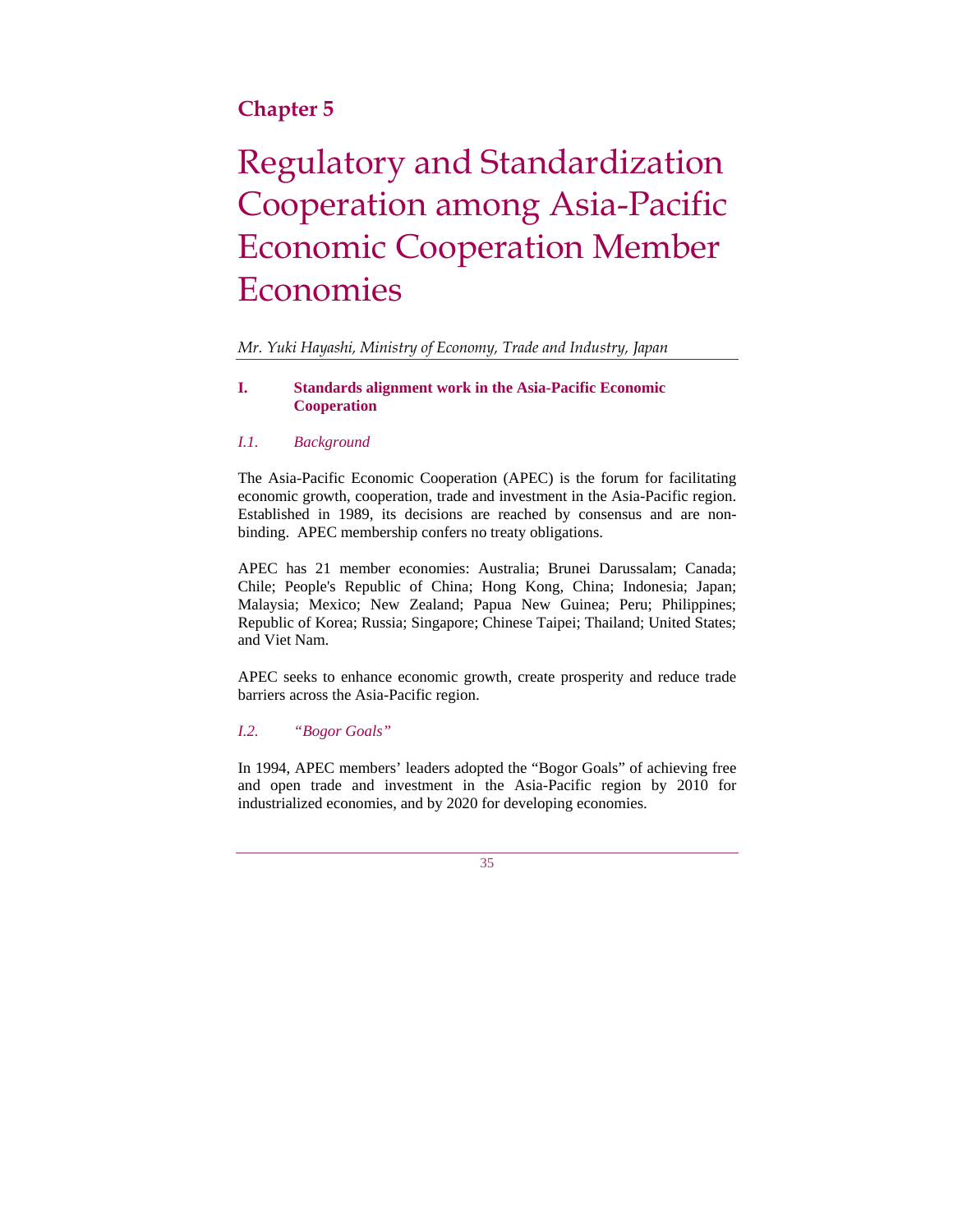# **Chapter 5**

# Regulatory and Standardization Cooperation among Asia-Pacific Economic Cooperation Member Economies

# *Mr. Yuki Hayashi, Ministry of Economy, Trade and Industry, Japan*

## **I. Standards alignment work in the Asia-Pacific Economic Cooperation**

# *I.1. Background*

The Asia-Pacific Economic Cooperation (APEC) is the forum for facilitating economic growth, cooperation, trade and investment in the Asia-Pacific region. Established in 1989, its decisions are reached by consensus and are nonbinding. APEC membership confers no treaty obligations.

APEC has 21 member economies: Australia; Brunei Darussalam; Canada; Chile; People's Republic of China; Hong Kong, China; Indonesia; Japan; Malaysia; Mexico; New Zealand; Papua New Guinea; Peru; Philippines; Republic of Korea; Russia; Singapore; Chinese Taipei; Thailand; United States; and Viet Nam.

APEC seeks to enhance economic growth, create prosperity and reduce trade barriers across the Asia-Pacific region.

# *I.2. "Bogor Goals"*

In 1994, APEC members' leaders adopted the "Bogor Goals" of achieving free and open trade and investment in the Asia-Pacific region by 2010 for industrialized economies, and by 2020 for developing economies.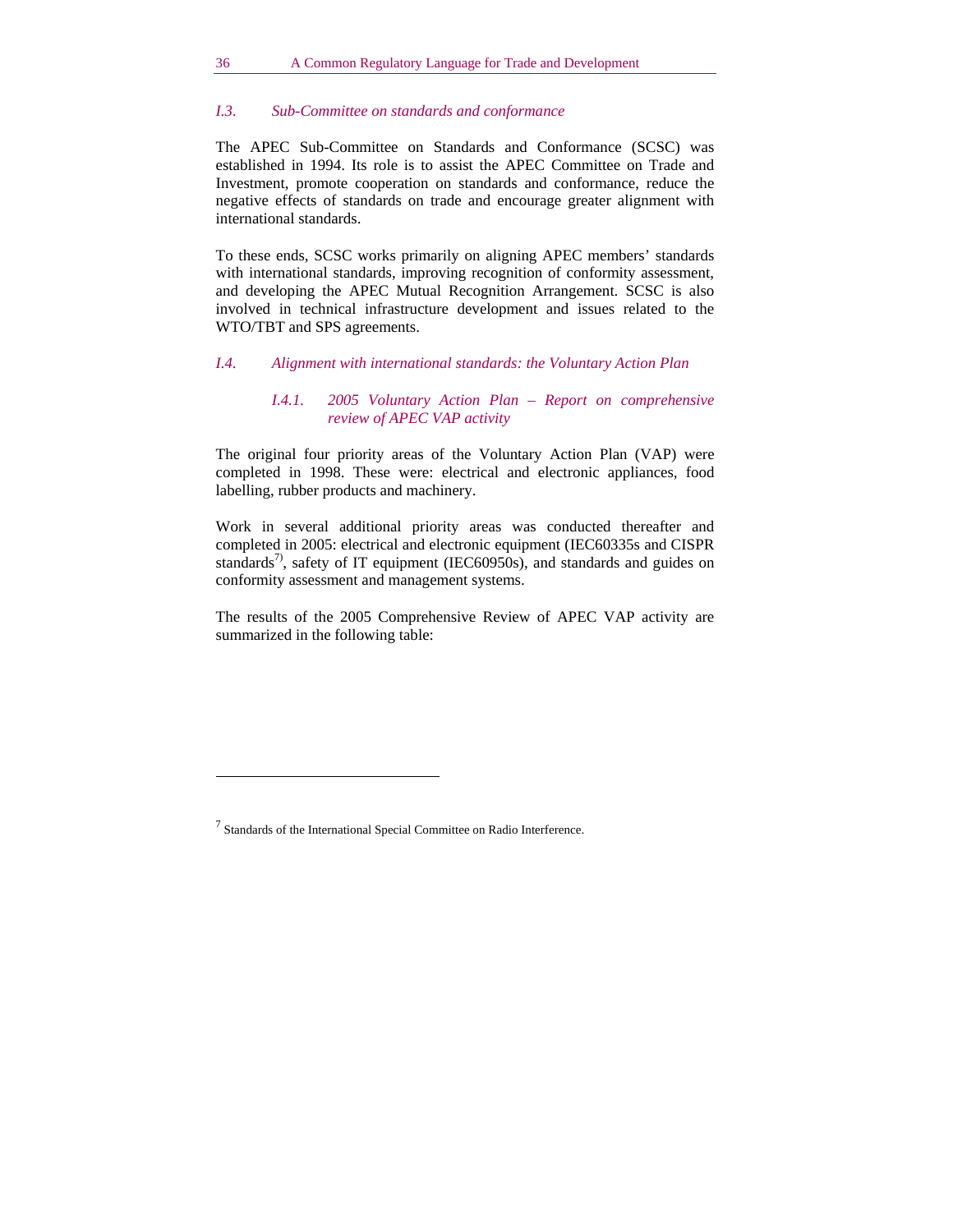### *I.3. Sub-Committee on standards and conformance*

The APEC Sub-Committee on Standards and Conformance (SCSC) was established in 1994. Its role is to assist the APEC Committee on Trade and Investment, promote cooperation on standards and conformance, reduce the negative effects of standards on trade and encourage greater alignment with international standards.

To these ends, SCSC works primarily on aligning APEC members' standards with international standards, improving recognition of conformity assessment, and developing the APEC Mutual Recognition Arrangement. SCSC is also involved in technical infrastructure development and issues related to the WTO/TBT and SPS agreements.

# *I.4. Alignment with international standards: the Voluntary Action Plan*

*I.4.1. 2005 Voluntary Action Plan – Report on comprehensive review of APEC VAP activity* 

The original four priority areas of the Voluntary Action Plan (VAP) were completed in 1998. These were: electrical and electronic appliances, food labelling, rubber products and machinery.

Work in several additional priority areas was conducted thereafter and completed in 2005: electrical and electronic equipment (IEC60335s and CISPR standards<sup>7)</sup>, safety of IT equipment (IEC60950s), and standards and guides on conformity assessment and management systems.

The results of the 2005 Comprehensive Review of APEC VAP activity are summarized in the following table:

l

 $7$  Standards of the International Special Committee on Radio Interference.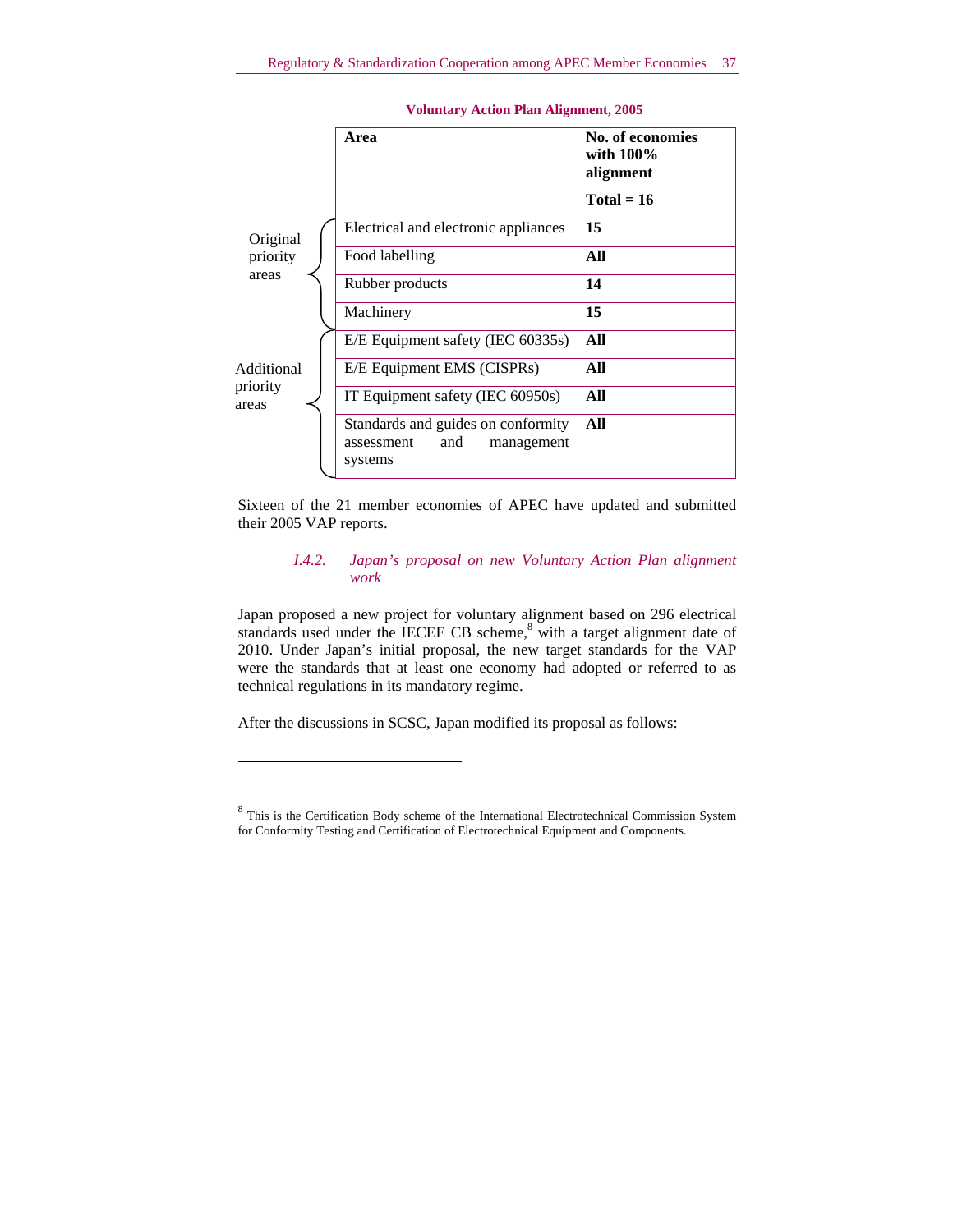|                        | Area                                                                             | No. of economies<br>with $100\%$<br>alignment<br>$Total = 16$ |
|------------------------|----------------------------------------------------------------------------------|---------------------------------------------------------------|
| Original               | Electrical and electronic appliances                                             | 15                                                            |
| priority               | Food labelling                                                                   | All                                                           |
| areas                  | Rubber products                                                                  | 14                                                            |
|                        | Machinery                                                                        | 15                                                            |
|                        | E/E Equipment safety (IEC 60335s)                                                | All                                                           |
| Additional<br>priority | E/E Equipment EMS (CISPRs)                                                       | All                                                           |
| areas                  | IT Equipment safety (IEC 60950s)                                                 | All                                                           |
|                        | Standards and guides on conformity<br>and<br>assessment<br>management<br>systems | All                                                           |

**Voluntary Action Plan Alignment, 2005** 

Sixteen of the 21 member economies of APEC have updated and submitted their 2005 VAP reports.

# *I.4.2. Japan's proposal on new Voluntary Action Plan alignment work*

Japan proposed a new project for voluntary alignment based on 296 electrical standards used under the IECEE CB scheme,<sup>8</sup> with a target alignment date of 2010. Under Japan's initial proposal, the new target standards for the VAP were the standards that at least one economy had adopted or referred to as technical regulations in its mandatory regime.

After the discussions in SCSC, Japan modified its proposal as follows:

l

<sup>&</sup>lt;sup>8</sup> This is the Certification Body scheme of the International Electrotechnical Commission System for Conformity Testing and Certification of Electrotechnical Equipment and Components.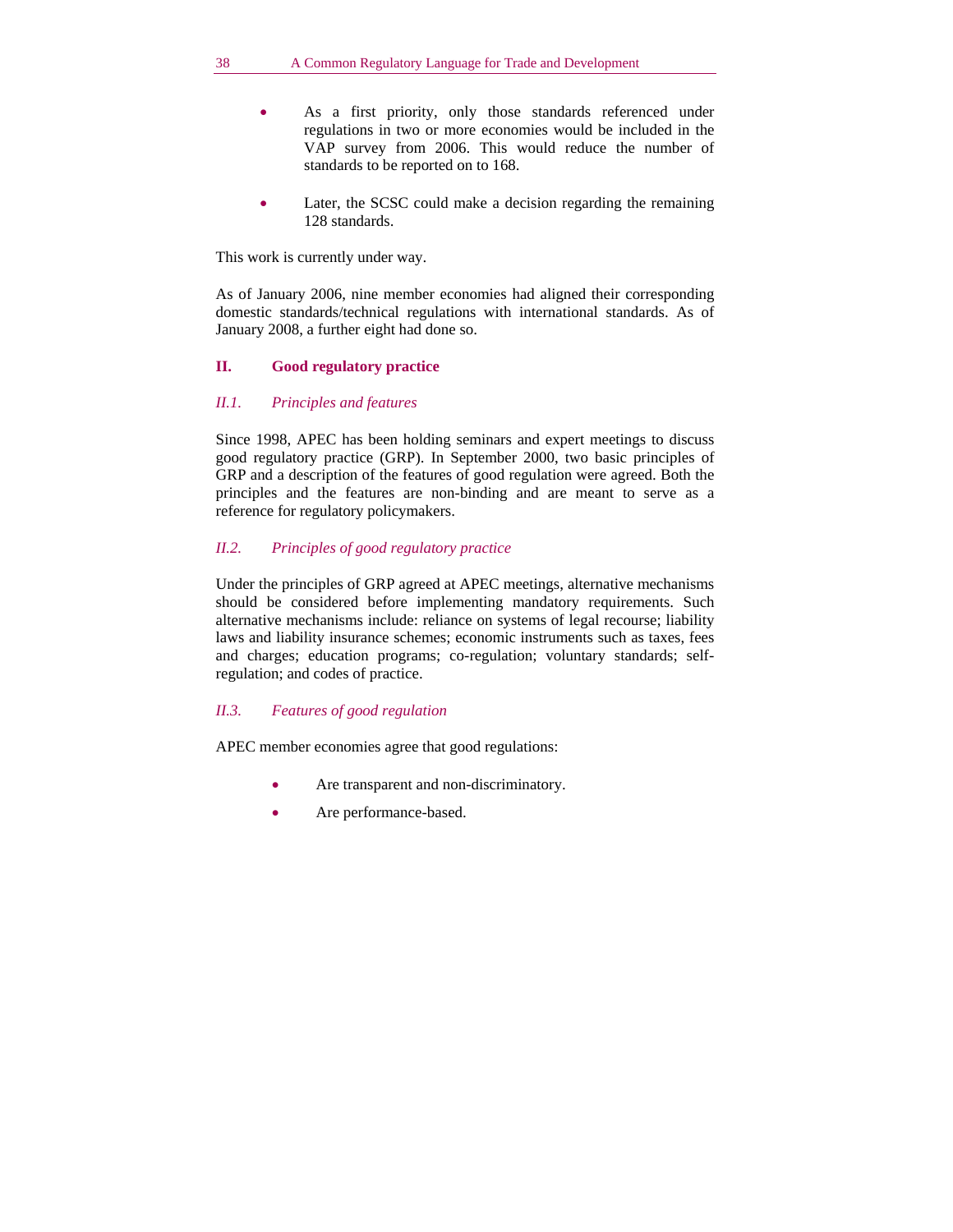- As a first priority, only those standards referenced under regulations in two or more economies would be included in the VAP survey from 2006. This would reduce the number of standards to be reported on to 168.
- Later, the SCSC could make a decision regarding the remaining 128 standards.

This work is currently under way.

As of January 2006, nine member economies had aligned their corresponding domestic standards/technical regulations with international standards. As of January 2008, a further eight had done so.

# **II. Good regulatory practice**

# *II.1. Principles and features*

Since 1998, APEC has been holding seminars and expert meetings to discuss good regulatory practice (GRP). In September 2000, two basic principles of GRP and a description of the features of good regulation were agreed. Both the principles and the features are non-binding and are meant to serve as a reference for regulatory policymakers.

# *II.2. Principles of good regulatory practice*

Under the principles of GRP agreed at APEC meetings, alternative mechanisms should be considered before implementing mandatory requirements. Such alternative mechanisms include: reliance on systems of legal recourse; liability laws and liability insurance schemes; economic instruments such as taxes, fees and charges; education programs; co-regulation; voluntary standards; selfregulation; and codes of practice.

#### *II.3. Features of good regulation*

APEC member economies agree that good regulations:

- Are transparent and non-discriminatory.
- Are performance-based.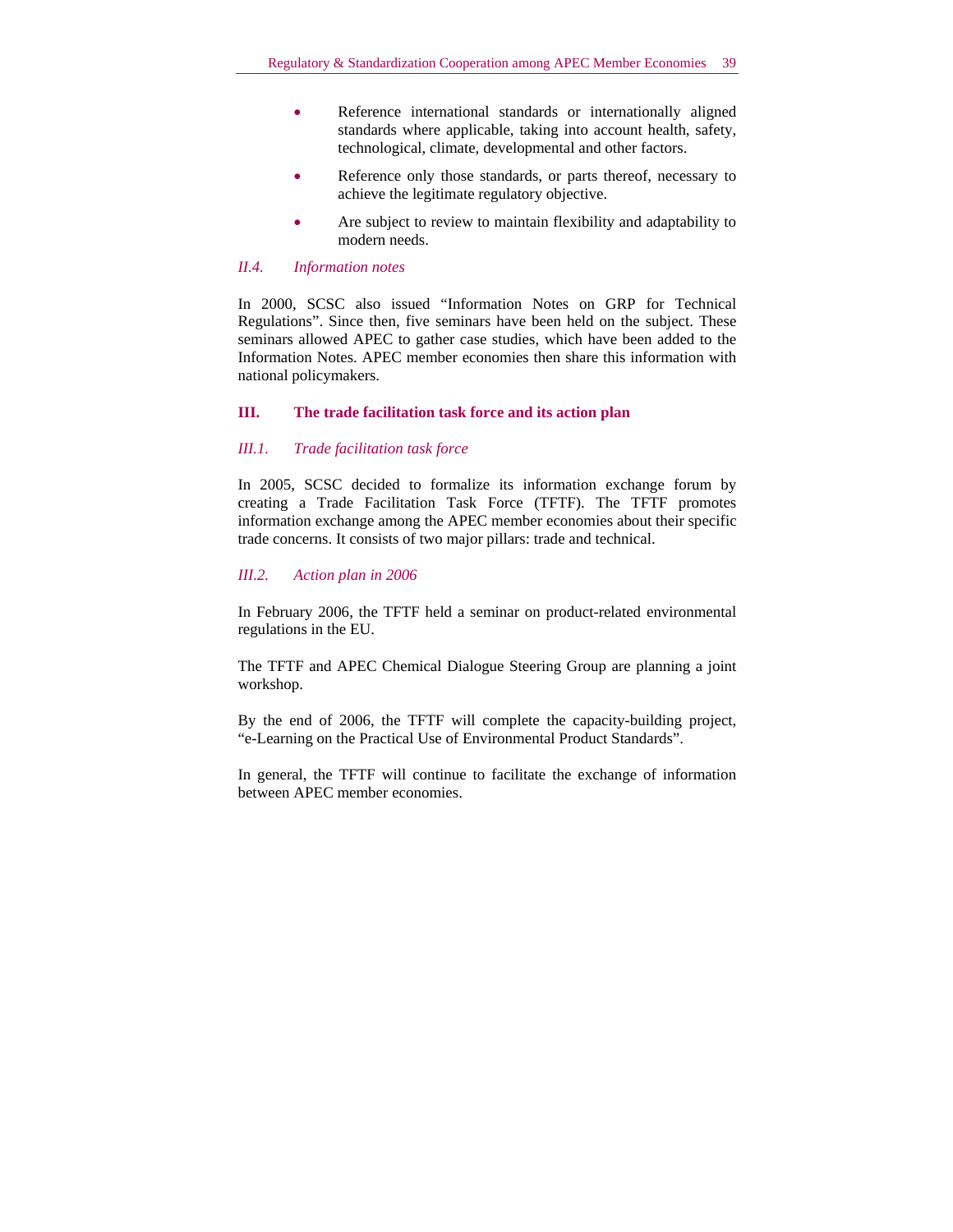- Reference international standards or internationally aligned standards where applicable, taking into account health, safety, technological, climate, developmental and other factors.
- Reference only those standards, or parts thereof, necessary to achieve the legitimate regulatory objective.
- Are subject to review to maintain flexibility and adaptability to modern needs.

## *II.4. Information notes*

In 2000, SCSC also issued "Information Notes on GRP for Technical Regulations". Since then, five seminars have been held on the subject. These seminars allowed APEC to gather case studies, which have been added to the Information Notes. APEC member economies then share this information with national policymakers.

## **III. The trade facilitation task force and its action plan**

#### *III.1. Trade facilitation task force*

In 2005, SCSC decided to formalize its information exchange forum by creating a Trade Facilitation Task Force (TFTF). The TFTF promotes information exchange among the APEC member economies about their specific trade concerns. It consists of two major pillars: trade and technical.

#### *III.2. Action plan in 2006*

In February 2006, the TFTF held a seminar on product-related environmental regulations in the EU.

The TFTF and APEC Chemical Dialogue Steering Group are planning a joint workshop.

By the end of 2006, the TFTF will complete the capacity-building project, "e-Learning on the Practical Use of Environmental Product Standards".

In general, the TFTF will continue to facilitate the exchange of information between APEC member economies.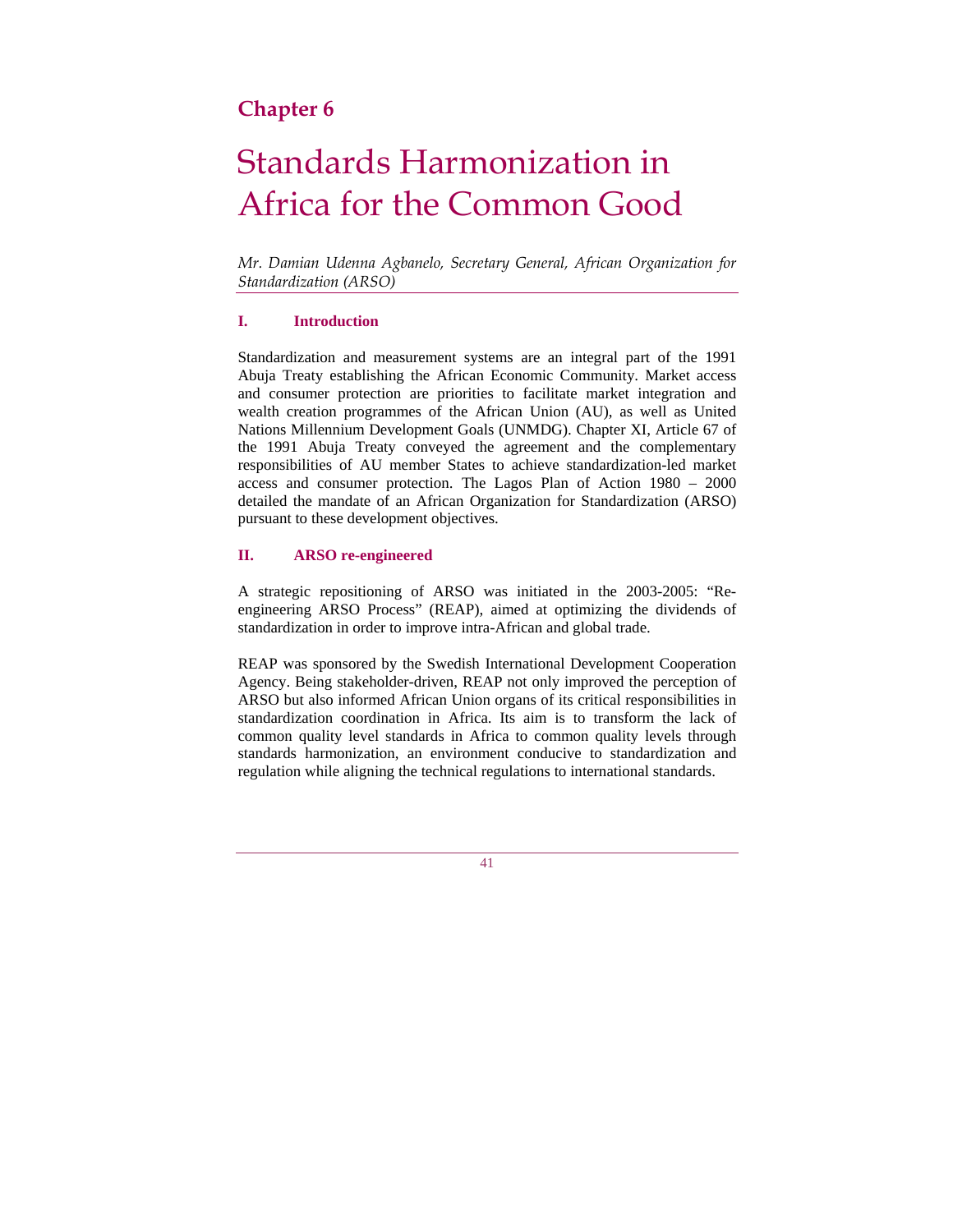# **Chapter 6**

# Standards Harmonization in Africa for the Common Good

*Mr. Damian Udenna Agbanelo, Secretary General, African Organization for Standardization (ARSO)* 

#### **I. Introduction**

Standardization and measurement systems are an integral part of the 1991 Abuja Treaty establishing the African Economic Community. Market access and consumer protection are priorities to facilitate market integration and wealth creation programmes of the African Union (AU), as well as United Nations Millennium Development Goals (UNMDG). Chapter XI, Article 67 of the 1991 Abuja Treaty conveyed the agreement and the complementary responsibilities of AU member States to achieve standardization-led market access and consumer protection. The Lagos Plan of Action 1980 – 2000 detailed the mandate of an African Organization for Standardization (ARSO) pursuant to these development objectives.

# **II. ARSO re-engineered**

A strategic repositioning of ARSO was initiated in the 2003-2005: "Reengineering ARSO Process" (REAP), aimed at optimizing the dividends of standardization in order to improve intra-African and global trade.

REAP was sponsored by the Swedish International Development Cooperation Agency. Being stakeholder-driven, REAP not only improved the perception of ARSO but also informed African Union organs of its critical responsibilities in standardization coordination in Africa. Its aim is to transform the lack of common quality level standards in Africa to common quality levels through standards harmonization, an environment conducive to standardization and regulation while aligning the technical regulations to international standards.

41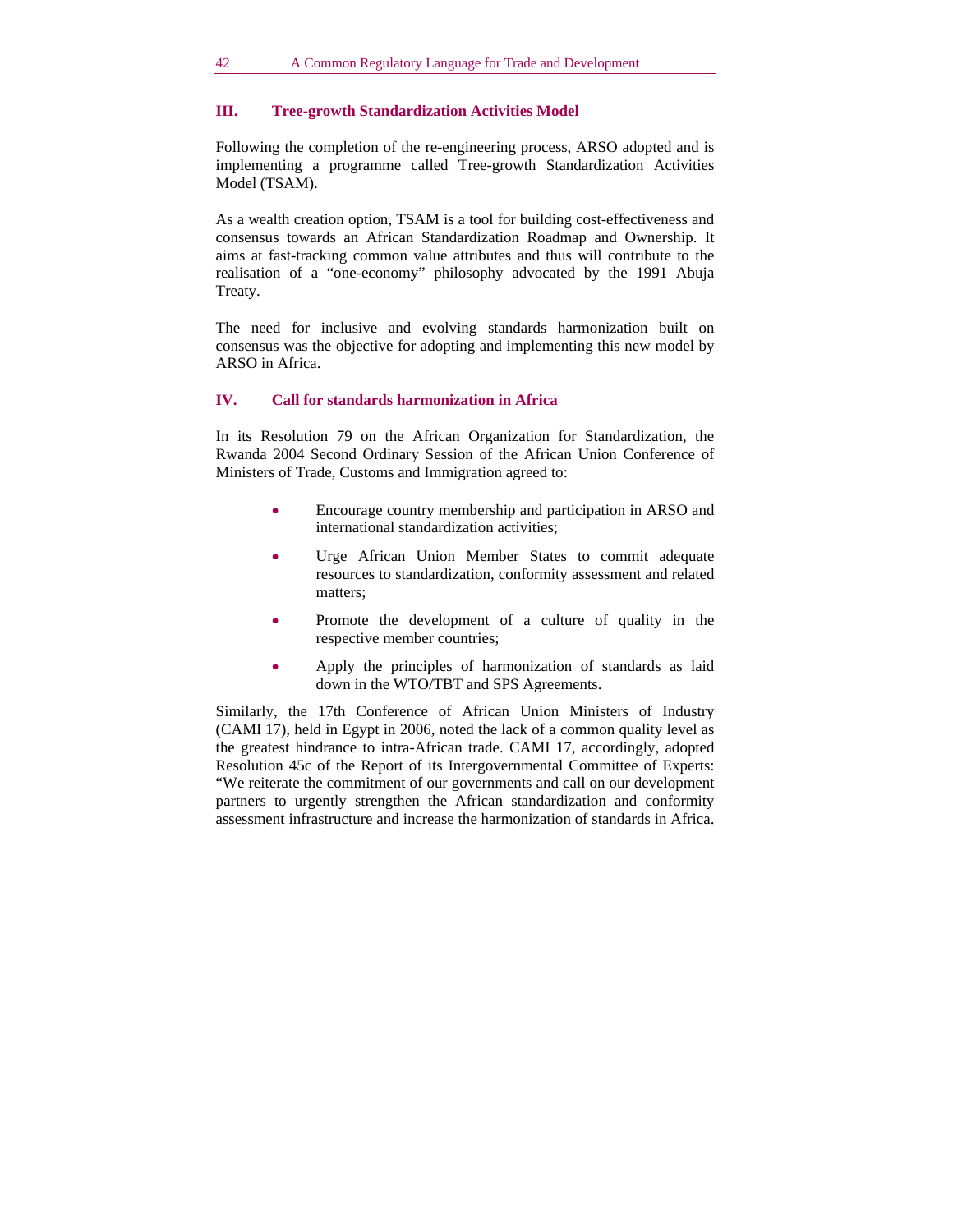#### **III. Tree-growth Standardization Activities Model**

Following the completion of the re-engineering process, ARSO adopted and is implementing a programme called Tree-growth Standardization Activities Model (TSAM).

As a wealth creation option, TSAM is a tool for building cost-effectiveness and consensus towards an African Standardization Roadmap and Ownership. It aims at fast-tracking common value attributes and thus will contribute to the realisation of a "one-economy" philosophy advocated by the 1991 Abuja Treaty.

The need for inclusive and evolving standards harmonization built on consensus was the objective for adopting and implementing this new model by ARSO in Africa.

#### **IV. Call for standards harmonization in Africa**

In its Resolution 79 on the African Organization for Standardization, the Rwanda 2004 Second Ordinary Session of the African Union Conference of Ministers of Trade, Customs and Immigration agreed to:

- Encourage country membership and participation in ARSO and international standardization activities;
- Urge African Union Member States to commit adequate resources to standardization, conformity assessment and related matters;
- Promote the development of a culture of quality in the respective member countries;
- Apply the principles of harmonization of standards as laid down in the WTO/TBT and SPS Agreements.

Similarly, the 17th Conference of African Union Ministers of Industry (CAMI 17), held in Egypt in 2006, noted the lack of a common quality level as the greatest hindrance to intra-African trade. CAMI 17, accordingly, adopted Resolution 45c of the Report of its Intergovernmental Committee of Experts: "We reiterate the commitment of our governments and call on our development partners to urgently strengthen the African standardization and conformity assessment infrastructure and increase the harmonization of standards in Africa.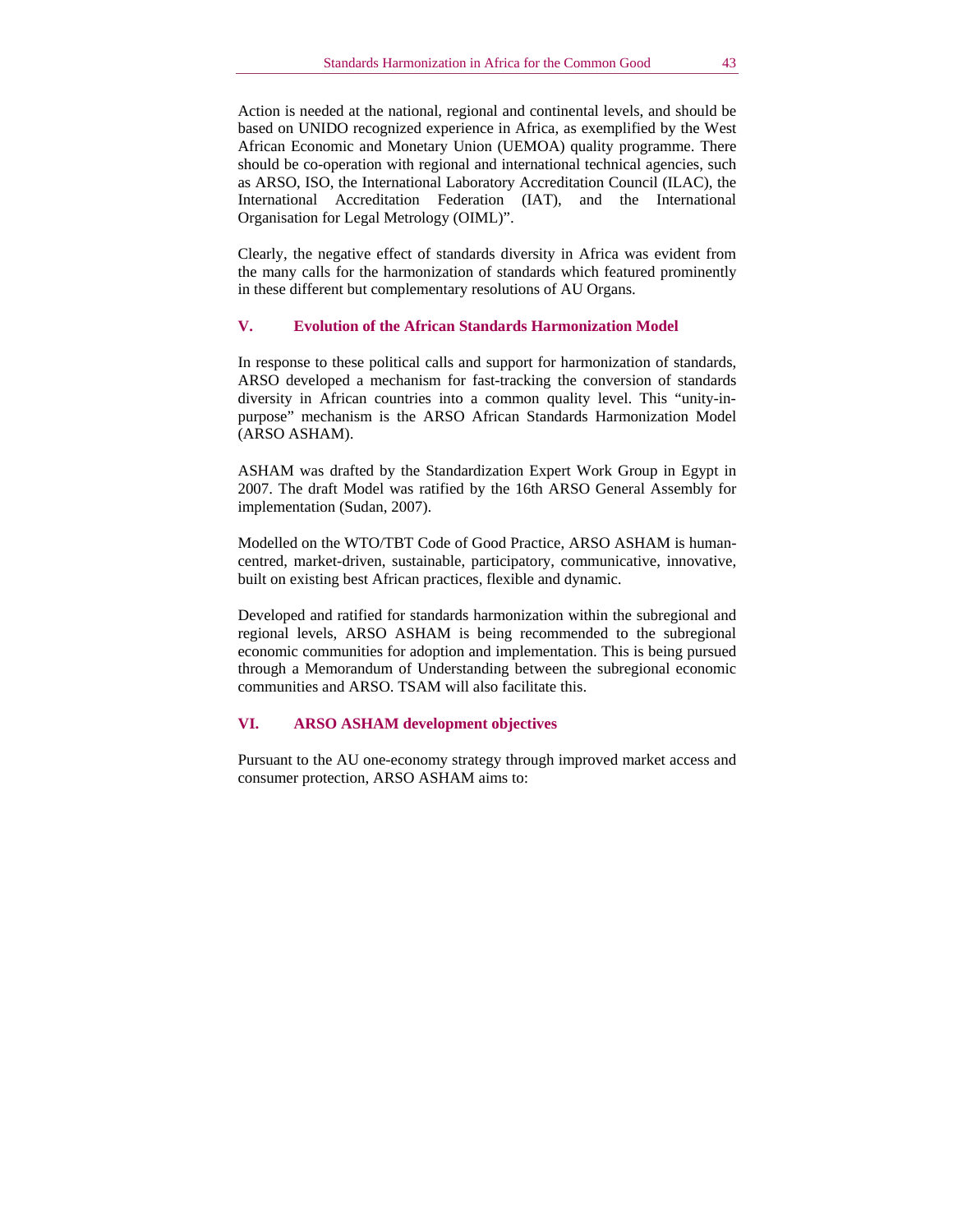Action is needed at the national, regional and continental levels, and should be based on UNIDO recognized experience in Africa, as exemplified by the West African Economic and Monetary Union (UEMOA) quality programme. There should be co-operation with regional and international technical agencies, such as ARSO, ISO, the International Laboratory Accreditation Council (ILAC), the International Accreditation Federation (IAT), and the International Organisation for Legal Metrology (OIML)".

Clearly, the negative effect of standards diversity in Africa was evident from the many calls for the harmonization of standards which featured prominently in these different but complementary resolutions of AU Organs.

#### **V. Evolution of the African Standards Harmonization Model**

In response to these political calls and support for harmonization of standards, ARSO developed a mechanism for fast-tracking the conversion of standards diversity in African countries into a common quality level. This "unity-inpurpose" mechanism is the ARSO African Standards Harmonization Model (ARSO ASHAM).

ASHAM was drafted by the Standardization Expert Work Group in Egypt in 2007. The draft Model was ratified by the 16th ARSO General Assembly for implementation (Sudan, 2007).

Modelled on the WTO/TBT Code of Good Practice, ARSO ASHAM is humancentred, market-driven, sustainable, participatory, communicative, innovative, built on existing best African practices, flexible and dynamic.

Developed and ratified for standards harmonization within the subregional and regional levels, ARSO ASHAM is being recommended to the subregional economic communities for adoption and implementation. This is being pursued through a Memorandum of Understanding between the subregional economic communities and ARSO. TSAM will also facilitate this.

#### **VI. ARSO ASHAM development objectives**

Pursuant to the AU one-economy strategy through improved market access and consumer protection, ARSO ASHAM aims to: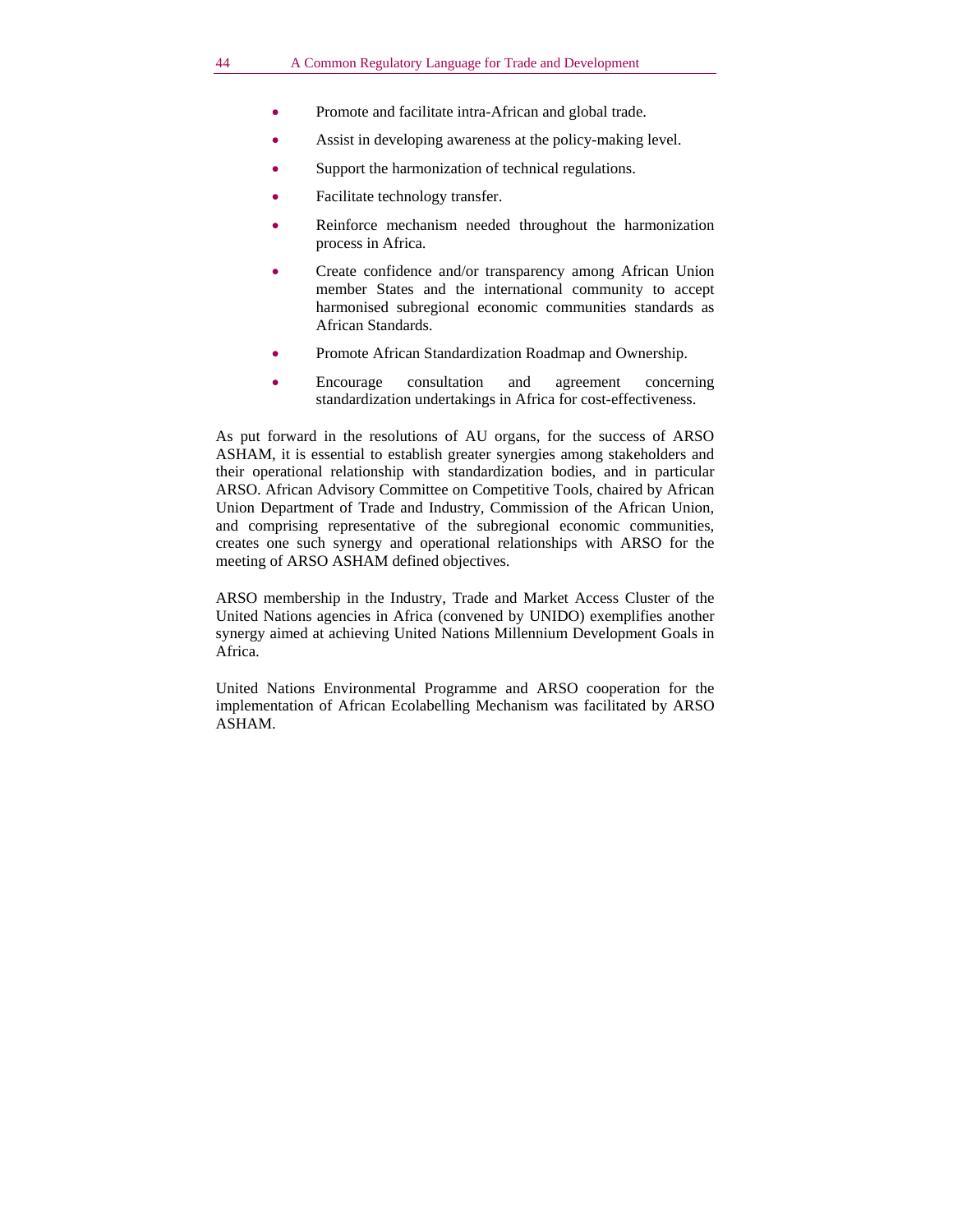- Promote and facilitate intra-African and global trade.
- Assist in developing awareness at the policy-making level.
- Support the harmonization of technical regulations.
- Facilitate technology transfer.
- Reinforce mechanism needed throughout the harmonization process in Africa.
- Create confidence and/or transparency among African Union member States and the international community to accept harmonised subregional economic communities standards as African Standards.
- Promote African Standardization Roadmap and Ownership.
- Encourage consultation and agreement concerning standardization undertakings in Africa for cost-effectiveness.

As put forward in the resolutions of AU organs, for the success of ARSO ASHAM, it is essential to establish greater synergies among stakeholders and their operational relationship with standardization bodies, and in particular ARSO. African Advisory Committee on Competitive Tools, chaired by African Union Department of Trade and Industry, Commission of the African Union, and comprising representative of the subregional economic communities, creates one such synergy and operational relationships with ARSO for the meeting of ARSO ASHAM defined objectives.

ARSO membership in the Industry, Trade and Market Access Cluster of the United Nations agencies in Africa (convened by UNIDO) exemplifies another synergy aimed at achieving United Nations Millennium Development Goals in Africa.

United Nations Environmental Programme and ARSO cooperation for the implementation of African Ecolabelling Mechanism was facilitated by ARSO ASHAM.